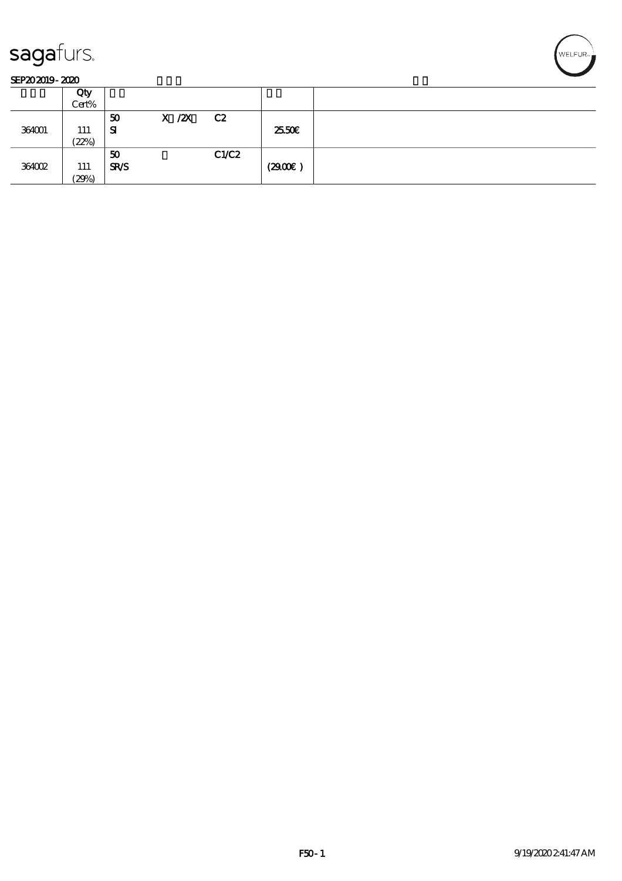

#### SEP202019-2020

|        | Qty   |             |            |       |        |  |
|--------|-------|-------------|------------|-------|--------|--|
|        | Cert% |             |            |       |        |  |
|        |       | 50          | $X$ / $ZX$ | C2    |        |  |
| 364001 | 111   | Я           |            |       | 2550E  |  |
|        | (22%) |             |            |       |        |  |
|        |       | 50          |            | C1/C2 |        |  |
| 364002 | 111   | <b>SR/S</b> |            |       | (2900) |  |
|        | (29%) |             |            |       |        |  |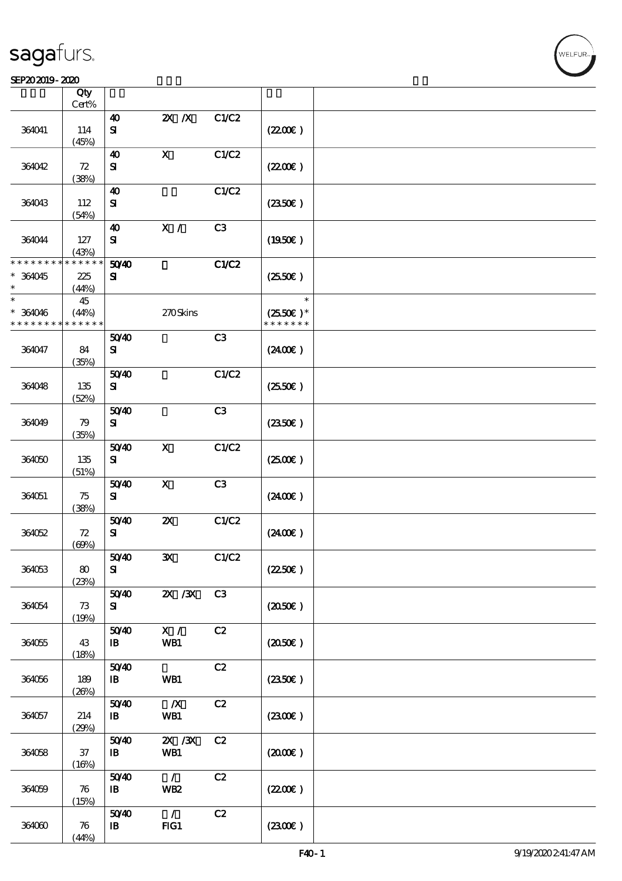#### SEP202019-2020

|                    | Qty<br>Cert% |                            |                           |                |                      |  |
|--------------------|--------------|----------------------------|---------------------------|----------------|----------------------|--|
|                    |              |                            |                           |                |                      |  |
| 364041             | 114<br>(45%) | 40<br>${\bf s}$            | $2X$ $N$                  | C1/C2          | (220E)               |  |
| 364042             | 72           | 40<br>${\bf S}$            | $\mathbf X$               | C1/C2          | (220E)               |  |
|                    | (38%)        |                            |                           |                |                      |  |
|                    |              | $\boldsymbol{\Lambda}$     |                           | C1/C2          |                      |  |
| 364043             | 112<br>(54%) | ${\bf s}$                  |                           |                | $(2350\varepsilon)$  |  |
|                    |              | 40                         | $\mathbf{X}$ /            | C3             |                      |  |
| 364044             | 127<br>(43%) | $\mathbf{S}$               |                           |                | (1950)               |  |
| * * * * * * * *    | * * * * * *  | 5040                       |                           | C1/C2          |                      |  |
|                    |              |                            |                           |                |                      |  |
| * 364045<br>$\ast$ | 225          | ${\bf s}$                  |                           |                | $(2550\varepsilon)$  |  |
|                    | (44%)        |                            |                           |                |                      |  |
| $\ast$             | 45           |                            |                           |                | $\ast$               |  |
| $* 364046$         | (44%)        |                            | 270Skins                  |                | $(2550\varepsilon)*$ |  |
| * * * * * * * *    | * * * * * *  |                            |                           |                | * * * * * * *        |  |
|                    |              | 5040                       |                           | C3             |                      |  |
| 364047             | 84           | ${\bf s}$                  |                           |                | $(2400\varepsilon)$  |  |
|                    | (35%)        |                            |                           |                |                      |  |
|                    |              |                            |                           |                |                      |  |
|                    |              | 5040                       |                           | C1/C2          |                      |  |
| 364048             | 135          | ${\bf s}$                  |                           |                | (2550)               |  |
|                    | (52%)        |                            |                           |                |                      |  |
|                    |              | 5040                       |                           | C3             |                      |  |
| 364049             | 79           | ${\bf s}$                  |                           |                | (2350)               |  |
|                    | (35%)        |                            |                           |                |                      |  |
|                    |              | 50 <sup>/40</sup>          | $\mathbf X$               | C1/C2          |                      |  |
| 364050             | 135          | ${\bf s}$                  |                           |                | (250E)               |  |
|                    |              |                            |                           |                |                      |  |
|                    | (51%)        |                            |                           |                |                      |  |
|                    |              | 5040                       | $\boldsymbol{\mathsf{X}}$ | C3             |                      |  |
| 364051             | 75           | ${\bf S}$                  |                           |                | (240E)               |  |
|                    | (38%)        |                            |                           |                |                      |  |
|                    |              | 5040                       | $\boldsymbol{\mathsf{z}}$ | C1/C2          |                      |  |
| 364052             | 72           | ${\bf s}$                  |                           |                | $(2400\varepsilon)$  |  |
|                    | (69%)        |                            |                           |                |                      |  |
|                    |              | 5040                       | ${\bf x}$                 | C1/C2          |                      |  |
| 364053             | 80           | ${\bf s}$                  |                           |                | (2250)               |  |
|                    |              |                            |                           |                |                      |  |
|                    | (23%)        |                            |                           |                |                      |  |
|                    |              | 5040                       | $X \, X$                  | C <sub>3</sub> |                      |  |
| 364054             | 73           | ${\bf s}$                  |                           |                | $(2050\varepsilon)$  |  |
|                    | (19%)        |                            |                           |                |                      |  |
|                    |              | 5040                       | X /                       | C2             |                      |  |
| 364055             | 43           | $\mathbf{B}$               | WB1                       |                | (2050)               |  |
|                    | (18%)        |                            |                           |                |                      |  |
|                    |              | 5040                       |                           | C2             |                      |  |
| 364056             | 189          | $\, {\bf I} \! {\bf B} \,$ | WB1                       |                | $(2350\varepsilon)$  |  |
|                    |              |                            |                           |                |                      |  |
|                    | (20%)        |                            |                           |                |                      |  |
|                    |              | 5040                       | $\boldsymbol{X}$          | C2             |                      |  |
| 364057             | 214          | $\mathbf{B}$               | WB1                       |                | (230E)               |  |
|                    | (29%)        |                            |                           |                |                      |  |
|                    |              | 5040                       | 2X / 3X                   | C2             |                      |  |
| 364058             | 37           | $\mathbf{B}$               | WB1                       |                | (200E)               |  |
|                    | (16%)        |                            |                           |                |                      |  |
|                    |              | 5040                       | $\mathcal{L}$             | C2             |                      |  |
| 364059             | 76           | $\mathbf{B}$               | WB <sub>2</sub>           |                | (220)                |  |
|                    |              |                            |                           |                |                      |  |
|                    | (15%)        |                            |                           |                |                      |  |
|                    |              | 5040                       | $\mathcal{L}$             | C2             |                      |  |
| 364060             | 76           | $\, {\bf I} \! {\bf B} \,$ | FIG1                      |                | (2300)               |  |
|                    | (44%)        |                            |                           |                |                      |  |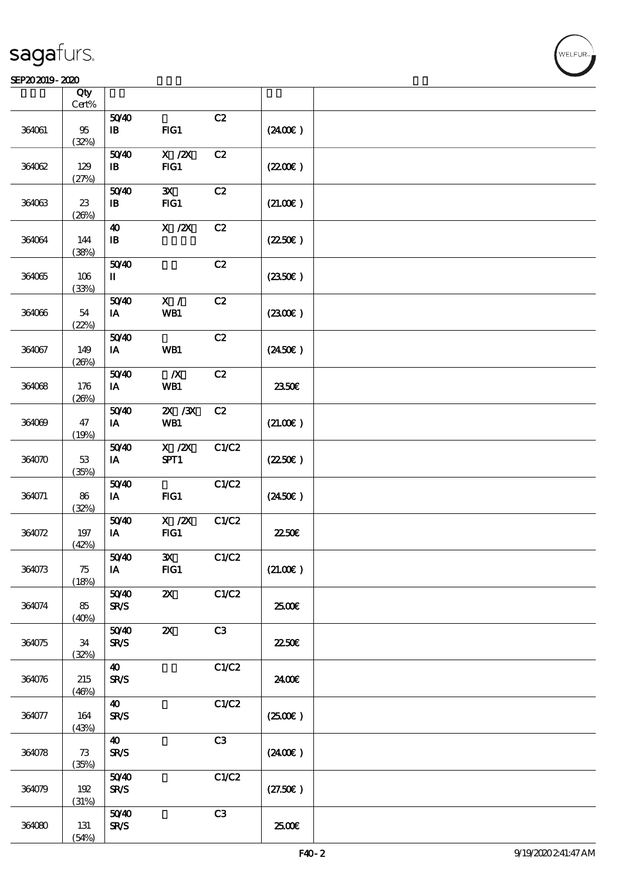$\top$ 

#### $S$ EP202019 - 2020  $S$

|        | Qty<br>$Cert\%$  |                                       |                                                                                      |       |                     |  |
|--------|------------------|---------------------------------------|--------------------------------------------------------------------------------------|-------|---------------------|--|
| 364061 | $95\,$<br>(32%)  | 5040<br>$\mathbf{B}$                  | FG1                                                                                  | C2    | (2400)              |  |
| 364062 | 129<br>(27%)     | 5040<br>$\, {\bf I} \! {\bf B} \,$    | $X$ / $ZX$<br>$HG1$                                                                  | C2    | (220E)              |  |
| 364063 | 23<br>(20%)      | 5040<br>$\mathbf{B}$                  | $\mathbf{x}$<br>$HG1$                                                                | C2    | (21.00)             |  |
| 364064 | 144<br>(38%)     | $\boldsymbol{\omega}$<br>$\mathbf{B}$ | $X$ / $ZX$                                                                           | C2    | (2250)              |  |
| 364065 | $106\,$<br>(33%) | 5040<br>П                             |                                                                                      | C2    | (2350)              |  |
| 364066 | 54<br>(22%)      | 5040<br>IA                            | X /<br>WB1                                                                           | C2    | (2300)              |  |
| 364067 | 149<br>(20%)     | 5040<br>IA                            | WB1                                                                                  | C2    | $(2450\epsilon)$    |  |
| 364068 | 176<br>(20%)     | 5040<br>$I$ A                         | $\boldsymbol{X}$<br>WB1                                                              | C2    | 2350E               |  |
| 364069 | 47<br>(19%)      | 5040<br>IA                            | 2X / 3X<br>WB1                                                                       | C2    | (21.00)             |  |
| 364070 | $53\,$<br>(35%)  | 5040<br>IA                            | $X \, /ZX$<br>SPT1                                                                   | C1/C2 | (225E)              |  |
| 364071 | 86<br>(32%)      | 5040<br>IA                            | FIG1                                                                                 | C1/C2 | $(2450\epsilon)$    |  |
| 364072 | 197<br>(42%)     | 5040<br>IA                            | $\boldsymbol{\mathrm{X}}$ / $\boldsymbol{\mathrm{Z}}\boldsymbol{\mathrm{X}}$<br>FIG1 | C1/C2 | 2250E               |  |
| 364073 | 75<br>(18%)      | 5040<br>IA                            | $\mathbf{x}$<br>$HG1$                                                                | C1/C2 | (21.00)             |  |
| 364074 | 85<br>(40%)      | 5040<br><b>SR/S</b>                   | $\boldsymbol{\alpha}$                                                                | C1/C2 | 2500€               |  |
| 364075 | 34<br>(32%)      | 5040<br><b>SR/S</b>                   | $\boldsymbol{\mathsf{z}}$                                                            | C3    | <b>22.50E</b>       |  |
| 364076 | 215<br>(46%)     | $\boldsymbol{\omega}$<br><b>SR/S</b>  |                                                                                      | C1/C2 | 2400€               |  |
| 364077 | 164<br>(43%)     | $\boldsymbol{\omega}$<br>SR/S         |                                                                                      | C1/C2 | $(2500\varepsilon)$ |  |
| 364078 | 73<br>(35%)      | $\boldsymbol{\omega}$<br><b>SR/S</b>  |                                                                                      | C3    | (2400)              |  |
| 364079 | 192<br>(31%)     | 5040<br><b>SR/S</b>                   |                                                                                      | C1/C2 | (27.50)             |  |
| 364080 | 131<br>(54%)     | 5040<br><b>SR/S</b>                   |                                                                                      | C3    | æœ                  |  |

 $\overline{\mathbf{r}}$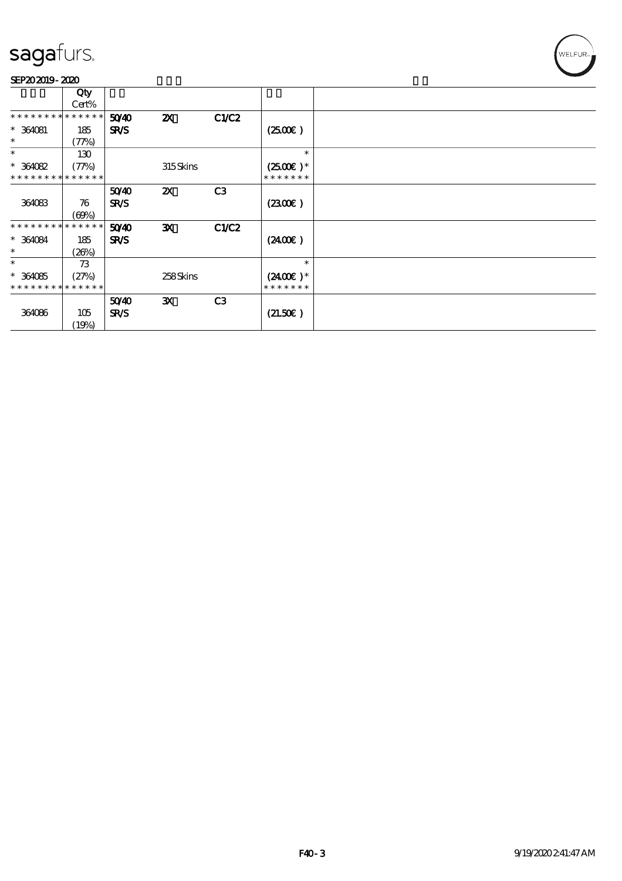

|                             | Qty         |                    |                           |                |                     |  |
|-----------------------------|-------------|--------------------|---------------------------|----------------|---------------------|--|
|                             | Cert%       |                    |                           |                |                     |  |
| * * * * * * * * * * * * * * |             | 50 <sup>2</sup> 40 | $\boldsymbol{\mathsf{Z}}$ | <b>C1/C2</b>   |                     |  |
| $* 364081$                  | 185         | <b>SR/S</b>        |                           |                | $(2500\varepsilon)$ |  |
| $\ast$                      | (77%)       |                    |                           |                |                     |  |
| $\ast$                      | 130         |                    |                           |                | $\ast$              |  |
| $* 364082$                  | (77%)       |                    | 315Skins                  |                | $(2500E)*$          |  |
| * * * * * * * * * * * * * * |             |                    |                           |                | * * * * * * *       |  |
|                             |             | 5040               | $\boldsymbol{\mathsf{z}}$ | C <sub>3</sub> |                     |  |
| 364083                      | 76          | <b>SR/S</b>        |                           |                | (230E)              |  |
|                             | (60%)       |                    |                           |                |                     |  |
| * * * * * * * *             | * * * * * * | 50 <sup>/40</sup>  | $\mathbf{x}$              | <b>C1/C2</b>   |                     |  |
| $*$ 364084                  | 185         | <b>SR/S</b>        |                           |                | $(2400\varepsilon)$ |  |
| $\ast$                      | (20%)       |                    |                           |                |                     |  |
| $\ast$                      | 73          |                    |                           |                | $\ast$              |  |
| $* 364085$                  | (27%)       |                    | 258Skins                  |                | $(2400E)*$          |  |
| * * * * * * * *             | * * * * * * |                    |                           |                | * * * * * * *       |  |
|                             |             | 5040               | $\mathbf{x}$              | C <sub>3</sub> |                     |  |
| 364086                      | 105         | <b>SR/S</b>        |                           |                | (21.50)             |  |
|                             | (19%)       |                    |                           |                |                     |  |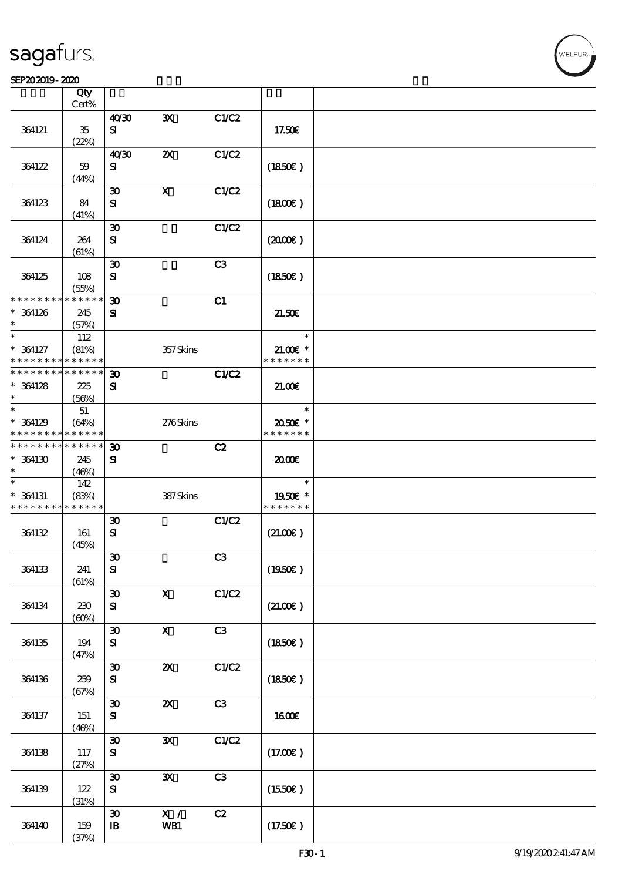#### $SEP202019 - 2020$

|                               | Qty<br>Cert%         |                                          |                           |       |                              |  |
|-------------------------------|----------------------|------------------------------------------|---------------------------|-------|------------------------------|--|
|                               |                      | 40'30                                    | $\mathbf{x}$              | C1/C2 |                              |  |
| 364121                        | $35\,$<br>(22%)      | ${\bf s}$                                |                           |       | 17.50€                       |  |
| 364122                        | 59                   | 40'30<br>${\bf s}$                       | $\boldsymbol{\mathsf{z}}$ | C1/C2 | (1850)                       |  |
|                               | (44%)                |                                          |                           |       |                              |  |
| 364123                        | 84                   | $\boldsymbol{\mathfrak{D}}$<br>${\bf s}$ | $\boldsymbol{\mathrm{X}}$ | C1/C2 | $(1800\epsilon)$             |  |
|                               | (41%)                |                                          |                           |       |                              |  |
|                               |                      | $\boldsymbol{\mathfrak{D}}$              |                           | C1/C2 |                              |  |
| 364124                        | 264<br>(61%)         | ${\bf s}$                                |                           |       | (200E)                       |  |
|                               |                      | $\boldsymbol{\mathfrak{D}}$              |                           | C3    |                              |  |
| 364125                        | 108<br>(55%)         | ${\bf s}$                                |                           |       | (1850)                       |  |
| * * * * * * * *               | * * * * *            | $\boldsymbol{\mathfrak{D}}$              |                           | C1    |                              |  |
| * 364126<br>$\ast$            | 245<br>(57%)         | ${\bf s}$                                |                           |       | 21.50E                       |  |
| $\ast$                        | 112                  |                                          |                           |       | $\ast$                       |  |
| $*$ 364127<br>* * * * * * * * | (81%)<br>* * * * * * |                                          | 357Skins                  |       | $21.00$ $*$<br>* * * * * * * |  |
| * * * * * * * *               | * * * * * *          | $\boldsymbol{\mathfrak{D}}$              |                           | C1/C2 |                              |  |
| $*$ 364128                    | 225                  | ${\bf s}$                                |                           |       | 21.00E                       |  |
| *                             | (56%)                |                                          |                           |       |                              |  |
| $\ast$                        |                      |                                          |                           |       | $\ast$                       |  |
|                               | 51                   |                                          |                           |       |                              |  |
| $*$ 364129<br>* * * * * * * * | (64%)<br>* * * * * * |                                          | 276Skins                  |       | 2050E *<br>* * * * * * *     |  |
| * * * * * * * *               | * * * * * *          |                                          |                           |       |                              |  |
|                               |                      | $\boldsymbol{\mathfrak{D}}$              |                           | C2    |                              |  |
| $*$ 364130                    | 245                  | ${\bf s}$                                |                           |       | æœ                           |  |
| $\ast$                        | (46%)                |                                          |                           |       |                              |  |
| $\ast$                        | 142                  |                                          |                           |       | $\ast$                       |  |
| $*$ 364131                    | (83%)                |                                          | 387Skins                  |       | 1950E *<br>* * * * * * *     |  |
| * * * * * * * *               | * * * * * *          |                                          |                           |       |                              |  |
|                               |                      | $\boldsymbol{\mathfrak{D}}$              |                           | C1/C2 |                              |  |
| 364132                        | 161                  | ${\bf s}$                                |                           |       | (21.00)                      |  |
|                               | (45%)                |                                          |                           |       |                              |  |
|                               |                      | $\boldsymbol{\mathfrak{D}}$              |                           | C3    |                              |  |
| 364133                        | 241<br>(61%)         | ${\bf S}$                                |                           |       | (1950)                       |  |
|                               |                      | $\boldsymbol{\mathfrak{D}}$              | $\boldsymbol{\mathsf{X}}$ | C1/C2 |                              |  |
| 364134                        | 230                  | ${\bf s}$                                |                           |       | (21.00)                      |  |
|                               | (60%)                |                                          |                           |       |                              |  |
|                               |                      | $\boldsymbol{\mathfrak{D}}$              | $\mathbf X$               | C3    |                              |  |
| 364135                        | 194                  | ${\bf s}$                                |                           |       | (1850)                       |  |
|                               | (47%)                |                                          |                           |       |                              |  |
|                               |                      | $\boldsymbol{\mathfrak{D}}$              | $\boldsymbol{\mathsf{z}}$ | C1/C2 |                              |  |
| 364136                        | 259                  | ${\bf S}$                                |                           |       | (1850)                       |  |
|                               | (67%)                |                                          |                           |       |                              |  |
|                               |                      | $\boldsymbol{\mathfrak{D}}$              | $\boldsymbol{\mathsf{X}}$ | C3    |                              |  |
| 364137                        | 151                  | ${\bf s}$                                |                           |       | <b>160€</b>                  |  |
|                               |                      |                                          |                           |       |                              |  |
|                               | (46%)                |                                          |                           | C1/C2 |                              |  |
|                               |                      | $\boldsymbol{\mathfrak{D}}$              | $\mathbf{x}$              |       |                              |  |
| 364138                        | 117                  | ${\bf s}$                                |                           |       | (17.00)                      |  |
|                               | (27%)                |                                          |                           |       |                              |  |
|                               |                      | $\boldsymbol{\mathfrak{D}}$              | $\mathbf{x}$              | C3    |                              |  |
| 364139                        | 122                  | ${\bf s}$                                |                           |       | (1550E)                      |  |
|                               | (31%)                |                                          |                           |       |                              |  |
|                               |                      | $\boldsymbol{\mathfrak{D}}$              | $\mathbf{X}$ /            | C2    |                              |  |
| 364140                        | 159                  | $\, {\bf I} \! {\bf B} \,$               | WB1                       |       | (17.50)                      |  |
|                               | (37%)                |                                          |                           |       |                              |  |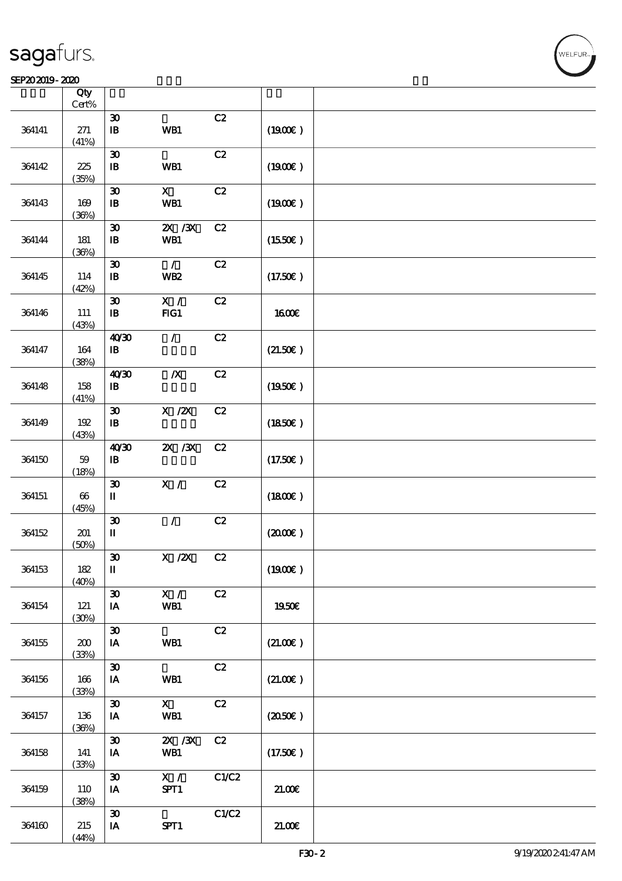#### SEP202019-2020

|        | Qty<br>$\mbox{Cert}\%$         |                                                           |                                       |       |                     |  |
|--------|--------------------------------|-----------------------------------------------------------|---------------------------------------|-------|---------------------|--|
| 364141 | $271\,$<br>(41%)               | $\boldsymbol{\mathfrak{D}}$<br>${\bf I\!B}$               | WB1                                   | C2    | (1900)              |  |
| 364142 | $225\,$<br>(35%)               | $\boldsymbol{\mathfrak{D}}$<br>$\, {\bf I} \! {\bf B} \,$ | WB1                                   | C2    | (1900E)             |  |
| 364143 | 169<br>(36%)                   | $\boldsymbol{\mathfrak{D}}$<br>${\bf I\!B}$               | $\boldsymbol{\mathsf{X}}$<br>WB1      | C2    | (1900)              |  |
| 364144 | 181<br>(36%)                   | $\boldsymbol{\mathfrak{D}}$<br>$\, {\bf B}$               | ZX / XX<br>WB1                        | C2    | (1550E)             |  |
| 364145 | 114<br>(42%)                   | $\boldsymbol{\mathfrak{D}}$<br>$\, {\bf I} \! {\bf B} \,$ | $\mathcal{L}$<br><b>WB2</b>           | C2    | (17.50)             |  |
| 364146 | 111<br>(43%)                   | $\boldsymbol{\mathfrak{D}}$<br>${\bf I\!B}$               | X /<br>FG1                            | C2    | <b>160€</b>         |  |
| 364147 | $164\,$<br>(38%)               | 40'30<br>$\, {\bf I} \! {\bf B} \,$                       | $\mathcal{L}$                         | C2    | (21.50)             |  |
| 364148 | 158<br>(41%)                   | 40'30<br>$\, {\bf I} \! {\bf B} \,$                       | $\boldsymbol{X}$                      | C2    | (1950E)             |  |
| 364149 | 192<br>(43%)                   | $\boldsymbol{\mathfrak{D}}$<br>$\, {\bf I} \! {\bf B} \,$ | $X$ / $ZX$                            | C2    | (1850)              |  |
| 364150 | 59<br>(18%)                    | 40'30<br>${\bf I\!B}$                                     | $ZX$ $ZX$                             | C2    | (17.50)             |  |
| 364151 | $\boldsymbol{\omega}$<br>(45%) | $\boldsymbol{\mathfrak{D}}$<br>$\mathbf I$                | X /                                   | C2    | (1800)              |  |
| 364152 | 201<br>(50%)                   | $\boldsymbol{\mathfrak{D}}$<br>$\mathbf{I}$               | $\sqrt{2}$                            | C2    | $(2000\varepsilon)$ |  |
| 364153 | $182\,$<br>(40%)               | $\boldsymbol{\mathfrak{D}}$<br>П                          | $\boldsymbol{\mathrm{X}}$ / <b>ZX</b> | C2    | (1900E)             |  |
| 364154 | 121<br>(30%)                   | $\boldsymbol{\mathfrak{D}}$<br>IA                         | X /<br>WB1                            | C2    | 1950E               |  |
| 364155 | 200<br>(33%)                   | $\boldsymbol{\mathfrak{D}}$<br>IA                         | WB1                                   | C2    | (21.00)             |  |
| 364156 | 166<br>(33%)                   | $\boldsymbol{\mathfrak{D}}$<br>IA                         | WB1                                   | C2    | (21.00)             |  |
| 364157 | 136<br>(36%)                   | $\pmb{\mathfrak{D}}$<br>IA                                | $\mathbf{X}$<br>WB1                   | C2    | (2050)              |  |
| 364158 | 141<br>(33%)                   | $\boldsymbol{\mathfrak{D}}$<br>IA                         | 2X / 3X<br>WB1                        | C2    | (17.50)             |  |
| 364159 | 110<br>(38%)                   | $\boldsymbol{\mathfrak{D}}$<br>IA                         | X /<br>SPT1                           | C1/C2 | 21.00E              |  |
| 364160 | 215<br>(44%)                   | $\boldsymbol{\mathfrak{D}}$<br>$\,$ IA                    | SPT1                                  | C1/C2 | 21.006              |  |

**NELFUR**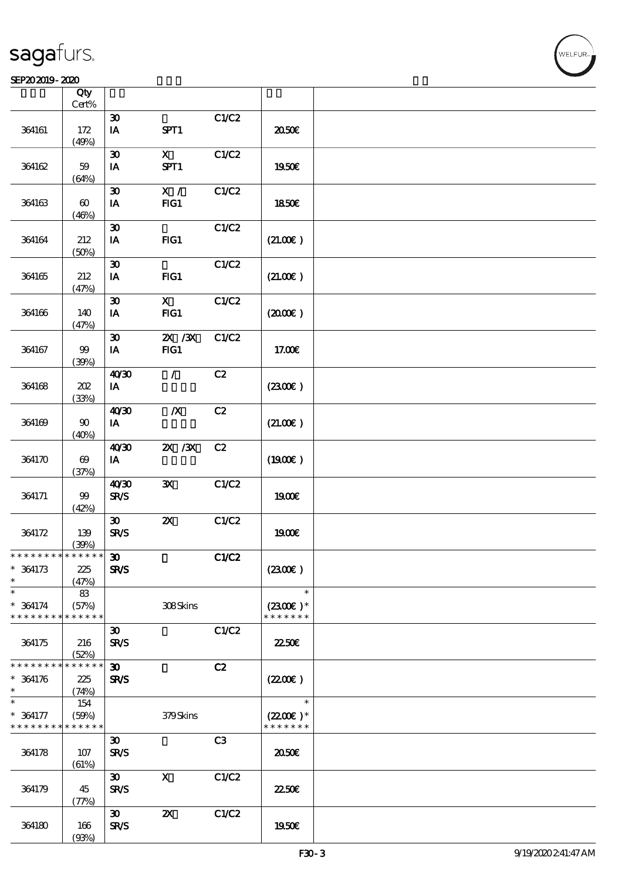#### $S$ EP202019 - 2020  $S$

|                               | Qty<br>$\mbox{Cert}\%$ |                             |                           |       |                      |  |
|-------------------------------|------------------------|-----------------------------|---------------------------|-------|----------------------|--|
|                               |                        |                             |                           |       |                      |  |
|                               |                        | $\boldsymbol{\mathfrak{D}}$ |                           | C1/C2 |                      |  |
| 364161                        | 172                    | IA                          | SPT1                      |       | 2050€                |  |
|                               | (49%)                  |                             |                           |       |                      |  |
|                               |                        | $\boldsymbol{\mathfrak{D}}$ | $\mathbf X$               | C1/C2 |                      |  |
| 364162                        | 59                     | $I$ A                       | SPT1                      |       | 1950€                |  |
|                               | (64%)                  |                             |                           |       |                      |  |
|                               |                        | $\boldsymbol{\mathfrak{D}}$ | X /                       | C1/C2 |                      |  |
| 364163                        | $\boldsymbol{\omega}$  | IA                          | $HG1$                     |       | 1850E                |  |
|                               |                        |                             |                           |       |                      |  |
|                               | (46%)                  |                             |                           |       |                      |  |
|                               |                        | $\boldsymbol{\mathfrak{D}}$ |                           | C1/C2 |                      |  |
| 364164                        | 212                    | IA                          | FG1                       |       | (21.00)              |  |
|                               | (50%)                  |                             |                           |       |                      |  |
|                               |                        | $\pmb{\mathfrak{D}}$        |                           | C1/C2 |                      |  |
| 364165                        | 212                    | IA                          | $HG1$                     |       | (21.00)              |  |
|                               | (47%)                  |                             |                           |       |                      |  |
|                               |                        | $\boldsymbol{\mathfrak{D}}$ | $\mathbf{X}$              | C1/C2 |                      |  |
| 364166                        | 140                    | IA                          | FG1                       |       | (200E)               |  |
|                               |                        |                             |                           |       |                      |  |
|                               | (47%)                  |                             |                           |       |                      |  |
|                               |                        | $\boldsymbol{\mathfrak{D}}$ | $X \, X$                  | C1/C2 |                      |  |
| 364167                        | $99$                   | IA                          | FG1                       |       | 17.00€               |  |
|                               | (30%)                  |                             |                           |       |                      |  |
|                               |                        | 40'30                       | $\mathcal{L}$             | C2    |                      |  |
| 364168                        | 202                    | IA                          |                           |       | (2300)               |  |
|                               | (33%)                  |                             |                           |       |                      |  |
|                               |                        | 40'30                       | $\boldsymbol{X}$          | C2    |                      |  |
| 364169                        | 90                     | IA                          |                           |       | (21.00)              |  |
|                               |                        |                             |                           |       |                      |  |
|                               | (40%)                  |                             |                           |       |                      |  |
|                               |                        | 40'30                       | $X \, X$                  | C2    |                      |  |
| 364170                        | $\boldsymbol{\Theta}$  | IA                          |                           |       | (1900)               |  |
|                               | (37%)                  |                             |                           |       |                      |  |
|                               |                        | 40'30                       | $\mathbf{x}$              | C1/C2 |                      |  |
| 364171                        | $99\,$                 | <b>SR/S</b>                 |                           |       | 1900E                |  |
|                               | (42%)                  |                             |                           |       |                      |  |
|                               |                        | $\boldsymbol{\mathfrak{D}}$ | $\boldsymbol{\mathsf{z}}$ | C1/C2 |                      |  |
| 364172                        | 139                    | <b>SR/S</b>                 |                           |       | 1900E                |  |
|                               | (30%)                  |                             |                           |       |                      |  |
| * * * * * * * * * * * * * * * |                        | $\boldsymbol{\mathfrak{D}}$ |                           | C1/C2 |                      |  |
| $* 364173$                    | 225                    | <b>SR/S</b>                 |                           |       | (2300)               |  |
| $\ast$                        |                        |                             |                           |       |                      |  |
|                               | (47%)                  |                             |                           |       |                      |  |
| $\ast$                        | 83                     |                             |                           |       | $\ast$               |  |
| $* 364174$                    | (57%)                  |                             | 308Skins                  |       | $(2300)$ *           |  |
| * * * * * * * *               | * * * * * *            |                             |                           |       | * * * * * * *        |  |
|                               |                        | $\boldsymbol{\mathfrak{D}}$ |                           | C1/C2 |                      |  |
| 364175                        | 216                    | <b>SR/S</b>                 |                           |       | 2250E                |  |
|                               | (52%)                  |                             |                           |       |                      |  |
| * * * * * * * *               | * * * * * *            | $\boldsymbol{\mathfrak{D}}$ |                           | C2    |                      |  |
| $* 364176$                    | 225                    | <b>SR/S</b>                 |                           |       | (220E)               |  |
| $\ast$                        |                        |                             |                           |       |                      |  |
| $\ast$                        | (74%)                  |                             |                           |       | $\ast$               |  |
|                               | 154                    |                             |                           |       |                      |  |
| $* 364177$                    | (50%)                  |                             | 379Skins                  |       | $(2200\varepsilon)*$ |  |
| * * * * * * * *               | * * * * * *            |                             |                           |       | * * * * * * *        |  |
|                               |                        | $\boldsymbol{\mathfrak{D}}$ |                           | C3    |                      |  |
| 364178                        | 107                    | <b>SR/S</b>                 |                           |       | 2050€                |  |
|                               | (61%)                  |                             |                           |       |                      |  |
|                               |                        | $\boldsymbol{\mathfrak{D}}$ | $\mathbf x$               | C1/C2 |                      |  |
| 364179                        | 45                     | <b>SR/S</b>                 |                           |       | 2250E                |  |
|                               | (77%)                  |                             |                           |       |                      |  |
|                               |                        | $\boldsymbol{\mathfrak{D}}$ | $\boldsymbol{\mathsf{z}}$ | C1/C2 |                      |  |
| 364180                        | 166                    | <b>SR/S</b>                 |                           |       | 1950€                |  |
|                               |                        |                             |                           |       |                      |  |
|                               | (93%)                  |                             |                           |       |                      |  |

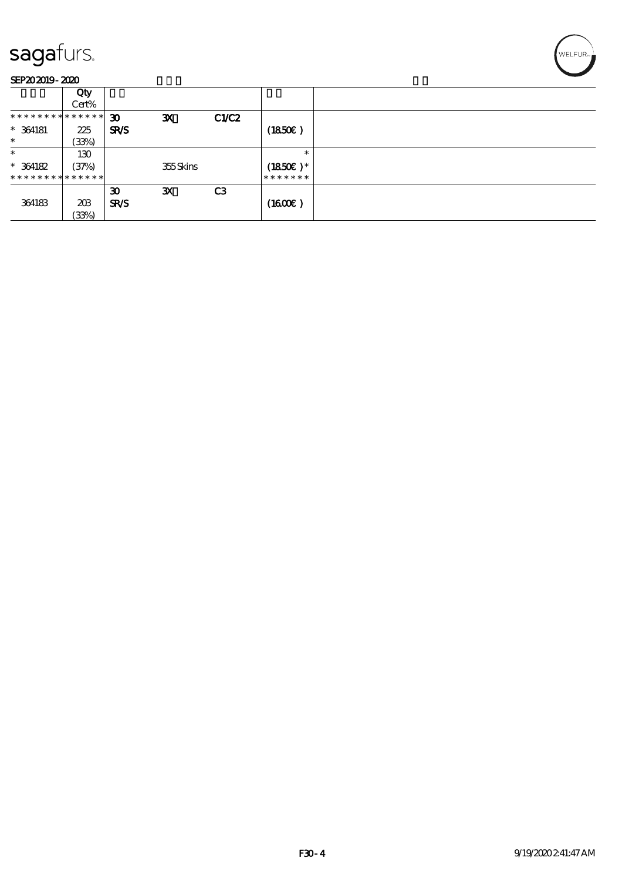#### SEP202019-2020

| --------                      |              |                             |              |                |            |  |
|-------------------------------|--------------|-----------------------------|--------------|----------------|------------|--|
|                               | Qty<br>Cert% |                             |              |                |            |  |
| * * * * * * * * * * * * * * * |              | $\boldsymbol{\mathfrak{D}}$ | $\mathbf{x}$ | CLC2           |            |  |
| $*$ 364181                    | 225          | SR/S                        |              |                | (1850)     |  |
| $\ast$                        | (33%)        |                             |              |                |            |  |
| $\ast$                        | 130          |                             |              |                | $\ast$     |  |
| $* 364182$                    | (37%)        |                             | 355Skins     |                | $(1850)$ * |  |
| * * * * * * * * * * * * * * * |              |                             |              |                | *******    |  |
|                               |              | $\boldsymbol{\mathfrak{D}}$ | $\mathbf{x}$ | C <sub>3</sub> |            |  |
| 364183                        | 208          | SR/S                        |              |                | (1600)     |  |
|                               | (33%)        |                             |              |                |            |  |

WELFUR<sub>"</sub><br>NELFUR<sub>"</sub>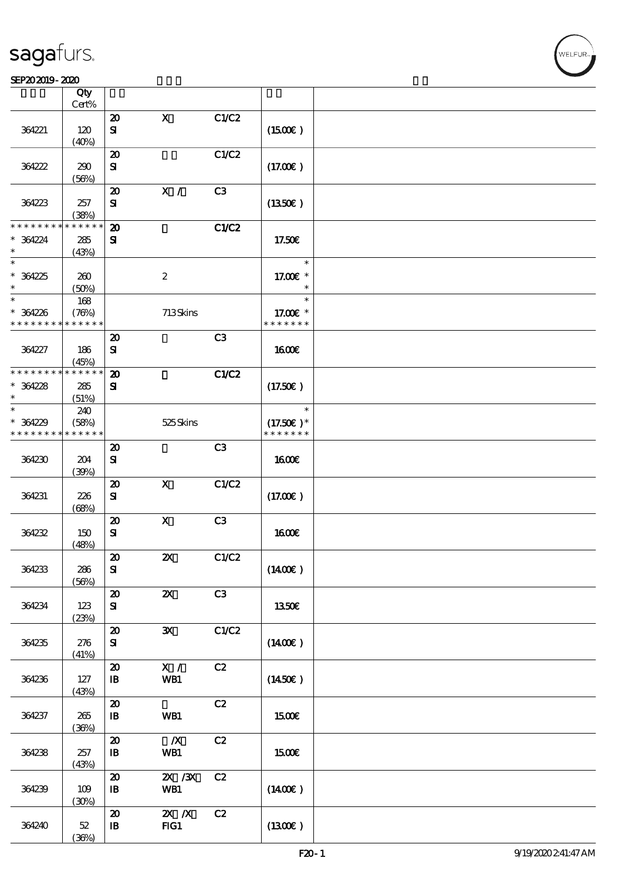#### SEP202019-2020

|                               | Qty<br>Cert%         |                                         |                           |                |                              |  |
|-------------------------------|----------------------|-----------------------------------------|---------------------------|----------------|------------------------------|--|
|                               |                      |                                         |                           |                |                              |  |
| 364221                        | 120                  | $\boldsymbol{\mathsf{20}}$<br>${\bf s}$ | $\mathbf X$               | C1/C2          | $(1500\varepsilon)$          |  |
|                               | (40%)                |                                         |                           |                |                              |  |
|                               |                      | $\boldsymbol{\mathsf{20}}$              |                           | C1/C2          |                              |  |
| 364222                        | 290<br>(56%)         | ${\bf S}$                               |                           |                | (17.00)                      |  |
|                               |                      | $\boldsymbol{\mathbf{z}}$               | X /                       | C3             |                              |  |
| 364223                        | 257                  | ${\bf S\!I}$                            |                           |                | (1350E)                      |  |
|                               | (38%)                |                                         |                           |                |                              |  |
| * * * * * * * *               | * * * * * *          | $\boldsymbol{\mathbf{z}}$               |                           | C1/C2          |                              |  |
| $* 364224$                    | 285                  | ${\bf s}$                               |                           |                | 17.50€                       |  |
| $\ast$                        | (43%)                |                                         |                           |                |                              |  |
| $\ast$                        |                      |                                         |                           |                | $\ast$                       |  |
| $*364225$<br>$\ast$           | 260                  |                                         | $\boldsymbol{2}$          |                | 17.00 £*                     |  |
| $\ast$                        | (50%)<br>168         |                                         |                           |                | $\ast$<br>$\ast$             |  |
| $* 364226$                    | (76%)                |                                         | 713Skins                  |                | 17.00 $\epsilon$ *           |  |
| * * * * * * * *               | * * * * * *          |                                         |                           |                | * * * * * * *                |  |
|                               |                      | $\boldsymbol{\mathsf{20}}$              |                           | C3             |                              |  |
| 364227                        | 186                  | $\mathbf{S}$                            |                           |                | <b>1600€</b>                 |  |
|                               | (45%)                |                                         |                           |                |                              |  |
| * * * * * * * *               | * * * * * *          | $\boldsymbol{\mathbf{z}}$               |                           | C1/C2          |                              |  |
| $* 364228$                    | 285                  | ${\bf s}$                               |                           |                | (17.50)                      |  |
| $\ast$<br>$\ast$              | (51%)                |                                         |                           |                | $\ast$                       |  |
|                               | 240                  |                                         |                           |                |                              |  |
| $* 364229$<br>* * * * * * * * | (58%)<br>* * * * * * |                                         | 525 Skins                 |                | $(17.50)$ *<br>* * * * * * * |  |
|                               |                      | $\boldsymbol{\mathsf{20}}$              |                           | C <sub>3</sub> |                              |  |
| 364230                        | 204                  | ${\bf S}$                               |                           |                | <b>1600€</b>                 |  |
|                               | (39%)                |                                         |                           |                |                              |  |
|                               |                      | $\boldsymbol{\mathbf{z}}$               | $\boldsymbol{\mathsf{X}}$ | C1/C2          |                              |  |
| 364231                        | 226                  | ${\bf s}$                               |                           |                | (17.00)                      |  |
|                               | (68%)                |                                         |                           |                |                              |  |
|                               |                      | $\boldsymbol{\mathsf{20}}$              | $\mathbf X$               | C3             |                              |  |
| 364232                        | 150                  | ${\bf s}$                               |                           |                | <b>1600€</b>                 |  |
|                               | (48%)                | $\boldsymbol{\mathsf{20}}$              | $\pmb{\mathsf{Z\!X}}$     | C1/C2          |                              |  |
| 364233                        | 286                  | ${\bf S}$                               |                           |                | $(1400\varepsilon)$          |  |
|                               | (56%)                |                                         |                           |                |                              |  |
|                               |                      | $\boldsymbol{\mathbf{z}}$               | $\boldsymbol{\mathsf{z}}$ | C3             |                              |  |
| 364234                        | 123                  | ${\bf s}$                               |                           |                | 1350E                        |  |
|                               | (23%)                |                                         |                           |                |                              |  |
|                               |                      | $\boldsymbol{\mathbf{z}}$               | $\mathbf{x}$              | C1/C2          |                              |  |
| 364235                        | 276                  | ${\bf s}$                               |                           |                | $(1400\varepsilon)$          |  |
|                               | (41%)                | $\boldsymbol{\mathfrak{D}}$             | X /                       | C2             |                              |  |
| 364236                        | 127                  | $\mathbf{B}$                            | WB1                       |                | (1450E)                      |  |
|                               | (43%)                |                                         |                           |                |                              |  |
|                               |                      | $\boldsymbol{\mathbf{z}}$               |                           | C2             |                              |  |
| 364237                        | 265                  | $\, {\bf I} \! {\bf B} \,$              | WB1                       |                | 1500€                        |  |
|                               | (36%)                |                                         |                           |                |                              |  |
|                               |                      | $\boldsymbol{\mathsf{20}}$              | $\boldsymbol{X}$          | C2             |                              |  |
| 364238                        | 257                  | $\mathbf{B}$                            | WB1                       |                | 1500€                        |  |
|                               | (43%)                | $\boldsymbol{\mathbf{z}}$               | $X \, X$                  | C2             |                              |  |
| 364239                        | $109$                | $\, {\bf I} \! {\bf B} \,$              | WB1                       |                | $(1400\varepsilon)$          |  |
|                               | (30%)                |                                         |                           |                |                              |  |
|                               |                      | $\boldsymbol{\mathbf{z}}$               | $X$ $N$                   | C2             |                              |  |
| 364240                        | $52\,$               | ${\bf I\!B}$                            | FG1                       |                | (1300)                       |  |
|                               | (36%)                |                                         |                           |                |                              |  |

.<br>NELFUR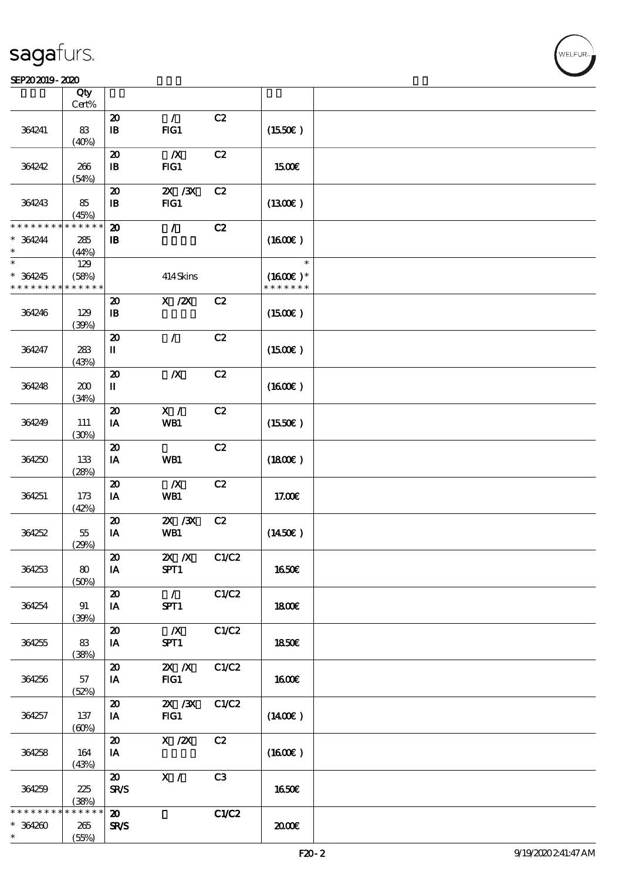#### SEP202019-2020

|                                         | Qty<br>$Cert\%$             |                                                           |                                                                                                |       |                                       |  |
|-----------------------------------------|-----------------------------|-----------------------------------------------------------|------------------------------------------------------------------------------------------------|-------|---------------------------------------|--|
|                                         |                             | $\boldsymbol{\mathfrak{D}}$                               | $\mathcal{L}$                                                                                  | C2    |                                       |  |
| 364241                                  | 83<br>(40%)                 | $\, {\bf I} \! {\bf B} \,$                                | FG1                                                                                            |       | (1550E)                               |  |
| 364242                                  | 266                         | $\boldsymbol{\mathsf{20}}$<br>$\, {\bf I} \! {\bf B} \,$  | $\boldsymbol{X}$<br>$HG1$                                                                      | C2    | <b>1500€</b>                          |  |
|                                         | (54%)                       |                                                           |                                                                                                |       |                                       |  |
| 364243                                  | 85<br>(45%)                 | $\boldsymbol{\mathbf{z}}$<br>$\, {\bf I} \! {\bf B} \,$   | $X$ / $X$<br>$HG1$                                                                             | C2    | (1300E)                               |  |
| * * * * * * * *<br>$* 364244$<br>$\ast$ | * * * * * *<br>285<br>(44%) | $\boldsymbol{\mathfrak{D}}$<br>$\, {\bf I} \! {\bf B} \,$ | $\mathcal{L}$                                                                                  | C2    | (1600E)                               |  |
| $\ast$<br>$* 364245$<br>* * * * * * * * | 129<br>(58%)<br>* * * * * * |                                                           | 414Skins                                                                                       |       | $\ast$<br>$(1600E)*$<br>* * * * * * * |  |
| 364246                                  | 129<br>(30%)                | $\boldsymbol{\mathfrak{D}}$<br>${\bf I\!B}$               | $X$ / $ZX$                                                                                     | C2    | (1500E)                               |  |
| 364247                                  | 283<br>(43%)                | $\boldsymbol{\mathsf{20}}$<br>$\mathbf I$                 | $\mathcal{L}$                                                                                  | C2    | $(1500\varepsilon)$                   |  |
| 364248                                  | 200<br>(34%)                | $\boldsymbol{\mathbf{z}}$<br>$\mathbf I$                  | $\boldsymbol{X}$                                                                               | C2    | (1600)                                |  |
| 364249                                  | 111<br>(30%)                | $\boldsymbol{\mathbf{z}}$<br>IA                           | X /<br>WB1                                                                                     | C2    | (1550E)                               |  |
| 364250                                  | 133<br>(28%)                | $\boldsymbol{\mathfrak{D}}$<br>IA                         | WB1                                                                                            | C2    | (1800)                                |  |
| 364251                                  | 173<br>(42%)                | $\boldsymbol{\mathbf{z}}$<br>IA                           | $\boldsymbol{X}$<br>WB1                                                                        | C2    | 17.00E                                |  |
| 364252                                  | $55\,$<br>(29%)             | $\boldsymbol{\mathsf{20}}$<br>$\mathbf{I} \mathbf{A}$     | $ZX$ $ZX$<br>WB1                                                                               | C2    | (1450E)                               |  |
| 364253                                  | 80<br>(50%)                 | $\boldsymbol{\mathsf{20}}$<br>IA                          | $X \, X$<br>SPT1                                                                               | C1/C2 | 1650E                                 |  |
| 364254                                  | 91<br>(30%)                 | $\boldsymbol{\mathfrak{D}}$<br>IA                         | $\mathcal{L}$<br>SPT1                                                                          | C1/C2 | 1800E                                 |  |
| 364255                                  | 83<br>(38%)                 | $\boldsymbol{\mathsf{20}}$<br>IA                          | $\boldsymbol{X}$<br>SPT1                                                                       | C1/C2 | <b>1850€</b>                          |  |
| 364256                                  | 57<br>(52%)                 | $\boldsymbol{\mathsf{20}}$<br>IA                          | $X$ $X$<br>FG1                                                                                 | C1/C2 | <b>160€</b>                           |  |
| 364257                                  | 137<br>(60%)                | $\boldsymbol{\mathfrak{D}}$<br>IA                         | $X \, X$<br>FG1                                                                                | C1/C2 | $(1400\varepsilon)$                   |  |
| 364258                                  | 164<br>(43%)                | $\boldsymbol{\mathsf{20}}$<br>IA                          | $\boldsymbol{\mathrm{X}}$ / <b><math>\boldsymbol{\mathrm{Z}}\boldsymbol{\mathrm{X}}</math></b> | C2    | $(1600\varepsilon)$                   |  |
| 364259                                  | 225<br>(38%)                | $\boldsymbol{\mathfrak{D}}$<br><b>SR/S</b>                | $\mathbf{X}$ /                                                                                 | C3    | 1650€                                 |  |
| * * * * * * *                           | * * * * * *                 | $\boldsymbol{\mathsf{20}}$                                |                                                                                                | C1/C2 |                                       |  |
| $* 364260$<br>$\ast$                    | 265<br>(55%)                | SR/S                                                      |                                                                                                |       | 2000                                  |  |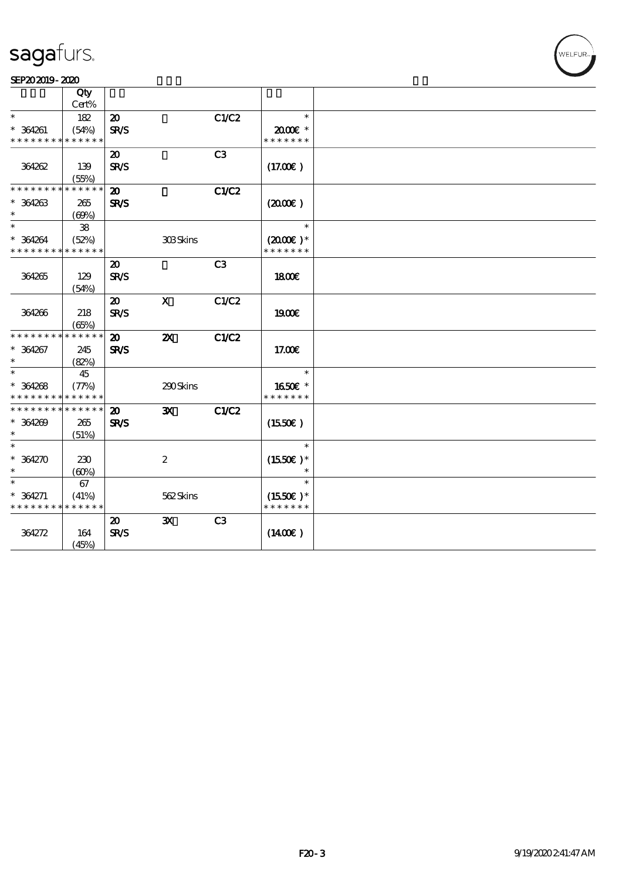#### SEP202019-2020

|                 | Qty                                      |                             |                           |                |                     |  |
|-----------------|------------------------------------------|-----------------------------|---------------------------|----------------|---------------------|--|
|                 | Cert%                                    |                             |                           |                |                     |  |
| $\ast$          | 182                                      | $\boldsymbol{\mathfrak{D}}$ |                           | C1/C2          | $\ast$              |  |
| $* 364261$      | (54%)                                    | <b>SR/S</b>                 |                           |                | 2000E*              |  |
| * * * * * * * * | * * * * * *                              |                             |                           |                | * * * * * * *       |  |
|                 |                                          | $\boldsymbol{\mathfrak{D}}$ |                           | C <sub>3</sub> |                     |  |
| 364262          | 139                                      | <b>SR/S</b>                 |                           |                | (17.00)             |  |
|                 | (55%)                                    |                             |                           |                |                     |  |
| * * * * * * * * | * * * * * *                              | $\boldsymbol{\mathbf{z}}$   |                           | C1/C2          |                     |  |
| $* 364263$      | 265                                      | SR/S                        |                           |                | (200E)              |  |
| $\ast$          | (60%)                                    |                             |                           |                |                     |  |
| $\ast$          | ${\bf 38}$                               |                             |                           |                | $\ast$              |  |
| $* 364264$      | (52%)                                    |                             | 308Skins                  |                | $(2000)$ *          |  |
| * * * * * * * * | * * * * * *                              |                             |                           |                | * * * * * * *       |  |
|                 |                                          | $\boldsymbol{\mathfrak{D}}$ |                           | C <sub>3</sub> |                     |  |
| 364265          | 129                                      | <b>SR/S</b>                 |                           |                | 1800E               |  |
|                 | (54%)                                    |                             |                           |                |                     |  |
|                 |                                          | $\boldsymbol{\mathfrak{D}}$ | $\mathbf x$               | C1/C2          |                     |  |
| 364266          | 218                                      | <b>SR/S</b>                 |                           |                | 1900E               |  |
|                 | (65%)                                    |                             |                           |                |                     |  |
| * * * * * * *   | * * * * * *                              | $\boldsymbol{\mathfrak{D}}$ | $\boldsymbol{\mathsf{z}}$ | <b>C1/C2</b>   |                     |  |
| $* 364267$      | 245                                      | SR/S                        |                           |                | 17.00€              |  |
| $\ast$          | (82%)                                    |                             |                           |                |                     |  |
| $\ast$          | 45                                       |                             |                           |                | $\ast$              |  |
| $* 364268$      | (77%)                                    |                             | 290Skins                  |                | 1650€ *             |  |
| * * * * * * * * | * * * * * *                              |                             |                           |                | * * * * * * *       |  |
| * * * * * * * * | * * * * * *                              | $\boldsymbol{\mathfrak{D}}$ | $\mathbf{x}$              | <b>C1/C2</b>   |                     |  |
| $* 364209$      | 265                                      | SR/S                        |                           |                | $(1550\epsilon)$    |  |
| $\ast$          | (51%)                                    |                             |                           |                |                     |  |
| $\ast$          |                                          |                             |                           |                | $\ast$              |  |
| $* 364270$      | 230                                      |                             | $\boldsymbol{2}$          |                | $(1550E)*$          |  |
|                 | $\left(\frac{\text{O}}{\text{O}}\right)$ |                             |                           |                | $\ast$              |  |
| $\ast$          | 67                                       |                             |                           |                | $\ast$              |  |
| $* 364271$      | (41%)                                    |                             | 562Skins                  |                | $(1550E)*$          |  |
| * * * * * * * * | * * * * * *                              |                             |                           |                | * * * * * * *       |  |
|                 |                                          | $\boldsymbol{\mathfrak{D}}$ | $\mathbf{x}$              | C <sub>3</sub> |                     |  |
| 364272          | 164                                      | <b>SR/S</b>                 |                           |                | $(1400\varepsilon)$ |  |
|                 | (45%)                                    |                             |                           |                |                     |  |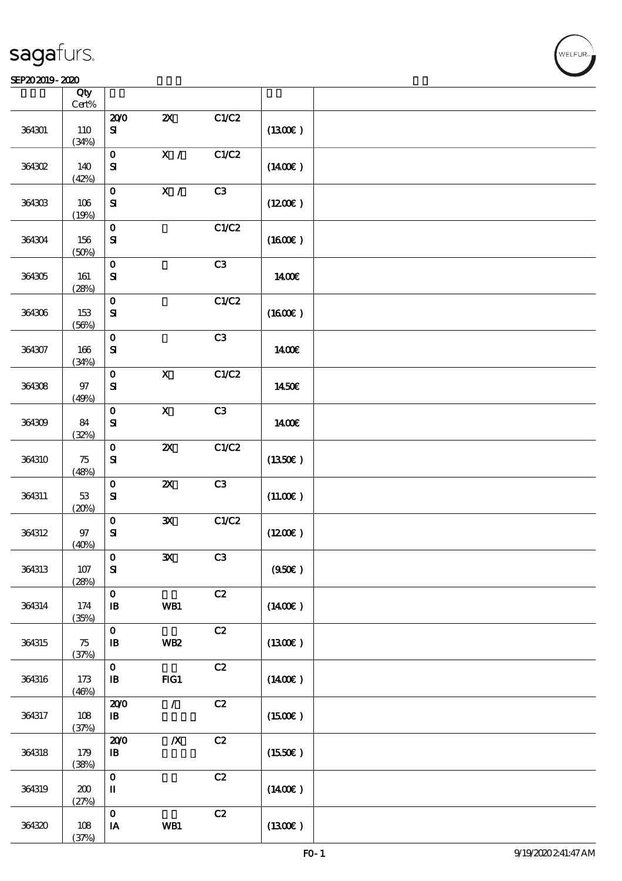#### $SEP202019 - 2020$

|        | Qty<br>$\mbox{Cert}\%$ |                                                      |                           |       |                     |  |
|--------|------------------------|------------------------------------------------------|---------------------------|-------|---------------------|--|
| 364301 | 110<br>(34%)           | 200<br>$\mathbf{S}$                                  | $\boldsymbol{\mathsf{z}}$ | C1/C2 | (1300)              |  |
| 364302 | 140<br>(42%)           | $\mathbf{o}$<br>${\bf S}$                            | $\overline{\mathbf{x}}$ / | C1/C2 | $(1400\varepsilon)$ |  |
| 364303 | $106$<br>(19%)         | $\mathbf O$<br>${\bf S\!I}$                          | X /                       | C3    | $(1200\varepsilon)$ |  |
| 364304 | 156<br>(50%)           | $\mathbf 0$<br>$\mathbf{S}$                          |                           | C1/C2 | $(1600\varepsilon)$ |  |
| 364305 | 161<br>(28%)           | $\mathbf{o}$<br>${\bf S}$                            |                           | C3    | 1400€               |  |
| 364306 | 153<br>(56%)           | $\mathbf{o}$<br>${\bf S\!I}$                         |                           | C1/C2 | (1600)              |  |
| 364307 | $166\,$<br>(34%)       | $\mathbf{o}$<br>$\mathbf{S}$                         |                           | C3    | 1400€               |  |
| 364308 | $97\,$<br>(49%)        | $\mathbf 0$<br>${\bf S}$                             | $\boldsymbol{\mathrm{X}}$ | C1/C2 | 1450€               |  |
| 364309 | 84<br>(32%)            | $\mathbf{o}$<br>${\bf S\!I}$                         | $\mathbf X$               | C3    | 1400E               |  |
| 364310 | 75<br>(48%)            | $\mathbf O$<br>$\mathbf{S}$                          | $\boldsymbol{\mathsf{z}}$ | C1/C2 | (1350)              |  |
| 364311 | 53<br>(20%)            | $\mathbf O$<br>${\bf S}$                             | $\boldsymbol{\mathsf{z}}$ | C3    | (11.00)             |  |
| 364312 | $97\,$<br>(40%)        | $\mathbf O$<br>$\mathbf{S}$                          | ${\bf X}$                 | C1/C2 | (1200)              |  |
| 364313 | 107<br>(28%)           | $\mathbf 0$<br>${\bf s}$                             | $\mathbf{x}$              | C3    | (950)               |  |
| 364314 | 174<br>(35%)           | $\mathbf{o}$<br>$\, {\bf B}$                         | WB1                       | C2    | $(1400\varepsilon)$ |  |
| 364315 | 75<br>(37%)            | $\mathbf{o}$<br>$\, {\bf B}$                         | WB <sub>2</sub>           | C2    | (1300)              |  |
| 364316 | 173<br>(46%)           | $\mathbf{O}$<br>$\, {\bf I} \! {\bf B} \,$           | $HG1$                     | C2    | $(1400\varepsilon)$ |  |
| 364317 | 108<br>(37%)           | 200<br>$\, {\bf I} \! {\bf B} \,$                    | $\mathcal{L}$             | C2    | (1500E)             |  |
| 364318 | 179<br>(38%)           | 200<br>${\bf I\!B}$                                  | $\boldsymbol{X}$          | C2    | (1550)              |  |
| 364319 | 200<br>(27%)           | $\mathbf O$<br>$\rm I\hspace{-.1em}I\hspace{-.1em}I$ |                           | C2    | $(1400\varepsilon)$ |  |
| 364320 | 108<br>(37%)           | $\mathbf O$<br>$\,$ IA                               | WB1                       | C2    | (1300)              |  |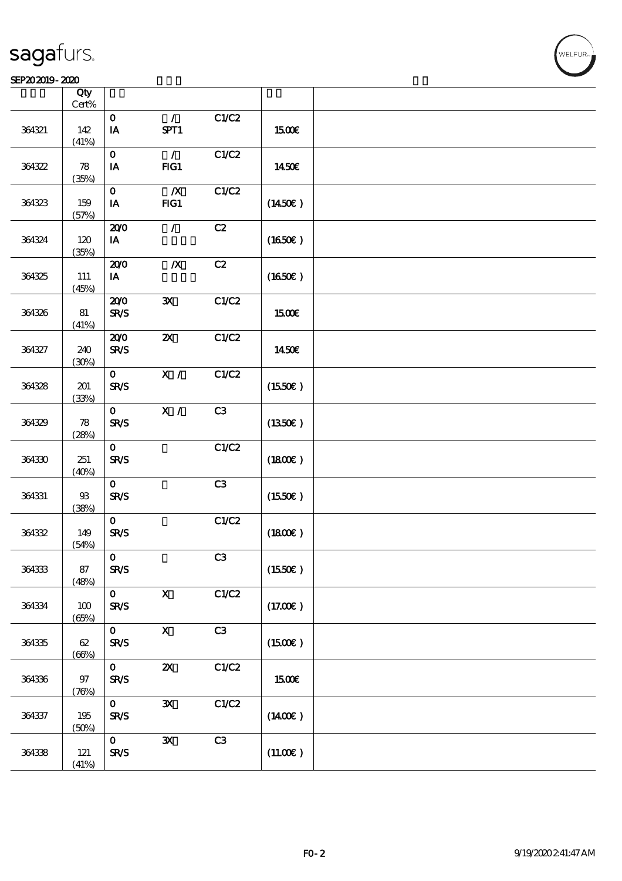#### SEP202019-2020

|        | Qty<br>$Cert\%$ |                             |                           |       |                     |  |
|--------|-----------------|-----------------------------|---------------------------|-------|---------------------|--|
| 364321 | 142<br>(41%)    | $\mathbf{O}$<br>IA          | $\mathcal{L}$<br>SPT1     | C1/C2 | 1500€               |  |
| 364322 | 78<br>(35%)     | $\mathbf{O}$<br>$I$ A       | $\mathcal{L}$<br>$HG1$    | C1/C2 | 1450€               |  |
| 364323 | 159<br>(57%)    | $\mathbf{O}$<br>IA          | $\boldsymbol{X}$<br>$HG1$ | C1/C2 | $(1450\epsilon)$    |  |
| 364324 | 120<br>(35%)    | 200<br>IA                   | $\sqrt{2}$                | C2    | (1650)              |  |
| 364325 | 111<br>(45%)    | 200<br>IA                   | $\boldsymbol{X}$          | C2    | (1650E)             |  |
| 364326 | 81<br>(41%)     | 200<br><b>SR/S</b>          | $\mathbf{x}$              | C1/C2 | 1500€               |  |
| 364327 | 240<br>(30%)    | 200<br><b>SR/S</b>          | $\boldsymbol{\mathsf{z}}$ | C1/C2 | 1450€               |  |
| 364328 | 201<br>(33%)    | $\mathbf{O}$<br><b>SR/S</b> | X /                       | C1/C2 | (1550E)             |  |
| 364329 | 78<br>(28%)     | $\mathbf{O}$<br><b>SR/S</b> | $\mathbf{X}$ /            | C3    | (1350E)             |  |
| 364330 | 251<br>(40%)    | $\mathbf{0}$<br><b>SR/S</b> |                           | C1/C2 | (1800)              |  |
| 364331 | $93\,$<br>(38%) | $\mathbf{O}$<br><b>SR/S</b> |                           | C3    | (1550E)             |  |
| 364332 | 149<br>(54%)    | $\mathbf{O}$<br><b>SR/S</b> |                           | C1/C2 | (1800)              |  |
| 364333 | 87<br>(48%)     | $\mathbf{0}$<br><b>SR/S</b> |                           | C3    | (1550E)             |  |
| 364334 | 100<br>(65%)    | $\mathbf{O}$<br><b>SR/S</b> | $\boldsymbol{X}$          | C1/C2 | (17.00)             |  |
| 364335 | 62<br>(66%)     | $\mathbf{O}$<br>SR/S        | $\mathbf x$               | C3    | $(1500\varepsilon)$ |  |
| 364336 | $97\,$<br>(76%) | $\mathbf{O}$<br><b>SR/S</b> | $\boldsymbol{\mathsf{z}}$ | C1/C2 | 1500€               |  |
| 364337 | 195<br>(50%)    | $\mathbf{O}$<br><b>SR/S</b> | $\mathbf{x}$              | C1/C2 | $(1400\varepsilon)$ |  |
| 364338 | $121$<br>(41%)  | $\mathbf{O}$<br>SRS         | ${\bf X}$                 | C3    | (11.00)             |  |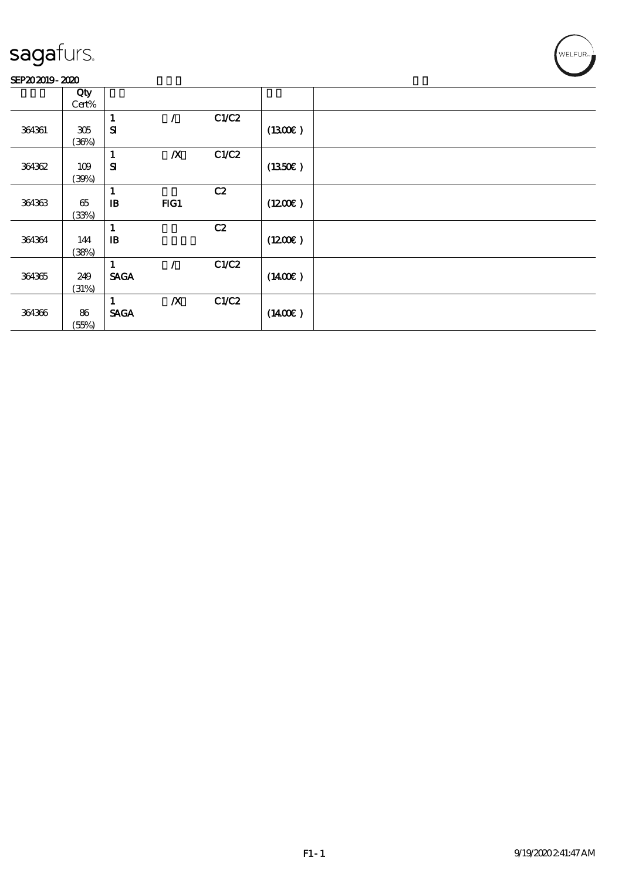#### SEP202019-2020

|        | Qty   |              |                  |       |                     |  |
|--------|-------|--------------|------------------|-------|---------------------|--|
|        | Cert% |              |                  |       |                     |  |
|        |       | $\mathbf 1$  | $\prime$         | C1/C2 |                     |  |
| 364361 | 305   | ${\bf s}$    |                  |       | (1300E)             |  |
|        | (36%) |              |                  |       |                     |  |
|        |       | $\mathbf{1}$ | $\boldsymbol{X}$ | C1/C2 |                     |  |
| 364362 | 109   | ${\bf s}$    |                  |       | (1350)              |  |
|        | (30%) |              |                  |       |                     |  |
|        |       | $\mathbf{1}$ |                  | C2    |                     |  |
| 364363 | 65    | $\mathbf{B}$ | FG1              |       | (1200E)             |  |
|        | (33%) |              |                  |       |                     |  |
|        |       | $\mathbf{1}$ |                  | C2    |                     |  |
| 364364 | 144   | $\mathbf{B}$ |                  |       | (1200)              |  |
|        | (38%) |              |                  |       |                     |  |
|        |       | 1            | $\prime$         | C1/C2 |                     |  |
| 364365 | 249   | <b>SAGA</b>  |                  |       | $(1400\varepsilon)$ |  |
|        | (31%) |              |                  |       |                     |  |
|        |       | 1            | $\boldsymbol{X}$ | C1/C2 |                     |  |
| 364366 | 86    | <b>SAGA</b>  |                  |       | $(1400\varepsilon)$ |  |
|        | (55%) |              |                  |       |                     |  |

WELFUR<sub>™</sub>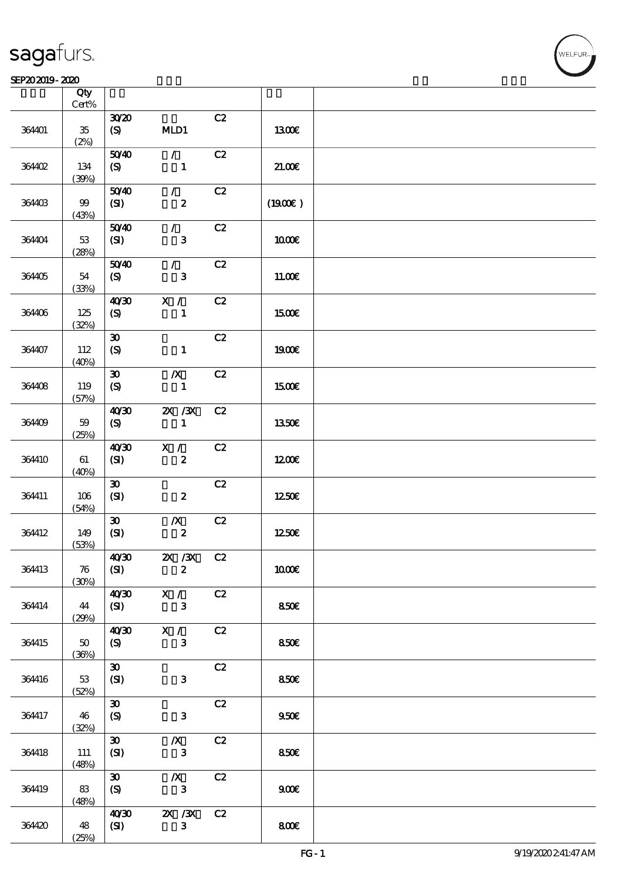#### SEP202019-2020 RHZ

|        | Qty<br>$\mbox{Cert}\%$      |                             |                  |    |                  |  |
|--------|-----------------------------|-----------------------------|------------------|----|------------------|--|
|        |                             | 3020                        |                  | C2 |                  |  |
| 364401 | ${\bf 35}$<br>(2%)          | (S)                         | MD1              |    | <b>1300€</b>     |  |
|        |                             | 5040                        | $\mathcal{F}$    | C2 |                  |  |
| 364402 | 134<br>(30%)                | (S)                         | $\mathbf{1}$     |    | 21.00E           |  |
|        |                             | 5040                        | $\mathcal{L}$    | C2 |                  |  |
| 364403 | 99<br>(43%)                 | (SI)                        | $\boldsymbol{z}$ |    | (1900)           |  |
|        |                             | 5040                        | $\mathcal{L}$    | C2 |                  |  |
| 364404 | 53<br>(28%)                 | (SI)                        | $\mathbf{3}$     |    | <b>100€</b>      |  |
|        |                             | 5040                        | $\mathcal{T}$    | C2 |                  |  |
| 364405 | 54<br>(33%)                 | (S)                         | $\mathbf{3}$     |    | 11.00E           |  |
|        |                             | 40'30                       | X /              | C2 |                  |  |
| 364406 | 125<br>(32%)                | (S)                         | $\mathbf{1}$     |    | 1500€            |  |
|        |                             | $\boldsymbol{\mathfrak{D}}$ |                  | C2 |                  |  |
| 364407 | 112<br>(40%)                | $\boldsymbol{S}$            | $\mathbf{1}$     |    | 1900€            |  |
|        |                             | $\boldsymbol{\mathfrak{D}}$ | $\boldsymbol{X}$ | C2 |                  |  |
| 364408 | 119<br>(57%)                | (S)                         | $\mathbf{1}$     |    | 1500€            |  |
|        |                             | 40'30                       | $X \, X$         | C2 |                  |  |
| 364409 | 59<br>(25%)                 | (S)                         | $\mathbf{1}$     |    | 1350€            |  |
|        |                             | 40'30                       | X /              | C2 |                  |  |
| 364410 | 61<br>(40%)                 | (SI)                        | $\boldsymbol{z}$ |    | 1200E            |  |
|        |                             | $\boldsymbol{\mathfrak{D}}$ |                  | C2 |                  |  |
| 364411 | $106$<br>(54%)              | (SI)                        | $\boldsymbol{2}$ |    | 1250E            |  |
|        |                             | $\boldsymbol{\mathfrak{D}}$ | $\boldsymbol{X}$ | C2 |                  |  |
| 364412 | 149<br>(53%)                | (SI)                        | $\pmb{2}$        |    | 1250E            |  |
|        |                             | 40 <sup>2</sup>             | $\chi$ / $\chi$  | C2 |                  |  |
| 364413 | $\boldsymbol{\pi}$<br>(30%) | (SI)                        | $\boldsymbol{z}$ |    | <b>100€</b>      |  |
|        |                             | 40'30                       | $X / \sqrt{2}$   | C2 |                  |  |
| 364414 | 44<br>(29%)                 | (SI)                        | $\mathbf{3}$     |    | 850E             |  |
|        |                             | 40'30                       | X /              | C2 |                  |  |
| 364415 | 50<br>(36%)                 | (S)                         | $\mathbf{3}$     |    | 850E             |  |
|        |                             | $\boldsymbol{\mathfrak{D}}$ |                  | C2 |                  |  |
| 364416 | 53<br>(52%)                 | (SI)                        | $\mathbf{3}$     |    | 850E             |  |
|        |                             | $\boldsymbol{\mathfrak{D}}$ |                  | C2 |                  |  |
| 364417 | 46<br>(32%)                 | $\boldsymbol{\mathrm{(S)}}$ | $\mathbf{3}$     |    | 950 <sub>E</sub> |  |
|        |                             | $\boldsymbol{\mathfrak{D}}$ | $\boldsymbol{X}$ | C2 |                  |  |
| 364418 | 111<br>(48%)                | (SI)                        | $\mathbf{3}$     |    | 850E             |  |
|        |                             | $\boldsymbol{\mathfrak{D}}$ | $\boldsymbol{X}$ | C2 |                  |  |
| 364419 | 83<br>(48%)                 | (S)                         | $\mathbf{3}$     |    | 900 <sub>E</sub> |  |
|        |                             | 40'30                       | $X \, X$         | C2 |                  |  |
| 364420 | 48<br>(25%)                 | $\mathbf{C}$                | $\mathbf{3}$     |    | 800E             |  |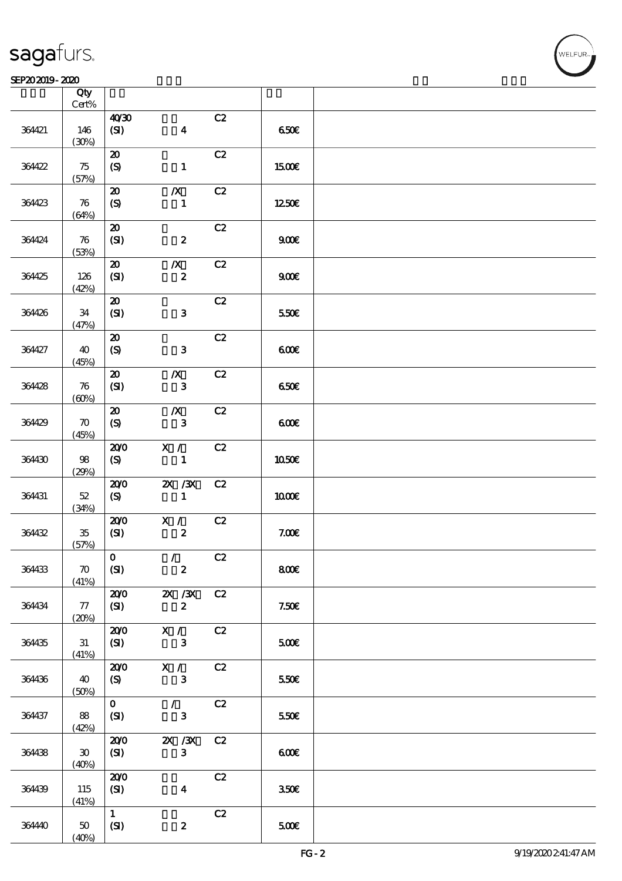#### $SEP202019 - 2020$

|        | Qty<br>$\mbox{Cert}\%$      |                             |                  |    |                  |  |
|--------|-----------------------------|-----------------------------|------------------|----|------------------|--|
|        |                             | 40'30                       |                  | C2 |                  |  |
| 364421 | 146<br>(30%)                | (SI)                        | $\boldsymbol{4}$ |    | 650E             |  |
|        |                             | $\boldsymbol{\mathfrak{D}}$ |                  | C2 |                  |  |
| 364422 | $75\,$                      | $\boldsymbol{\mathrm{(S)}}$ | $\mathbf{1}$     |    | 1500€            |  |
|        | (57%)                       |                             |                  |    |                  |  |
|        |                             | $\boldsymbol{\mathsf{20}}$  | $\pmb{X}$        | C2 |                  |  |
| 364423 | ${\bf 76}$<br>(64%)         | $\pmb{\text{(S)}}$          | $\mathbf{1}$     |    | 1250€            |  |
|        |                             | $\pmb{\mathcal{Z}}$         |                  | C2 |                  |  |
| 364424 | $\boldsymbol{\pi}$<br>(53%) | (SI)                        | $\pmb{2}$        |    | 900E             |  |
|        |                             | $\boldsymbol{\mathfrak{D}}$ | $\pmb{X}$        | C2 |                  |  |
| 364425 | 126<br>(42%)                | (SI)                        | $\pmb{2}$        |    | 900E             |  |
|        |                             | $\boldsymbol{\mathbf{z}}$   |                  | C2 |                  |  |
| 364426 | $3\!4$<br>(47%)             | (SI)                        | $\mathbf{3}$     |    | 550E             |  |
|        |                             | $\boldsymbol{\mathsf{20}}$  |                  | C2 |                  |  |
| 364427 | 40                          | $\boldsymbol{\mathrm{(S)}}$ | $\mathbf{3}$     |    | 600              |  |
|        | (45%)                       |                             |                  |    |                  |  |
|        |                             | ${\bf Z}$                   | $\pmb{X}$        | C2 |                  |  |
| 364428 | ${\bf 76}$                  | (SI)                        | ${\bf 3}$        |    | 650E             |  |
|        | (60%)                       |                             |                  |    |                  |  |
|        |                             | ${\bf Z}$                   | $\boldsymbol{X}$ | C2 |                  |  |
| 364429 | $\boldsymbol{\pi}$          | $\boldsymbol{\mathrm{(S)}}$ | ${\bf 3}$        |    | 600              |  |
|        | (45%)                       |                             |                  |    |                  |  |
|        |                             | 200                         | X /              | C2 |                  |  |
| 364430 | $98\,$<br>(29%)             | (S)                         | $\mathbf{I}$     |    | 1050€            |  |
|        |                             | 200                         | $X \, X$         | C2 |                  |  |
| 364431 | $52\,$                      | (S)                         | $\mathbf{1}$     |    | 1000E            |  |
|        | (34%)                       |                             |                  |    |                  |  |
|        |                             | 200                         | X /              | C2 |                  |  |
| 364432 | ${\bf 35}$                  | (SI)                        | $\pmb{2}$        |    | 7.00E            |  |
|        | (57%)                       |                             |                  |    |                  |  |
|        |                             | $\mathbf{o}$                | $\mathcal{L}$    | C2 |                  |  |
| 364433 | $\boldsymbol{\pi}$          | (SI)                        | $\boldsymbol{z}$ |    | 800E             |  |
|        | (41%)                       |                             |                  |    |                  |  |
|        |                             | 200                         | $Z\!X$ / $Z\!X$  | C2 |                  |  |
| 364434 | 77                          | (SI)                        | $\boldsymbol{z}$ |    | 7.50E            |  |
|        | (20%)                       |                             |                  |    |                  |  |
|        |                             | 200                         | X /              | C2 |                  |  |
| 364435 | 31                          | $\mathbf{C}$                | $\mathbf{3}$     |    | 500              |  |
|        | (41%)                       |                             |                  |    |                  |  |
|        |                             | 200                         | X /              | C2 |                  |  |
| 364436 | 40                          | (S)                         | $\mathbf{3}$     |    | 550E             |  |
|        | (50%)                       |                             |                  |    |                  |  |
|        |                             | $\mathbf{O}$                | $\mathcal{F}$    | C2 |                  |  |
| 364437 | 88                          | (SI)                        | $\mathbf{3}$     |    | 550E             |  |
|        | (42%)                       |                             |                  |    |                  |  |
|        |                             | 200                         | $X \, X$         | C2 |                  |  |
| 364438 | $\boldsymbol{\mathfrak{D}}$ | (S)                         | $\mathbf{3}$     |    | 600              |  |
|        | (40%)                       |                             |                  |    |                  |  |
|        |                             | 200                         |                  | C2 |                  |  |
| 364439 | 115                         | (SI)                        | $\boldsymbol{4}$ |    | 350 <sup>2</sup> |  |
|        | (41%)                       |                             |                  |    |                  |  |
|        |                             | $\mathbf{1}$                |                  | C2 |                  |  |
| 36440  | 50                          | (SI)                        | $\boldsymbol{z}$ |    | 500E             |  |
|        | (40%)                       |                             |                  |    |                  |  |
|        |                             |                             |                  |    |                  |  |

**NELFUR**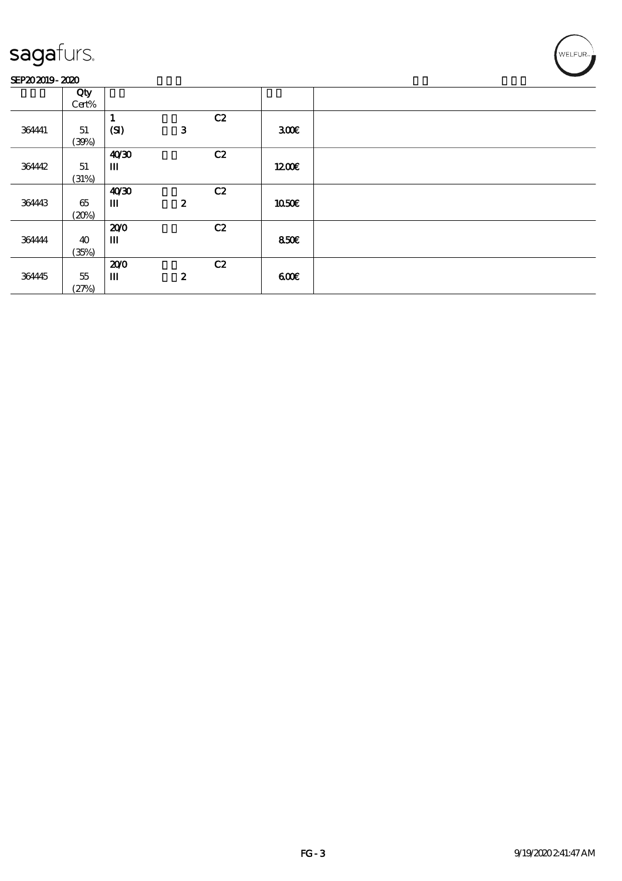#### SEP202019-2020

|        | Qty    |       |                  |    |       |  |
|--------|--------|-------|------------------|----|-------|--|
|        | Cert%  |       |                  |    |       |  |
|        |        | ш     |                  | C2 |       |  |
| 364441 | 51     | (SI)  | $\mathbf{3}$     |    | 300   |  |
|        | (30%)  |       |                  |    |       |  |
|        |        | 40'30 |                  | C2 |       |  |
| 364442 | 51     | Ш     |                  |    | 1200E |  |
|        | (31%)  |       |                  |    |       |  |
|        |        | 40'30 |                  | C2 |       |  |
| 364443 | 65     | Ш     | $\boldsymbol{z}$ |    | 1050E |  |
|        | (20%)  |       |                  |    |       |  |
|        |        | 200   |                  | C2 |       |  |
| 364444 | 40     | Ш     |                  |    | 850E  |  |
|        | (35%)  |       |                  |    |       |  |
|        |        | 200   |                  | C2 |       |  |
| 364445 | $55\,$ | Ш     | $\boldsymbol{z}$ |    | 600   |  |
|        | (27%)  |       |                  |    |       |  |

¶<br>WELFUR∝<br>'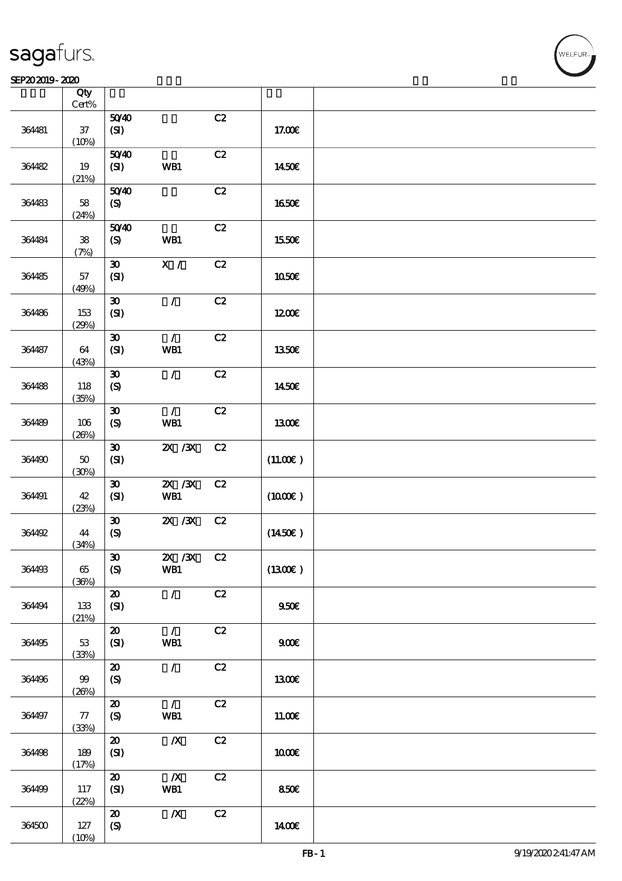#### $SEP202019 - 2020$  $\overline{\phantom{a}}$  Qty  $\overline{\phantom{a}}$

|        | Qty<br>$Cert\%$                |                             |                  |    |                     |  |
|--------|--------------------------------|-----------------------------|------------------|----|---------------------|--|
|        |                                | 5040                        |                  | C2 |                     |  |
| 364481 | $37\,$<br>(10%)                | (SI)                        |                  |    | 17.00€              |  |
|        |                                | 5040                        |                  | C2 |                     |  |
| 364482 | 19<br>(21%)                    | (SI)                        | WB1              |    | 1450€               |  |
|        |                                | 5040                        |                  | C2 |                     |  |
| 364483 | $5\!8$<br>(24%)                | $\boldsymbol{S}$            |                  |    | 1650€               |  |
|        |                                | 5040                        |                  | C2 |                     |  |
| 364484 | ${\bf 38}$<br>(7%)             | (S)                         | WB1              |    | 1550€               |  |
|        |                                | $\pmb{\mathfrak{D}}$        | X /              | C2 |                     |  |
| 364485 | 57<br>(49%)                    | (SI)                        |                  |    | 1050€               |  |
|        |                                | $\boldsymbol{\mathfrak{D}}$ | $\mathcal{L}$    | C2 |                     |  |
| 364486 | 153<br>(29%)                   | (SI)                        |                  |    | 1200E               |  |
|        |                                | $\boldsymbol{\mathfrak{D}}$ | $\mathcal{L}$    | C2 |                     |  |
| 364487 | 64<br>(43%)                    | (SI)                        | WB1              |    | 1350€               |  |
|        |                                | $\boldsymbol{\mathfrak{D}}$ | $\mathcal{L}$    | C2 |                     |  |
| 364488 | 118                            | $\boldsymbol{S}$            |                  |    | 1450€               |  |
|        | (35%)                          |                             |                  |    |                     |  |
|        |                                | $\boldsymbol{\mathfrak{D}}$ | $\mathcal{L}$    | C2 |                     |  |
| 364489 | $106\,$                        | $\boldsymbol{S}$            | WB1              |    | 1300E               |  |
|        | (20%)                          |                             |                  |    |                     |  |
|        |                                | $\pmb{\mathfrak{D}}$        | $X \, X$         | C2 |                     |  |
| 364490 | 50                             | (SI)                        |                  |    | (11.00)             |  |
|        | (30%)                          |                             |                  |    |                     |  |
|        |                                | $\pmb{\mathfrak{D}}$        | $X$ / $X$        | C2 |                     |  |
| 364491 | 42                             | (SI)                        | WB1              |    | (1000E)             |  |
|        | (23%)                          |                             |                  |    |                     |  |
|        |                                | $\pmb{\mathfrak{D}}$        | $X \, X$         | C2 |                     |  |
| 364492 | 44                             | $\boldsymbol{S}$            |                  |    | $(1450\varepsilon)$ |  |
|        | (34%)                          | $\pmb{\mathfrak{B}}$        | 2X / 3X C 2      |    |                     |  |
| 364493 | 65                             | (S)                         | WB1              |    | (1300E)             |  |
|        | (36%)                          |                             |                  |    |                     |  |
|        |                                | $\boldsymbol{\mathfrak{D}}$ | $\mathcal{L}$    | C2 |                     |  |
| 364494 | 133                            | (SI)                        |                  |    | 950E                |  |
|        | (21%)                          |                             |                  |    |                     |  |
|        |                                | $\boldsymbol{\mathfrak{D}}$ | $\mathcal{L}$    | C2 |                     |  |
| 364495 | 53                             | $\mathbf{C}$                | WB1              |    | 900                 |  |
|        | (33%)                          |                             |                  |    |                     |  |
|        |                                | $\boldsymbol{\mathsf{20}}$  | $\mathcal{L}$    | C2 |                     |  |
| 364496 | $\boldsymbol{\omega}$<br>(20%) | (S)                         |                  |    | 1300E               |  |
|        |                                | $\boldsymbol{\mathfrak{D}}$ | $\mathcal{L}$    | C2 |                     |  |
| 364497 | 77                             | (S)                         | WB1              |    | 11.00E              |  |
|        | (33%)                          |                             |                  |    |                     |  |
|        |                                | $\boldsymbol{\mathfrak{D}}$ | $\boldsymbol{X}$ | C2 |                     |  |
| 364498 | 189                            | (SI)                        |                  |    | 1000                |  |
|        | (17%)                          |                             |                  |    |                     |  |
|        |                                | $\boldsymbol{\mathfrak{D}}$ | $\boldsymbol{X}$ | C2 |                     |  |
| 364499 | 117                            | (SI)                        | WB1              |    | 850E                |  |
|        | (22%)                          |                             |                  |    |                     |  |
|        |                                | $\boldsymbol{\mathfrak{D}}$ | $\boldsymbol{X}$ | C2 |                     |  |
| 364500 | 127                            | $\boldsymbol{S}$            |                  |    | 1400E               |  |
|        | (10%)                          |                             |                  |    |                     |  |

**NELFUR**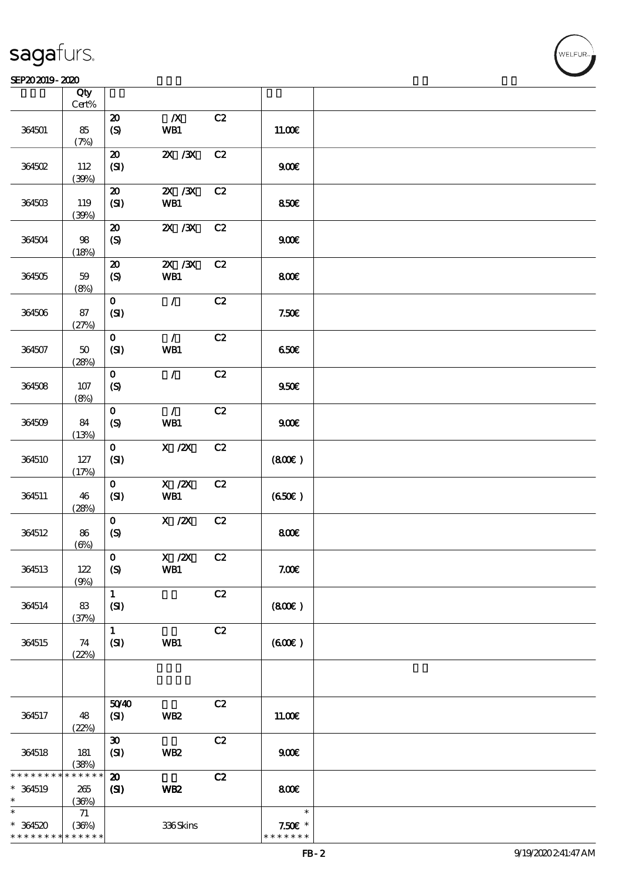#### $SEP202019 - 2020$

| SEPAJAJIY-ALAU                          |                             |                                               |                         |    |                                      |  |
|-----------------------------------------|-----------------------------|-----------------------------------------------|-------------------------|----|--------------------------------------|--|
|                                         | Qty<br>$\mbox{Cert}\%$      |                                               |                         |    |                                      |  |
| 364501                                  | 85<br>(7%)                  | $\boldsymbol{\mathbf{z}}$<br>$\boldsymbol{S}$ | $\boldsymbol{X}$<br>WB1 | C2 | 11.00E                               |  |
| 364502                                  | 112<br>(30%)                | $\boldsymbol{\mathsf{20}}$<br>(SI)            | $X \, X$                | C2 | 900E                                 |  |
| 364503                                  | 119<br>(30%)                | $\boldsymbol{\mathsf{20}}$<br>(SI)            | $X \, X$<br>WB1         | C2 | 850E                                 |  |
| 364504                                  | 98<br>(18%)                 | $\boldsymbol{\mathbf{z}}$<br>(S)              | $X \, X$                | C2 | 900E                                 |  |
| 364505                                  | 59<br>(8%)                  | $\boldsymbol{\mathfrak{D}}$<br>(S)            | $Z\!X$ / $Z\!X$<br>WB1  | C2 | 800€                                 |  |
| 364506                                  | 87<br>(27%)                 | $\mathbf{o}$<br>(SI)                          | $\mathcal{L}$           | C2 | 7.50E                                |  |
| 364507                                  | 50<br>(28%)                 | $\mathbf{O}$<br>(SI)                          | $\mathcal{L}$<br>WB1    | C2 | 650E                                 |  |
| 364508                                  | $107$<br>(8%)               | $\mathbf{O}$<br>$\boldsymbol{S}$              | $\mathcal{L}$           | C2 | 950E                                 |  |
| 364509                                  | 84<br>(13%)                 | $\mathbf{o}$<br>(S)                           | $\mathcal{L}$<br>WB1    | C2 | 900E                                 |  |
| 364510                                  | 127<br>(17%)                | $\mathbf{O}$<br>(SI)                          | $X$ / $ZX$              | C2 | (800)                                |  |
| 364511                                  | 46<br>(28%)                 | $\mathbf{O}$<br>(SI)                          | $X$ / $ZX$<br>WB1       | C2 | (650)                                |  |
| 364512                                  | 86<br>$(\Theta)$            | $\mathbf{O}$<br>(S)                           | $X$ / $ZX$              | C2 | 800€                                 |  |
| 364513                                  | 122<br>(9%)                 | $\mathbf{o}$<br>$\boldsymbol{S}$              | $X$ / $ZX$<br>WB1       | C2 | 7.00E                                |  |
| 364514                                  | 83<br>(37%)                 | $\mathbf{1}$<br>(SI)                          |                         | C2 | (800)                                |  |
| 364515                                  | 74<br>(22%)                 | $\mathbf{1}$<br>(SI)                          | WB1                     | C2 | (60E)                                |  |
|                                         |                             |                                               |                         |    |                                      |  |
| 364517                                  | 48<br>(22%)                 | 5040<br>(SI)                                  | <b>WB2</b>              | C2 | 11.00E                               |  |
| 364518                                  | 181<br>(38%)                | $\boldsymbol{\mathfrak{D}}$<br>(SI)           | WB <sub>2</sub>         | C2 | 900E                                 |  |
| * * * * * * * *<br>$* 364519$<br>$\ast$ | * * * * * *<br>265<br>(36%) | $\boldsymbol{\mathbf{z}}$<br>(S)              | WB <sub>2</sub>         | C2 | 800€                                 |  |
| $\ast$<br>$*364520$<br>* * * * * * * *  | 71<br>(36%)<br>* * * * * *  |                                               | 336Skins                |    | $\ast$<br>$7.50E$ *<br>* * * * * * * |  |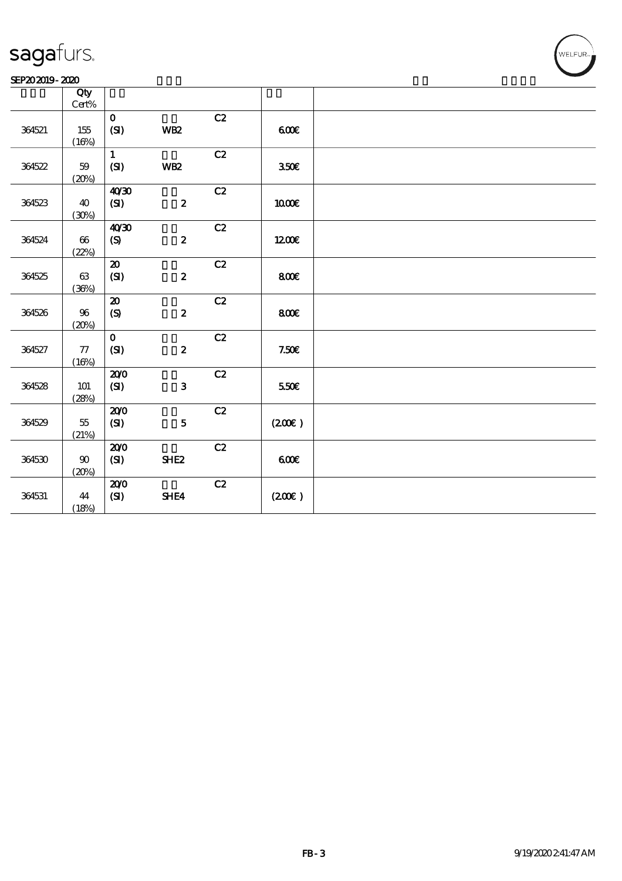#### SEP202019-2020

|        | Qty             |                             |                  |    |        |  |
|--------|-----------------|-----------------------------|------------------|----|--------|--|
|        | $\mbox{Cert\%}$ |                             |                  |    |        |  |
|        |                 | $\mathbf{O}$                |                  | C2 |        |  |
| 364521 | 155             | (SI)                        | WB <sub>2</sub>  |    | 600    |  |
|        | (16%)           |                             |                  |    |        |  |
|        |                 | $\mathbf{1}$                |                  | C2 |        |  |
| 364522 | $59\,$          | (SI)                        | <b>WB2</b>       |    | 350E   |  |
|        | (20%)           |                             |                  |    |        |  |
|        |                 | 40'30                       |                  | C2 |        |  |
| 364523 | 40              | (SI)                        | $\boldsymbol{z}$ |    | 1000E  |  |
|        | (30%)           |                             |                  |    |        |  |
|        |                 | 40'30                       |                  | C2 |        |  |
| 364524 | $66\,$          | $\boldsymbol{\mathrm{(S)}}$ | $\boldsymbol{z}$ |    | 1200E  |  |
|        | (22%)           |                             |                  |    |        |  |
|        |                 | $\boldsymbol{\mathfrak{D}}$ |                  | C2 |        |  |
| 364525 | $63\,$          | (SI)                        | $\boldsymbol{z}$ |    | 800E   |  |
|        | (36%)           |                             |                  |    |        |  |
|        |                 | $\boldsymbol{\mathfrak{D}}$ |                  | C2 |        |  |
| 364526 | $96\,$          | (S)                         | $\boldsymbol{z}$ |    | 800    |  |
|        | (20%)           |                             |                  |    |        |  |
|        |                 | $\mathbf{o}$                |                  | C2 |        |  |
| 364527 | ${\bf 77}$      | (SI)                        | $\boldsymbol{2}$ |    | 7.50E  |  |
|        | (16%)           |                             |                  |    |        |  |
|        |                 | 200                         |                  | C2 |        |  |
| 364528 | 101             | (SI)                        | $\mathbf{3}$     |    | 550E   |  |
|        | (28%)           |                             |                  |    |        |  |
|        |                 | 200                         |                  | C2 |        |  |
| 364529 | $5\!5$          | (SI)                        | ${\bf 5}$        |    | (200)  |  |
|        | (21%)           |                             |                  |    |        |  |
|        |                 | 200                         |                  | C2 |        |  |
| 364530 | $90\,$          | (SI)                        | SHE <sub>2</sub> |    | 600    |  |
|        | (20%)           |                             |                  |    |        |  |
|        |                 | 200                         |                  | C2 |        |  |
| 364531 | 44              | (SI)                        | SHE4             |    | (200E) |  |
|        | (18%)           |                             |                  |    |        |  |

**VELFUR**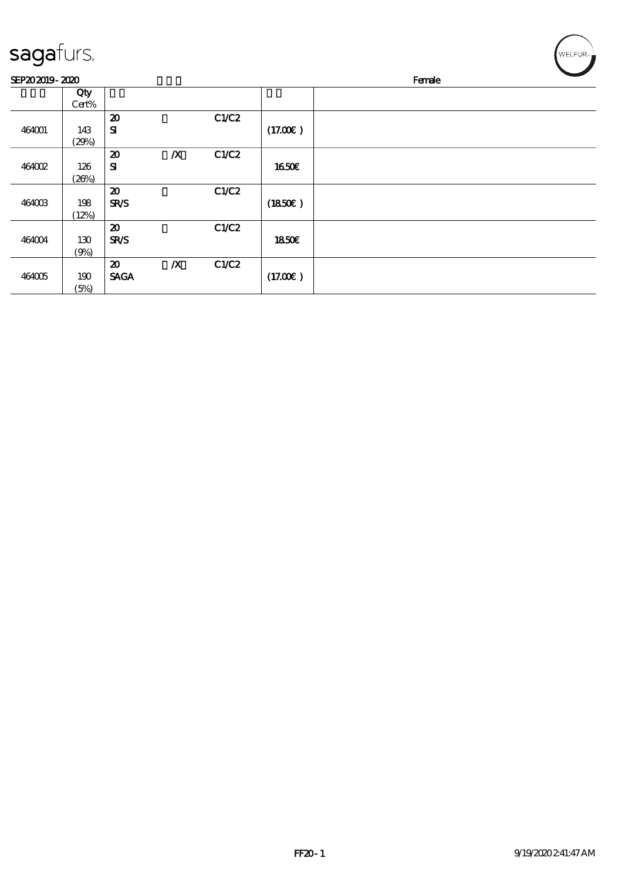| sagafurs.      |              |                                            |                  |       |         | WELFUR <sub>*</sub> |
|----------------|--------------|--------------------------------------------|------------------|-------|---------|---------------------|
| SEP202019-2020 |              |                                            |                  |       |         | Female              |
|                | Qty<br>Cert% |                                            |                  |       |         |                     |
| 464001         | 143<br>(29%) | $\boldsymbol{\mathsf{20}}$<br>${\bf s}$    |                  | C1/C2 | (17.00) |                     |
| 464002         | 126<br>(20%) | $\boldsymbol{\mathfrak{D}}$<br>${\bf s}$   | $\boldsymbol{X}$ | C1/C2 | 1650E   |                     |
| 464003         | 198<br>(12%) | $\boldsymbol{\mathbf{z}}$<br><b>SR/S</b>   |                  | C1/C2 | (1850)  |                     |
| 464004         | 130<br>(9%)  | $\boldsymbol{\mathfrak{D}}$<br><b>SR/S</b> |                  | C1/C2 | 1850E   |                     |
| 464005         | 190<br>(5%)  | $\boldsymbol{\mathfrak{D}}$<br><b>SAGA</b> | $\boldsymbol{X}$ | C1/C2 | (17.00) |                     |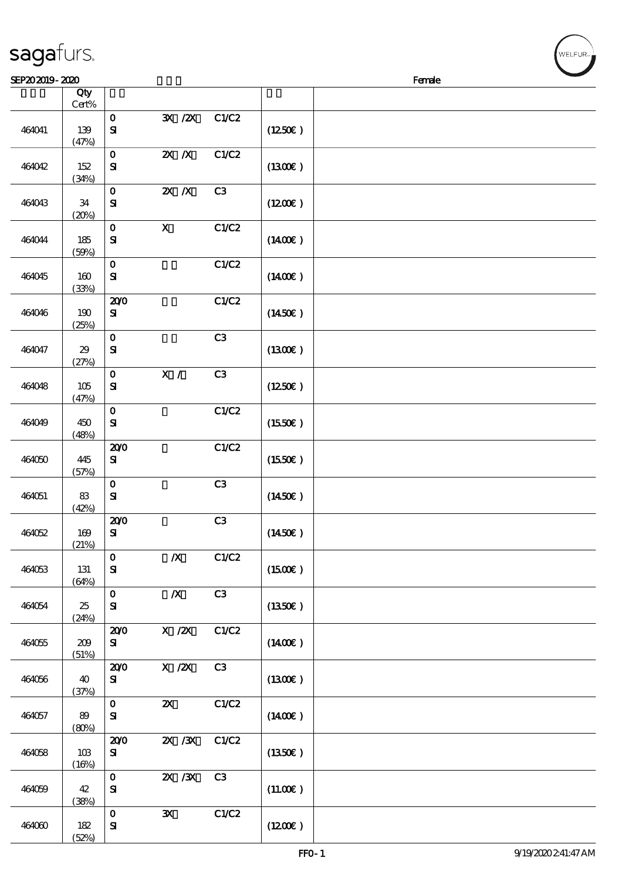| sagafurs. |  |
|-----------|--|
|           |  |

 $(52%)$ 

| SEP202019-2020 |                       |                             |                       |       |                     | Female |
|----------------|-----------------------|-----------------------------|-----------------------|-------|---------------------|--------|
|                | Qty                   |                             |                       |       |                     |        |
| 464041         | $Cert\%$<br>139       | $\mathbf O$<br>$\mathbf{S}$ | 3X /2X                | C1/C2 | (1250E)             |        |
| 464042         | (47%)<br>152          | $\mathbf{o}$<br>${\bf s}$   | $X$ $N$               | C1/C2 | (1300E)             |        |
| 464043         | (34%)<br>34           | $\mathbf O$<br>${\bf s}$    | $X$ $N$               | C3    | (1200E)             |        |
| 464044         | (20%)<br>185<br>(50%) | $\mathbf 0$<br>${\bf s}$    | $\mathbf X$           | C1/C2 | $(1400\varepsilon)$ |        |
| 464045         | 160<br>(33%)          | $\mathbf O$<br>${\bf s}$    |                       | C1/C2 | (1400E)             |        |
| 464046         | 190<br>(25%)          | 200<br>$\mathbf{S}$         |                       | C1/C2 | $(1450\epsilon)$    |        |
| 464047         | 29<br>(27%)           | $\mathbf 0$<br>$\mathbf{S}$ |                       | C3    | (1300E)             |        |
| 464048         | 105<br>(47%)          | $\mathbf O$<br>$\mathbf{S}$ | X /                   | C3    | (1250E)             |        |
| 464049         | 450<br>(48%)          | $\mathbf{o}$<br>${\bf s}$   |                       | C1/C2 | (1550E)             |        |
| 464050         | 445<br>(57%)          | 200<br>${\bf s}$            |                       | C1/C2 | (1550E)             |        |
| 464051         | 83<br>(42%)           | $\mathbf O$<br>${\bf S}$    |                       | C3    | (1450E)             |        |
| 464052         | 169<br>(21%)          | 200<br>${\bf S\!I}$         |                       | C3    | (1450E)             |        |
| 464053         | 131<br>(64%)          | $\mathbf{O}$<br>${\bf s}$   | $\boldsymbol{X}$      | C1/C2 | (1500E)             |        |
| 464054         | 25<br>(24%)           | $\mathbf{o}$<br>${\bf s}$   | $\boldsymbol{X}$      | C3    | (1350E)             |        |
| 464055         | 209<br>(51%)          | 200<br>${\bf s}$            | X / ZX                | C1/C2 | (1400E)             |        |
| 464056         | 40<br>(37%)           | 200<br>${\bf s}$            | $X$ / $ZX$            | C3    | (1300E)             |        |
| 464057         | 89<br>(80%)           | $\mathbf{O}$<br>${\bf s}$   | $\boldsymbol{\alpha}$ | C1/C2 | $(1400\epsilon)$    |        |
| 464058         | 10B<br>(16%)          | 200<br>${\bf s}$            | $X \, X$              | C1/C2 | (1350E)             |        |
| 464059         | 42<br>(38%)           | $\mathbf{o}$<br>${\bf S}$   | $X \, X$              | C3    | (11.00)             |        |
| 464060         | 182                   | $\mathbf{O}$<br>${\bf s}$   | $\mathbf{x}$          | C1/C2 | (1200E)             |        |

ELFUR-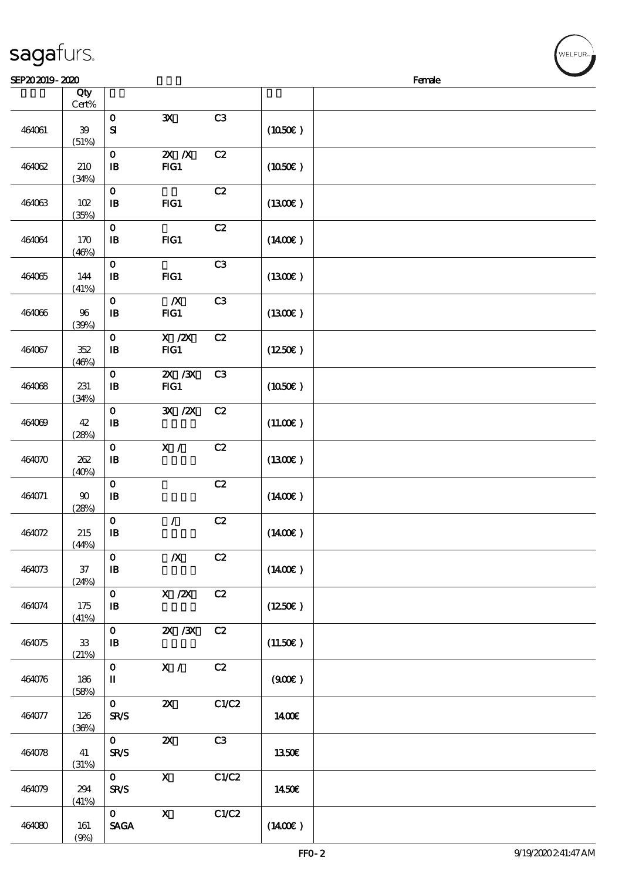|  | sagafurs. |
|--|-----------|
|  |           |

(9%)

| SEP202019-2020 |                     |                                            |                           |                |                     | Female |  |
|----------------|---------------------|--------------------------------------------|---------------------------|----------------|---------------------|--------|--|
|                | Qty<br>Cert%        |                                            |                           |                |                     |        |  |
| 464061         | ${\bf 39}$<br>(51%) | $\mathbf O$<br>$\mathbf{S}$                | $\mathbf{x}$              | C3             | (1050E)             |        |  |
| 464062         | 210<br>(34%)        | $\mathbf{o}$<br>$\, {\bf B}$               | $X$ $N$<br>FG1            | C2             | (1050)              |        |  |
| 464063         | 102<br>(35%)        | $\mathbf{o}$<br>$\mathbf{B}$               | FG1                       | C2             | (1300)              |        |  |
| 464064         | 170<br>(46%)        | $\mathbf O$<br>$\mathbf{B}$                | FG1                       | C2             | $(1400\varepsilon)$ |        |  |
| 464065         | 144<br>(41%)        | $\mathbf{o}$<br>$\, {\bf I} \! {\bf B} \,$ | $HG1$                     | C3             | (1300E)             |        |  |
| 464066         | $96\,$<br>(30%)     | $\mathbf O$<br>${\bf I\!B}$                | $\boldsymbol{X}$<br>FG1   | C <sub>3</sub> | (1300)              |        |  |
| 464067         | 352<br>(46%)        | $\mathbf O$<br>$\, {\bf B}$                | $X$ / $ZX$<br>FG1         | C2             | (1250E)             |        |  |
| 464068         | 231<br>(34%)        | $\mathbf O$<br>$\, {\bf I} \! {\bf B} \,$  | $X$ / $X$<br>FG1          | C <sub>3</sub> | (1050)              |        |  |
| 464069         | 42<br>(28%)         | $\mathbf O$<br>$\mathbf{B}$                | 3X / ZX                   | C2             | (11.00)             |        |  |
| 464070         | 262<br>(40%)        | $\mathbf O$<br>$\, {\bf I} \! {\bf B} \,$  | X /                       | C2             | (1300)              |        |  |
| 464071         | 90<br>(28%)         | $\mathbf O$<br>$\, {\bf I} \! {\bf B} \,$  |                           | C2             | $(1400\epsilon)$    |        |  |
| 464072         | 215<br>(44%)        | $\mathbf 0$<br>$\, {\bf I} \! {\bf B} \,$  | $\mathcal{L}$             | C2             | (1400E)             |        |  |
| 464073         | $37\,$<br>(24%)     | $\mathbf{O}$<br>$\mathbf{B}$               | $\boldsymbol{X}$          | C2             | $(1400\varepsilon)$ |        |  |
| 464074         | 175<br>(41%)        | $\mathbf{O}$<br>$\mathbf{B}$               | $X \, /ZX$                | C2             | $(1250\epsilon)$    |        |  |
| 464075         | ${\bf 33}$<br>(21%) | $\mathbf 0$<br>$\mathbf{B}$                | $\chi$ / $\chi$           | C2             | (11.50)             |        |  |
| 464076         | 186<br>(58%)        | $\mathbf 0$<br>П                           | X /                       | C2             | (900)               |        |  |
| 464077         | 126<br>(36%)        | $\mathbf{O}$<br><b>SR/S</b>                | $\boldsymbol{\mathsf{X}}$ | C1/C2          | 1400E               |        |  |
| 464078         | 41<br>(31%)         | $\mathbf{O}$<br><b>SR/S</b>                | $\boldsymbol{\mathsf{Z}}$ | C3             | 1350€               |        |  |
| 464079         | 294<br>(41%)        | $\mathbf{O}$<br><b>SR/S</b>                | $\boldsymbol{\mathsf{X}}$ | C1/C2          | 1450€               |        |  |
| 464080         | 161                 | $\mathbf{O}$<br><b>SAGA</b>                | $\mathbf{X}$              | C1/C2          | $(1400\epsilon)$    |        |  |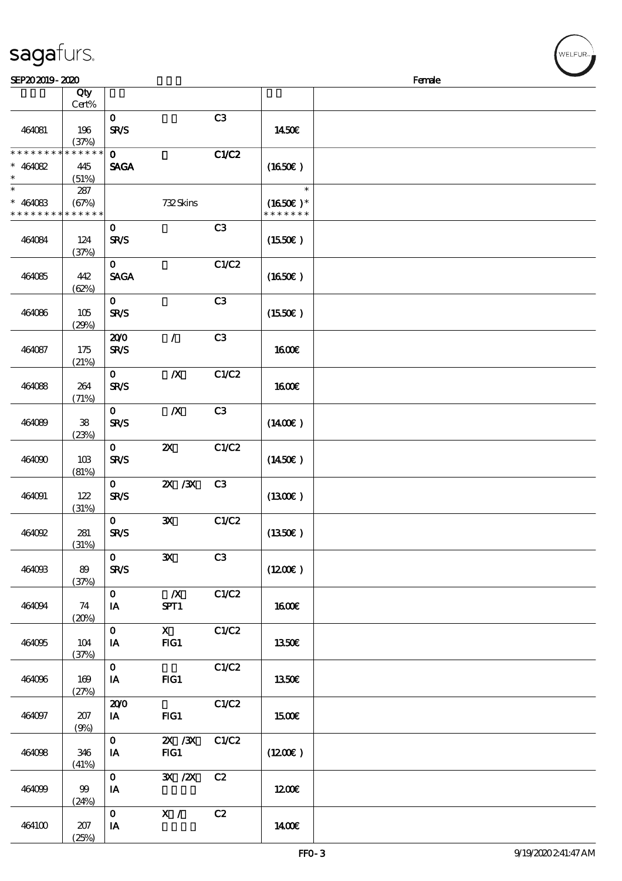| SEP202019-2020                                      |                             |                             |                           |                |                                       | $\sim$<br>Female |
|-----------------------------------------------------|-----------------------------|-----------------------------|---------------------------|----------------|---------------------------------------|------------------|
|                                                     | Qty<br>$Cert\%$             |                             |                           |                |                                       |                  |
| 464081                                              | 196<br>(37%)                | $\mathbf 0$<br><b>SR/S</b>  |                           | C3             | 1450€                                 |                  |
| * * * * * * * *<br>$* 46082$<br>$\ast$              | * * * * * *<br>445<br>(51%) | $\mathbf 0$<br><b>SAGA</b>  |                           | C1/C2          | (1650E)                               |                  |
| $\ast$<br>$* 464083$<br>* * * * * * * * * * * * * * | 287<br>(67%)                |                             | 732Skins                  |                | $\ast$<br>$(1650E)*$<br>* * * * * * * |                  |
| 464084                                              | 124<br>(37%)                | $\mathbf{O}$<br><b>SR/S</b> |                           | C3             | (1550E)                               |                  |
| 464085                                              | 442<br>(62%)                | $\mathbf{O}$<br><b>SAGA</b> |                           | C1/C2          | (1650E)                               |                  |
| 464086                                              | 105<br>(29%)                | $\mathbf{o}$<br><b>SR/S</b> |                           | C3             | (1550E)                               |                  |
| 464087                                              | 175<br>(21%)                | 200<br><b>SR/S</b>          | $\mathcal{L}$             | C3             | <b>1600€</b>                          |                  |
| 464088                                              | 264<br>(71%)                | $\mathbf{O}$<br><b>SR/S</b> | $\boldsymbol{X}$          | C1/C2          | 1600E                                 |                  |
| 464089                                              | ${\bf 38}$<br>(23%)         | $\mathbf{O}$<br><b>SR/S</b> | $\boldsymbol{X}$          | C3             | $(1400\varepsilon)$                   |                  |
| 464090                                              | 10B<br>(81%)                | $\mathbf{O}$<br><b>SR/S</b> | $\boldsymbol{\mathsf{z}}$ | C1/C2          | (1450E)                               |                  |
| 464091                                              | 122<br>(31%)                | $\mathbf{O}$<br><b>SR/S</b> | 2X / 3X                   | C3             | (1300)                                |                  |
| 464092                                              | 281<br>(31%)                | $\mathbf{o}$<br><b>SR/S</b> | $\mathbf{x}$              | C1/C2          | (1350)                                |                  |
| 464093                                              | 89<br>(37%)                 | $\mathbf{O}$<br>SR/S        | $\mathbf{x}$              | C <sub>3</sub> | (1200E)                               |                  |
| 464094                                              | 74<br>(20%)                 | $\mathbf{O}$<br>IA          | $\boldsymbol{X}$<br>SPT1  | C1/C2          | 1600E                                 |                  |
| 464095                                              | 104<br>(37%)                | $\mathbf{O}$<br>IA          | $\mathbf X$<br>FG1        | C1/C2          | 1350€                                 |                  |
| 464096                                              | 169<br>(27%)                | $\mathbf{O}$<br><b>IA</b>   | $HG1$                     | C1/C2          | 1350€                                 |                  |
| 464097                                              | 207<br>(9%)                 | 200<br>IA                   | $HG1$                     | C1/C2          | <b>1500€</b>                          |                  |
| 464098                                              | 346<br>(41%)                | $\mathbf{O}$<br>IA          | 2X /3X C1/C2<br>FG1       |                | $(1200\varepsilon)$                   |                  |
| 464099                                              | 99<br>(24%)                 | $\mathbf{O}$<br>IA          | 3X / ZX                   | C2             | 1200E                                 |                  |
| 464100                                              | 207<br>(25%)                | $\mathbf{O}$<br>IA          | X /                       | C2             | 1400E                                 |                  |

'<br>WELFUR<sub>™</sub>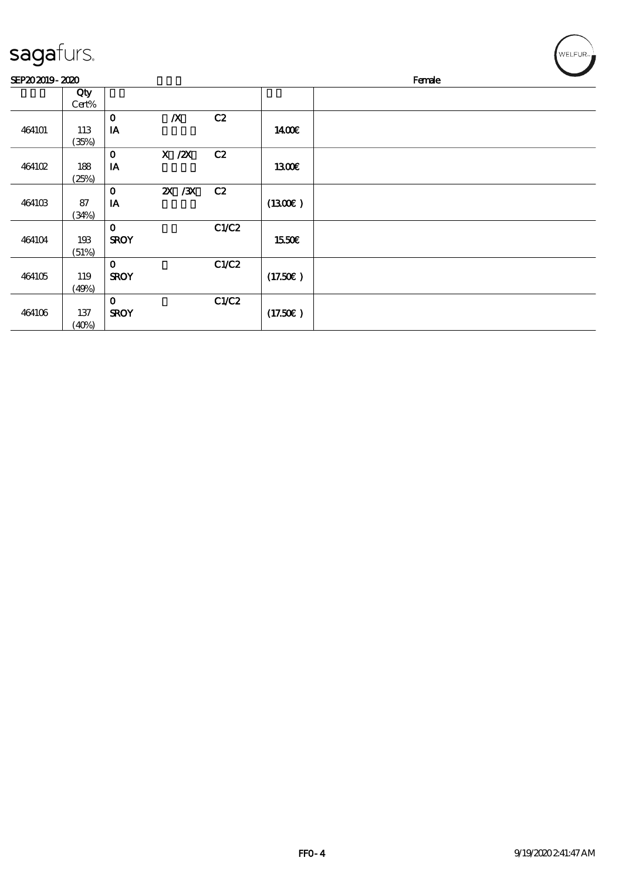| <b>saga</b> furs. |              |                            |                  |       |         | WELFUR <sub>™</sub> |
|-------------------|--------------|----------------------------|------------------|-------|---------|---------------------|
| SEP202019-2020    |              |                            |                  |       |         | Female              |
|                   | Qty<br>Cert% |                            |                  |       |         |                     |
| 464101            | 113<br>(35%) | $\mathbf 0$<br>IA          | $\boldsymbol{X}$ | C2    | 1400E   |                     |
| 464102            | 188<br>(25%) | $\mathbf 0$<br>IA          | $X$ / $ZX$       | C2    | 1300    |                     |
| 464103            | 87<br>(34%)  | $\mathbf 0$<br>IA          | 2X / 3X          | C2    | (1300)  |                     |
| 464104            | 193<br>(51%) | $\mathbf 0$<br><b>SROY</b> |                  | C1/C2 | 1550€   |                     |
| 464105            | 119<br>(49%) | $\bf{0}$<br><b>SROY</b>    |                  | C1/C2 | (17.50) |                     |
| 464106            | 137<br>(40%) | $\mathbf 0$<br><b>SROY</b> |                  | C1/C2 | (17.50) |                     |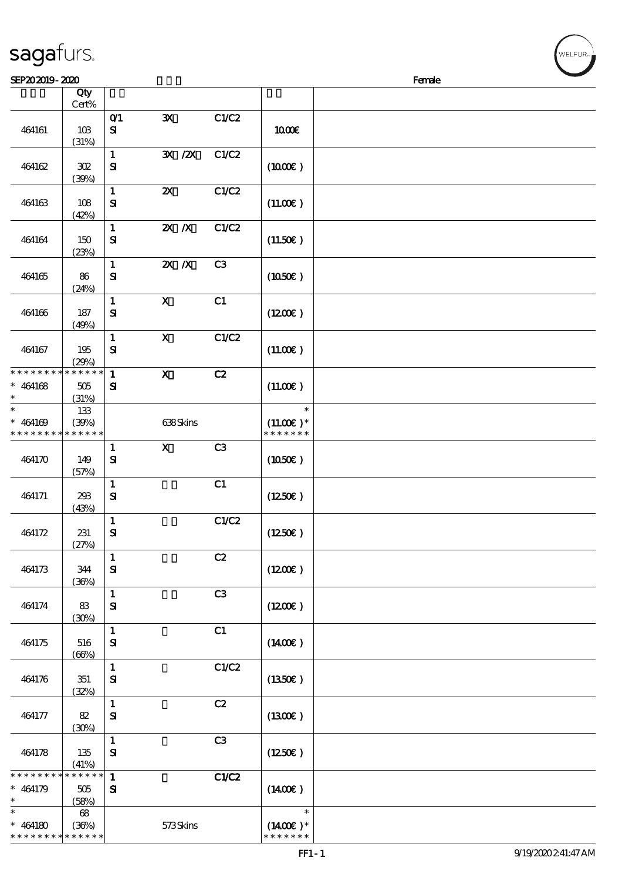| 464161                                  | 10B<br>(31%)                | O(1)<br>${\bf s}$            | $\mathbf{x}$                | C1/C2          | 1000E                                  |  |
|-----------------------------------------|-----------------------------|------------------------------|-----------------------------|----------------|----------------------------------------|--|
| 464162                                  | 302<br>(30%)                | $\mathbf{1}$<br>${\bf s}$    | $\mathbf{X}$ / $\mathbf{X}$ | C1/C2          | (1000)                                 |  |
| 464163                                  | 108<br>(42%)                | $\mathbf{1}$<br>$\mathbf{S}$ | $\boldsymbol{\mathsf{X}}$   | C1/C2          | (11.00)                                |  |
| 464164                                  | 150<br>(23%)                | $\mathbf{1}$<br>${\bf s}$    | $X$ $X$                     | C1/C2          | (11.50)                                |  |
| 464165                                  | 86<br>(24%)                 | $\mathbf{1}$<br>${\bf s}$    | $X$ $N$                     | C <sub>3</sub> | (1050)                                 |  |
| 464166                                  | 187<br>(49%)                | $\mathbf{1}$<br>${\bf S}$    | $\mathbf{X}$                | C1             | (1200E)                                |  |
| 464167                                  | 195<br>(29%)                | $\mathbf{1}$<br>$\mathbf{S}$ | $\mathbf X$                 | C1/C2          | (11.00)                                |  |
| * * * * * * * *<br>$* 464168$<br>$\ast$ | * * * * * *<br>505<br>(31%) | $\mathbf{1}$<br>${\bf s}$    | $\boldsymbol{\mathrm{X}}$   | C2             | (11.00)                                |  |
| $\ast$<br>$* 464169$<br>* * * * * * * * | 133<br>(30%)<br>* * * * * * |                              | 638Skins                    |                | $\ast$<br>$(11.00)$ *<br>* * * * * * * |  |
| 464170                                  | 149<br>(57%)                | $\mathbf{1}$<br>${\bf S}$    | $\mathbf X$                 | C3             | (1050)                                 |  |
| 464171                                  | 293<br>(43%)                | $\mathbf{1}$<br>${\bf s}$    |                             | C1             | (1250E)                                |  |
| 464172                                  | 231<br>(27%)                | $\mathbf{1}$<br>$\mathbf{S}$ |                             | C1/C2          | (1250E)                                |  |
| 464173                                  | 344<br>(36%)                | $\mathbf{1}$<br>${\bf s}$    |                             | $\mathbf{C2}$  | (1200)                                 |  |
| 464174                                  | 83<br>(30%)                 | $\mathbf{1}$<br>${\bf s}$    |                             | C <sub>3</sub> | (1200E)                                |  |
| 464175                                  | 516<br>(66%)                | $\mathbf 1$<br>$\mathbf{S}$  |                             | C1             | (1400E)                                |  |
| 464176                                  | 351<br>(32%)                | $\mathbf{1}$<br>${\bf S}$    |                             | C1/C2          | (1350E)                                |  |
| 464177                                  | 82<br>(30%)                 | $\mathbf{1}$<br>${\bf s}$    |                             | C2             | (1300)                                 |  |
| 464178                                  | 135<br>(41%)                | $\mathbf{1}$<br>${\bf s}$    |                             | C3             | (1250)                                 |  |
| * * * * * * *<br>$* 464179$             | * * * * * *<br>$505\,$      | $\mathbf{1}$<br>${\bf s}$    |                             | C1/C2          | $(1400\varepsilon)$                    |  |
|                                         |                             |                              |                             |                |                                        |  |

Cert%

说明 价格

\*\*

\*  $*$  464180 \* \* \* \* \* \*

\* \* \* \* \* \* \*

(58%)

68

(36%) 573 Skins

\*\*

 $\ast$ 

 $(1400\varepsilon)$ 

\* \* \* \* \* \*  $(1400\varepsilon)*$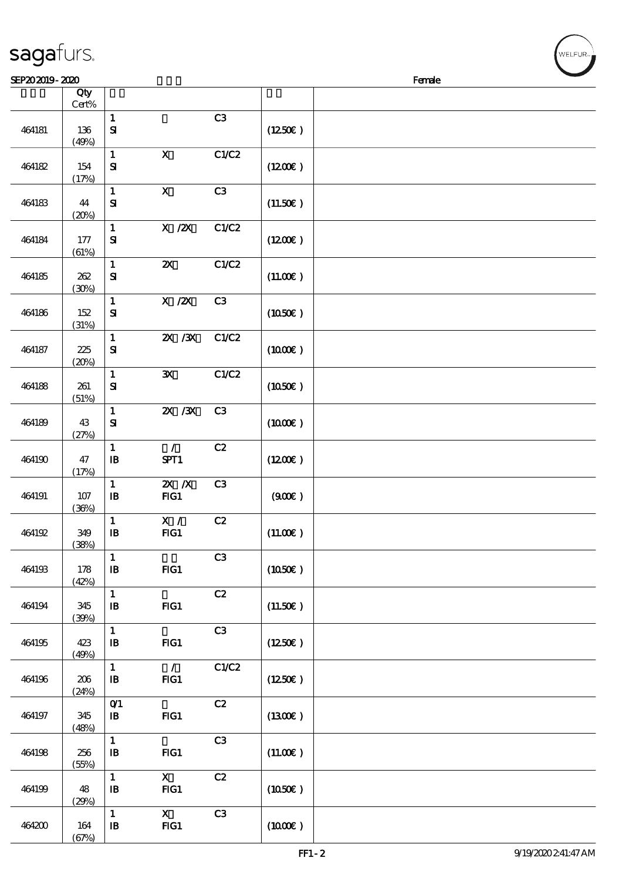|        | Cert%            |                                                                  |                           |                |                     |  |
|--------|------------------|------------------------------------------------------------------|---------------------------|----------------|---------------------|--|
| 464181 | 136<br>(49%)     | $\mathbf 1$<br>${\bf S}$                                         |                           | C3             | (1250E)             |  |
| 464182 | 154<br>(17%)     | $\mathbf{1}$<br>${\bf s}$                                        | $\mathbf{x}$              | C1/C2          | (1200E)             |  |
| 464183 | 44<br>(20%)      | $\mathbf{1}$<br>${\bf s}$                                        | $\mathbf{x}$              | C3             | (11.50)             |  |
| 464184 | 177<br>(61%)     | $\mathbf{1}$<br>${\bf s}$                                        | X / ZX                    | C1/C2          | (1200E)             |  |
| 464185 | 262<br>(30%)     | $\mathbf{1}$<br>${\bf s}$                                        | $\boldsymbol{\mathsf{Z}}$ | C1/C2          | (11.00)             |  |
| 464186 | 152<br>(31%)     | $\mathbf{1}$<br>${\bf S\!I}$                                     | $X$ / $ZX$                | C3             | (1050)              |  |
| 464187 | 225<br>(20%)     | $\mathbf{1}$<br>${\bf s}$                                        | $X \, X$                  | C1/C2          | (1000)              |  |
| 464188 | 261<br>(51%)     | $\mathbf{1}$<br>${\bf s}$                                        | $\mathbf{x}$              | C1/C2          | (1050)              |  |
| 464189 | 43<br>(27%)      | $\mathbf{1}$<br>${\bf s}$                                        | $2X$ $/3X$                | C3             | $(1000\varepsilon)$ |  |
| 464190 | 47<br>(17%)      | $\mathbf{1}$<br>$\mathbf{B}$                                     | $\mathcal{L}$<br>SPT1     | C2             | (1200E)             |  |
| 464191 | 107<br>(36%)     | $\mathbf{1}$<br>$\, {\bf B}$                                     | $X$ $N$<br>FG1            | C3             | (900)               |  |
| 464192 | 349<br>(38%)     | $\mathbf{1}$<br>$\mathbf{B}$                                     | $\mathbf{X}$ /<br>FG1     | C2             | (11.00)             |  |
| 464193 | $178\,$<br>(42%) | $\mathbf{1}$<br>${\bf I\!B}$                                     | FG1                       | C <sub>3</sub> | (1050)              |  |
| 464194 | 345<br>(30%)     | $\mathbf{1}$<br>${\bf I\!B}$                                     | FG1                       | C2             | (11.50)             |  |
| 464195 | 423<br>(49%)     | $\mathbf{1}$<br>$\, {\bf I} \! {\bf B} \,$                       | FG1                       | C3             | $(1250\varepsilon)$ |  |
| 464196 | 206<br>(24%)     | $\mathbf{1}$<br>$\mathbf{B}$                                     | $\mathcal{T}$<br>FG1      | C1/C2          | (1250E)             |  |
| 464197 | 345<br>(48%)     | $O$ <sup><math>\prime</math></sup><br>$\, {\bf I} \! {\bf B} \,$ | FG1                       | C2             | (1300)              |  |

 $\overline{\phantom{a}}$ 

#### sagafurs.

464198 256

464199 48

464200 164

(55%)

 $(29%)$ 

 $(67%)$ 

 $\overline{1}$  C3

 $\frac{1}{1}$  X C<sub>2</sub><br>
IB HG<sub>1</sub>

 $\overline{1}$  X C3

IB FIG1  $|(11.00\epsilon)|$ 

 $IB$  FIG1 (1050 $\varepsilon$ )

IB FIG1  $|(10.00\epsilon)|$ 

 $\sqrt{Qty}$ 

说明 价格

**NELFUR**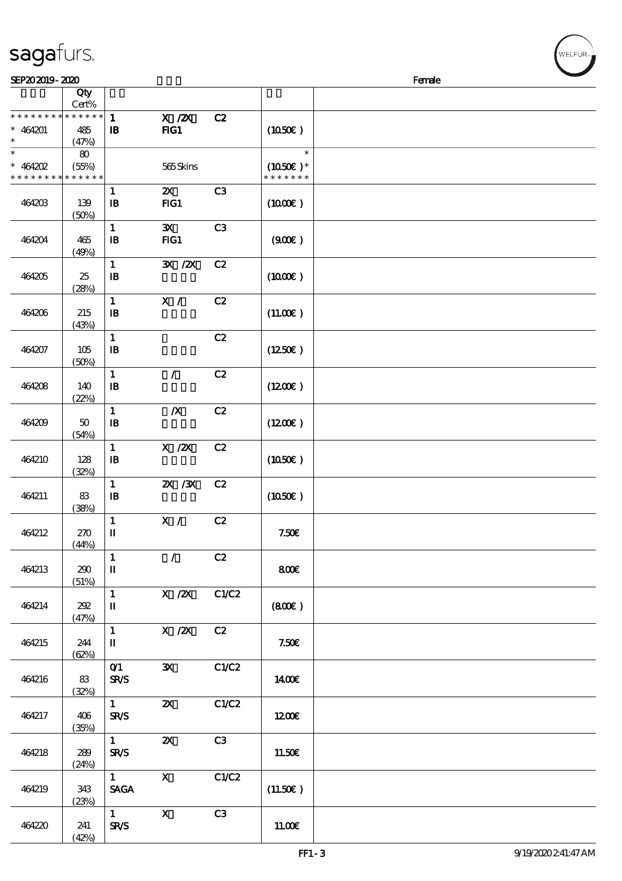| SEP202019-2020                                                   |              |                              |                                |       |                                       | Female |
|------------------------------------------------------------------|--------------|------------------------------|--------------------------------|-------|---------------------------------------|--------|
|                                                                  | Qty<br>Cert% |                              |                                |       |                                       |        |
| * * * * * * * * * * * * * *<br>$* 464201$<br>$\ast$              | 485<br>(47%) | $\mathbf{1}$<br>$\mathbf{B}$ | $X$ / $ZX$<br>$HG1$            | C2    | (1050)                                |        |
| $\ast$<br>$* 464202$<br>* * * * * * * * <mark>* * * * * *</mark> | 80<br>(55%)  |                              | 565Skins                       |       | $\ast$<br>$(1050)$ *<br>* * * * * * * |        |
| 464203                                                           | 139<br>(50%) | $\mathbf{1}$<br>$\mathbf{B}$ | $\boldsymbol{\alpha}$<br>$HG1$ | C3    | (1000E)                               |        |
| 464204                                                           | 465<br>(49%) | $\mathbf{1}$<br>$\mathbf{B}$ | $\mathbf{x}$<br>FG1            | C3    | (900)                                 |        |
| 464205                                                           | 25<br>(28%)  | $\mathbf{1}$<br>$\mathbf{B}$ | 3X / 2X                        | C2    | (1000E)                               |        |
| 464206                                                           | 215<br>(43%) | $\mathbf{1}$<br>$\mathbf{B}$ | X /                            | C2    | (11.00)                               |        |
| 464207                                                           | 105<br>(50%) | $\mathbf{1}$<br>$\mathbf{B}$ |                                | C2    | (1250)                                |        |
| 464208                                                           | 140<br>(22%) | $\mathbf{1}$<br>$\mathbf{B}$ | $\mathcal{L}$                  | C2    | (1200E)                               |        |
| 464209                                                           | 50<br>(54%)  | $\mathbf{1}$<br>$\mathbf{B}$ | $\pmb{X}$                      | C2    | (1200E)                               |        |
| 464210                                                           | 128<br>(32%) | $\mathbf{1}$<br>$\mathbf{B}$ | $X$ / $ZX$                     | C2    | (1050)                                |        |
| 464211                                                           | 83<br>(38%)  | $\mathbf{1}$<br>$\mathbf{B}$ | $X \, X$                       | C2    | $(1050\epsilon)$                      |        |
| 464212                                                           | 270<br>(44%) | $\mathbf{1}$<br>П            | X /                            | C2    | 7.506                                 |        |
| 464213                                                           | 290<br>(51%) | $\mathbf{1}$<br>$\mathbf{I}$ | $\mathcal{L}$                  | C2    | 800€                                  |        |
| 464214                                                           | 202<br>(47%) | $\mathbf{1}$<br>П            | X / ZX                         | C1/C2 | (800)                                 |        |
| 464215                                                           | 244<br>(62%) | $\mathbf{1}$<br>п            | $X$ / $ZX$                     | C2    | 7.506                                 |        |
| 464216                                                           | 83<br>(32%)  | O(1)<br><b>SR/S</b>          | $\mathbf{x}$                   | C1/C2 | 1400E                                 |        |
| 464217                                                           | 406<br>(35%) | $\mathbf{1}$<br><b>SR/S</b>  | $\boldsymbol{\mathsf{Z}}$      | C1/C2 | 1200                                  |        |
| 464218                                                           | 289<br>(24%) | $\mathbf{1}$<br><b>SR/S</b>  | $\boldsymbol{\mathsf{Z}}$      | C3    | 11.50E                                |        |
| 464219                                                           | 343<br>(23%) | $1 -$<br><b>SAGA</b>         | $\mathbf{X}$                   | C1/C2 | (11.50)                               |        |
| 464220                                                           | 241<br>(42%) | 1<br><b>SR/S</b>             | $\boldsymbol{\mathrm{X}}$      | C3    | 11.00E                                |        |

WELFUR<sub>"</sub>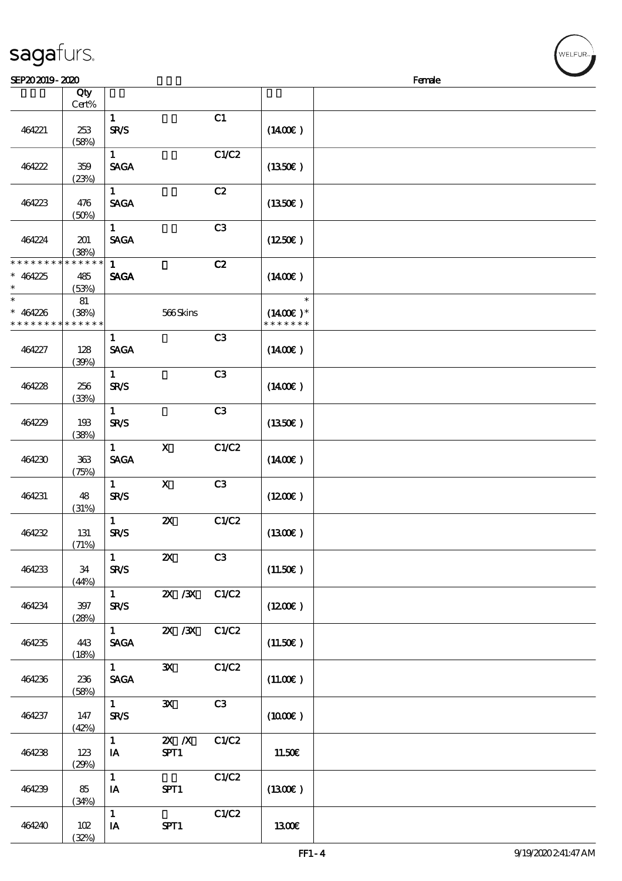|                                                     | Qty<br>Cert%               |                                              |                           |       |                                       |  |
|-----------------------------------------------------|----------------------------|----------------------------------------------|---------------------------|-------|---------------------------------------|--|
|                                                     |                            | $\mathbf{1}$                                 |                           | C1    |                                       |  |
| 464221                                              | 253<br>(58%)               | <b>SR/S</b>                                  |                           |       | $(1400\varepsilon)$                   |  |
| 464222                                              | 359<br>(23%)               | $\mathbf{1}$<br><b>SAGA</b>                  |                           | C1/C2 | (1350E)                               |  |
| 464223                                              | 476<br>(50%)               | $\mathbf{1}$<br><b>SAGA</b>                  |                           | C2    | (1350E)                               |  |
| 464224                                              | 201<br>(38%)               | $\mathbf{1}$<br><b>SAGA</b>                  |                           | C3    | (1250E)                               |  |
| * * * * * * * * * * * * * *<br>$* 464225$<br>$\ast$ | 485<br>(53%)               | $\mathbf{1}$<br><b>SAGA</b>                  |                           | C2    | $(1400\varepsilon)$                   |  |
| $\ast$<br>$* 464226$<br>* * * * * * * *             | 81<br>(38%)<br>* * * * * * |                                              | 566Skins                  |       | $\ast$<br>$(1400E)*$<br>* * * * * * * |  |
| 464227                                              | 128<br>(30%)               | $\mathbf{1}$<br><b>SAGA</b>                  |                           | C3    | $(1400\varepsilon)$                   |  |
| 464228                                              | 256<br>(33%)               | $\mathbf{1}$<br><b>SR/S</b>                  |                           | C3    | $(1400\varepsilon)$                   |  |
| 464229                                              | 193<br>(38%)               | $\mathbf{1}$<br><b>SR/S</b>                  |                           | C3    | (1350E)                               |  |
| 464230                                              | 363<br>(75%)               | $\mathbf{1}$<br><b>SAGA</b>                  | $\mathbf x$               | C1/C2 | $(1400\varepsilon)$                   |  |
| 464231                                              | 48<br>(31%)                | $\mathbf{1}$<br><b>SR/S</b>                  | $\mathbf{X}$              | C3    | (1200E)                               |  |
| 464232                                              | 131<br>(71%)               | $\mathbf{1}$<br><b>SR/S</b>                  | $\boldsymbol{\mathsf{z}}$ | C1/C2 | (1300E)                               |  |
| 464233                                              | 34<br>(44%)                | $\mathbf{1}$<br><b>SR/S</b>                  | $\mathbf{x}$              | C3    | (11.50)                               |  |
| 464234                                              | 397<br>(28%)               | $1 -$<br><b>SR/S</b>                         | 2X / 3X C1/C2             |       | (1200E)                               |  |
| 464235                                              | 443<br>(18%)               | $1 \quad \blacksquare$<br><b>SAGA</b>        | <b>2X / 3X</b>            | C1/C2 | (11.50)                               |  |
| 464236                                              | 236<br>(58%)               | $\mathbf{1}$<br>$\ensuremath{\mathsf{SAGA}}$ | $\mathbf{x}$              | C1/C2 | (11.00)                               |  |
| 464237                                              | 147<br>(42%)               | 1<br><b>SR/S</b>                             | $\mathbf{x}$              | C3    | $(1000\varepsilon)$                   |  |
| 464238                                              | 123<br>(29%)               | $\mathbf{1}$<br>IA                           | $X$ $N$<br>SPT1           | C1/C2 | 11.50E                                |  |
| 464239                                              | 85<br>(34%)                | $\mathbf{1}$<br>IA                           | SPT1                      | C1/C2 | (1300E)                               |  |
| 464240                                              | 102<br>(32%)               | $\mathbf{1}$<br>IA                           | SPT1                      | C1/C2 | 1300E                                 |  |

 $SFP202019 - 2020$ 

sagafurs.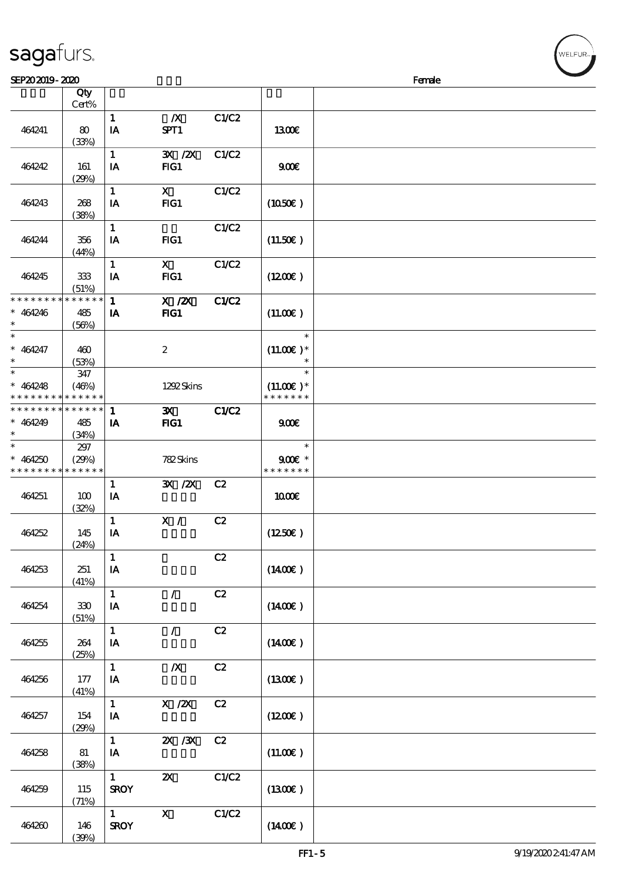| sagaturs. |  |
|-----------|--|
|           |  |

| SEP202019-2020                           |       |                         |                           |              |                     | Female |  |
|------------------------------------------|-------|-------------------------|---------------------------|--------------|---------------------|--------|--|
|                                          | Qty   |                         |                           |              |                     |        |  |
|                                          | Cert% |                         |                           |              |                     |        |  |
|                                          |       | $\mathbf{1}$            | $\boldsymbol{X}$          | C1/C2        |                     |        |  |
| 464241                                   | 80    | IA                      | SPT1                      |              | 1300                |        |  |
|                                          | (33%) |                         |                           |              |                     |        |  |
|                                          |       | $\mathbf{1}$            | 3X / 2X                   | C1/C2        |                     |        |  |
| 464242                                   | 161   | IA                      | FG1                       |              | 900                 |        |  |
|                                          | (29%) |                         |                           |              |                     |        |  |
|                                          |       | $\mathbf{1}$            | $\mathbf{X}$              | C1/C2        |                     |        |  |
| 464243                                   | 268   | IA                      | $FIG1$                    |              | (1050)              |        |  |
|                                          | (38%) |                         |                           |              |                     |        |  |
|                                          |       | $\mathbf{1}$            |                           | C1/C2        |                     |        |  |
| 464244                                   | 356   | IA                      | FG1                       |              | (11.50)             |        |  |
|                                          | (44%) |                         |                           |              |                     |        |  |
|                                          |       | $\mathbf{1}$            | $\mathbf{X}$              | C1/C2        |                     |        |  |
| 464245                                   | 333   | IA                      | $HG1$                     |              | (1200)              |        |  |
|                                          | (51%) |                         |                           |              |                     |        |  |
| * * * * * * * * * * * * * *              |       | $\mathbf{1}$            | $X$ / $ZX$                | <b>C1/C2</b> |                     |        |  |
| $* 464246$                               | 485   | IA                      | $HG1$                     |              | (11.00)             |        |  |
| $\ast$                                   | (56%) |                         |                           |              |                     |        |  |
| $\ast$                                   |       |                         |                           |              | $\ast$              |        |  |
| $* 464247$                               | 460   |                         | $\boldsymbol{2}$          |              | $(11.00)$ *         |        |  |
| $\ast$                                   | (53%) |                         |                           |              | $\ast$              |        |  |
| $\overline{\phantom{1}}$                 | 347   |                         |                           |              | $\ast$              |        |  |
| $* 464248$                               | (46%) |                         | 1292Skins                 |              | $(11.00)$ *         |        |  |
| * * * * * * * * <mark>* * * * * *</mark> |       |                         |                           |              | * * * * * * *       |        |  |
| * * * * * * * * * * * * * * *            |       | $\mathbf{1}$            | $\mathbf{x}$              | C1/C2        |                     |        |  |
| $* 464249$                               | 485   | IA                      | $HG1$                     |              | 900                 |        |  |
| $\ast$                                   | (34%) |                         |                           |              |                     |        |  |
| $\ast$                                   | 297   |                         |                           |              | $\ast$              |        |  |
| $* 464250$                               | (29%) |                         | 782Skins                  |              | $900$ $*$           |        |  |
| * * * * * * * * <mark>* * * * * *</mark> |       |                         |                           |              | * * * * * * *       |        |  |
|                                          |       | $\mathbf{1}$            | 3X / 2X                   | C2           |                     |        |  |
| 464251                                   | 100   | IA                      |                           |              | 1000E               |        |  |
|                                          | (32%) |                         |                           |              |                     |        |  |
|                                          |       | $\mathbf{1}$            | X /                       | C2           |                     |        |  |
| 464252                                   | 145   | IA                      |                           |              | (1250E)             |        |  |
|                                          | (24%) |                         |                           |              |                     |        |  |
|                                          |       | $\mathbf{1}$            |                           | C2           |                     |        |  |
| 464253                                   | 251   | $\mathbf{I} \mathbf{A}$ |                           |              | $(1400\varepsilon)$ |        |  |
|                                          | (41%) |                         |                           |              |                     |        |  |
|                                          |       | $\mathbf{1}$            | $\mathcal{L}$             | C2           |                     |        |  |
| 464254                                   | 330   | IA                      |                           |              | $(1400\varepsilon)$ |        |  |
|                                          | (51%) |                         |                           |              |                     |        |  |
|                                          |       | $\mathbf{1}$            | $\mathcal{L}$             | C2           |                     |        |  |
| 464255                                   | 264   | IA                      |                           |              | $(1400\varepsilon)$ |        |  |
|                                          | (25%) |                         |                           |              |                     |        |  |
|                                          |       | $\mathbf{1}$            | $\boldsymbol{X}$          | C2           |                     |        |  |
| 464256                                   | 177   | IA                      |                           |              | (1300)              |        |  |
|                                          | (41%) | $\mathbf{1}$            | X / ZX                    | C2           |                     |        |  |
| 464257                                   | 154   | IA                      |                           |              | (1200E)             |        |  |
|                                          | (29%) |                         |                           |              |                     |        |  |
|                                          |       | $\mathbf{1}$            | $X \, X$                  | C2           |                     |        |  |
| 464258                                   | 81    | IA                      |                           |              | (11.00)             |        |  |
|                                          | (38%) |                         |                           |              |                     |        |  |
|                                          |       | $\mathbf{1}$            | $\boldsymbol{\mathsf{Z}}$ | C1/C2        |                     |        |  |
| 464259                                   | 115   | <b>SROY</b>             |                           |              | (1300E)             |        |  |
|                                          | (71%) |                         |                           |              |                     |        |  |
|                                          |       | 1                       | $\mathbf{X}$              | C1/C2        |                     |        |  |
| 464260                                   | 146   | <b>SROY</b>             |                           |              | $(1400\varepsilon)$ |        |  |
|                                          | (30%) |                         |                           |              |                     |        |  |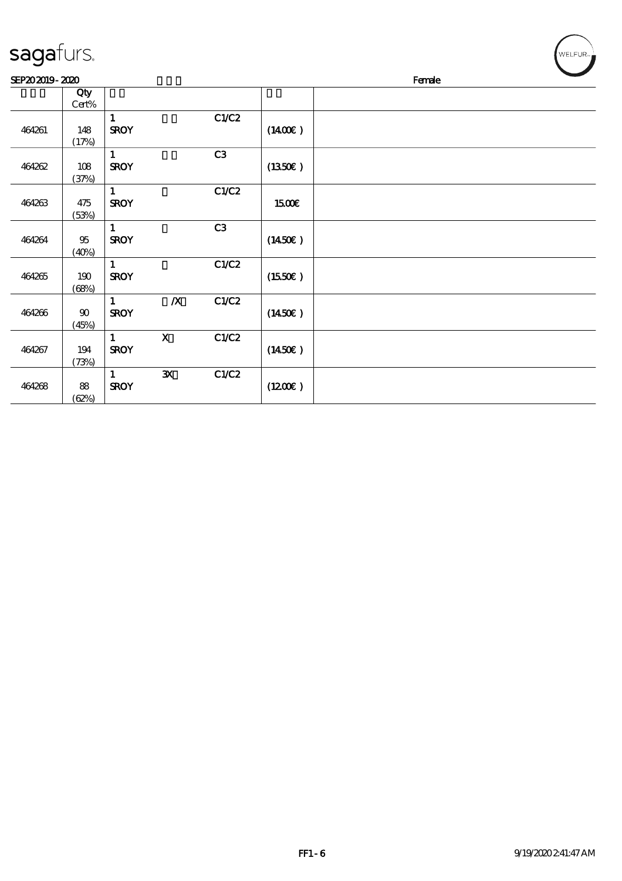| sagafurs.      |                     |                             |                  |                |                     |  |  |  | WELFUR <sub>™</sub> |
|----------------|---------------------|-----------------------------|------------------|----------------|---------------------|--|--|--|---------------------|
| SEP202019-2020 |                     |                             |                  |                | Female              |  |  |  |                     |
|                | Qty<br>Cert%        |                             |                  |                |                     |  |  |  |                     |
| 464261         | 148<br>(17%)        | $\mathbf{1}$<br><b>SROY</b> |                  | C1/C2          | $(1400\varepsilon)$ |  |  |  |                     |
| 464262         | 108<br>(37%)        | $\mathbf{1}$<br><b>SROY</b> |                  | C <sub>3</sub> | (1350)              |  |  |  |                     |
| 464263         | $475$<br>(53%)      | 1<br><b>SROY</b>            |                  | C1/C2          | 1500E               |  |  |  |                     |
| 464264         | $9\!5$<br>(40%)     | $\mathbf{1}$<br><b>SROY</b> |                  | C3             | $(1450\varepsilon)$ |  |  |  |                     |
| 464265         | 190<br>(68%)        | 1<br><b>SROY</b>            |                  | C1/C2          | (1550E)             |  |  |  |                     |
| 464266         | ${\bf 90}$<br>(45%) | $\mathbf{1}$<br><b>SROY</b> | $\boldsymbol{X}$ | C1/C2          | $(1450\varepsilon)$ |  |  |  |                     |
| 464267         | 194<br>(73%)        | $\mathbf{1}$<br><b>SROY</b> | $\mathbf X$      | C1/C2          | (1450E)             |  |  |  |                     |
| 464268         | ${\bf 88}$<br>(62%) | $\mathbf{1}$<br><b>SROY</b> | ${\bf x}$        | C1/C2          | (1200E)             |  |  |  |                     |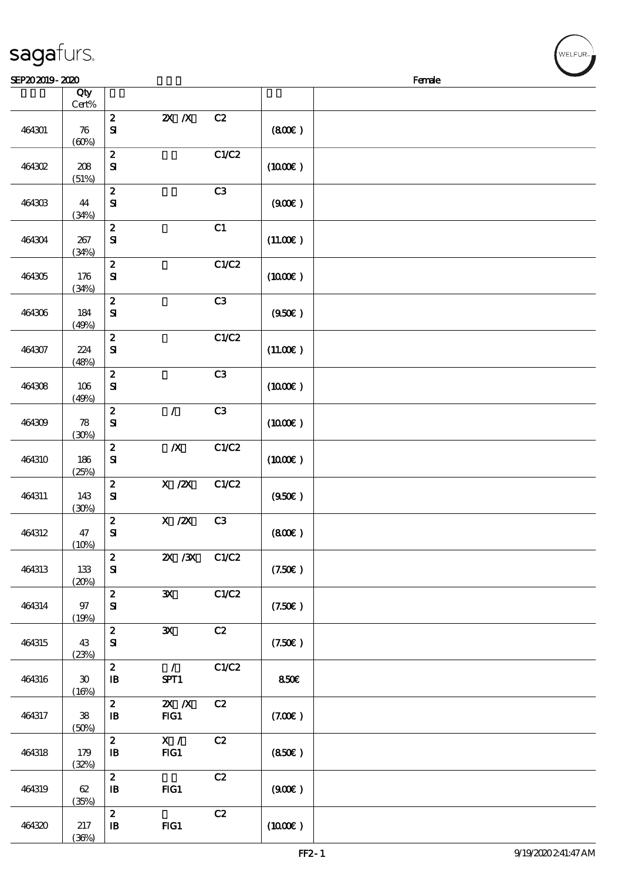|        | Qty<br>$\mbox{Cert}\%$               |                                                |                       |       |                     |  |
|--------|--------------------------------------|------------------------------------------------|-----------------------|-------|---------------------|--|
| 464301 | 76<br>(60%)                          | $\boldsymbol{z}$<br>$\mathbf{S}$               | $X$ $X$               | C2    | (800)               |  |
| 464302 | 208<br>(51%)                         | $\pmb{2}$<br>$\mathbf{S}$                      |                       | C1/C2 | (1000)              |  |
| 464303 | 44<br>(34%)                          | $\boldsymbol{2}$<br>${\bf S\!I}$               |                       | C3    | (900)               |  |
| 464304 | 267<br>(34%)                         | $\boldsymbol{2}$<br>$\mathbf{S}\mathbf{I}$     |                       | C1    | (11.00)             |  |
| 464305 | 176<br>(34%)                         | $\pmb{2}$<br>${\bf S}$                         |                       | C1/C2 | (1000E)             |  |
| 464306 | 184<br>(49%)                         | $\boldsymbol{2}$<br>${\bf S}$                  |                       | C3    | (950)               |  |
| 464307 | 224<br>(48%)                         | $\pmb{2}$<br>${\bf S\!I}$                      |                       | C1/C2 | (11.00)             |  |
| 464308 | 106<br>(49%)                         | $\pmb{2}$<br>$\mathbf{S}$                      |                       | C3    | (1000E)             |  |
| 464309 | 78<br>(30%)                          | $\pmb{2}$<br>$\mathbf{S}$                      | $\mathcal{L}$         | C3    | $(1000\varepsilon)$ |  |
| 464310 | 186<br>(25%)                         | $\pmb{2}$<br>$\mathbf{S}\mathbf{I}$            | $\pmb{X}$             | C1/C2 | $(1000\varepsilon)$ |  |
| 464311 | 143<br>(30%)                         | $\pmb{2}$<br>${\bf S}$                         | X / ZX                | C1/C2 | (950)               |  |
| 464312 | 47<br>(10%)                          | $\pmb{2}$<br>$\mathbf{S}$                      | X / ZX                | C3    | (800)               |  |
| 464313 | 133<br>(20%)                         | $\boldsymbol{z}$<br>${\bf S}$                  | 2X / 3X C1/C2         |       | (7.50)              |  |
| 464314 | $97$<br>(19%)                        | $\boldsymbol{z}$<br>${\bf S\!I}$               | $\mathbf{x}$          | C1/C2 | (7.50)              |  |
| 464315 | 43<br>(23%)                          | $\boldsymbol{z}$<br>$\mathbf{S}$               | $\mathbf{x}$          | C2    | (7.50)              |  |
| 464316 | $\boldsymbol{\mathfrak{D}}$<br>(16%) | $\boldsymbol{z}$<br>$\, {\bf I} \! {\bf B} \,$ | $\mathcal{L}$<br>SPT1 | C1/C2 | 850E                |  |
| 464317 | ${\bf 38}$<br>(50%)                  | $\boldsymbol{z}$<br>$\mathbf{B}$               | $X$ $N$<br>FG1        | C2    | (7.00)              |  |
| 464318 | 179<br>(32%)                         | $\boldsymbol{z}$<br>$\, {\bf I}\!{\bf B}$      | X /<br>FG1            | C2    | (850)               |  |
| 464319 | 62<br>(35%)                          | $\boldsymbol{z}$<br>$\, {\bf I} \! {\bf B} \,$ | FG1                   | C2    | (900)               |  |
| 464320 | 217<br>(36%)                         | $\boldsymbol{z}$<br>${\bf I\!B}$               | FG1                   | C2    | (1000)              |  |

 $SEP202019 - 2020$ 

### sagafurs.

**NELFUR**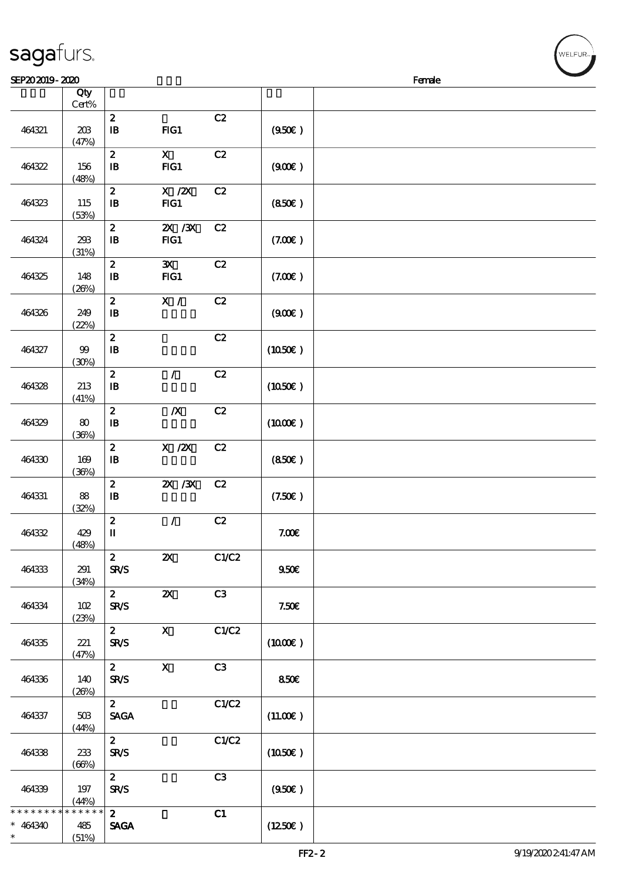| SEP202019-2020  |                  |                                                |                           |       |          | Female |
|-----------------|------------------|------------------------------------------------|---------------------------|-------|----------|--------|
|                 | Qty<br>$Cert\%$  |                                                |                           |       |          |        |
| 464321          | $203\,$<br>(47%) | $\boldsymbol{2}$<br>${\bf I\!B}$               | FG1                       | C2    | (950)    |        |
| 464322          | 156<br>(48%)     | $\pmb{2}$<br>$\, {\bf I} \! {\bf B} \,$        | $\mathbf{X}$<br>$HG1$     | C2    | (900)    |        |
| 464323          | 115<br>(53%)     | $\boldsymbol{z}$<br>$\, {\bf B}$               | $X$ / $ZX$<br>FG1         | C2    | (850)    |        |
| 464324          | $203\,$<br>(31%) | $\boldsymbol{z}$<br>${\bf I\!B}$               | $ZX$ $ZX$<br>FG1          | C2    | (7.00)   |        |
| 464325          | 148<br>(20%)     | $\pmb{2}$<br>$\, {\bf B}$                      | $\mathbf{x}$<br>FG1       | C2    | (7.00)   |        |
| 464326          | 249<br>(22%)     | $\boldsymbol{2}$<br>$\mathbf{B}$               | X /                       | C2    | (900)    |        |
| 464327          | $99$<br>(30%)    | $\pmb{2}$<br>$\, {\bf I} \! {\bf B} \,$        |                           | C2    | (1050E)  |        |
| 464328          | 213<br>(41%)     | $\boldsymbol{2}$<br>$\, {\bf I} \! {\bf B} \,$ | $\mathcal{L}$             | C2    | (1050)   |        |
| 464329          | 80<br>(36%)      | $\boldsymbol{2}$<br>$\mathbf{B}$               | $\boldsymbol{X}$          | C2    | (1000E)  |        |
| 464330          | 169<br>(36%)     | $\pmb{2}$<br>$\, {\bf I} \! {\bf B} \,$        | $X$ / $ZX$                | C2    | (850)    |        |
| 464331          | 88<br>(32%)      | $\boldsymbol{2}$<br>$\mathbf{B}$               | $X \, X$                  | C2    | (7.50)   |        |
| 464332          | 429<br>(48%)     | $\boldsymbol{2}$<br>$\mathbf u$                | $\mathcal{L}$             | C2    | 7.00E    |        |
| 464333          | 291<br>(34%)     | $\mathbf{z}$<br><b>SR/S</b>                    | $\boldsymbol{\mathsf{z}}$ | C1/C2 | 950E     |        |
| 464334          | 102<br>(23%)     | $\mathbf{z}$<br><b>SR/S</b>                    | $\boldsymbol{\mathsf{z}}$ | C3    | 7.50E    |        |
| 464335          | 221<br>(47%)     | $\mathbf{z}$<br><b>SR/S</b>                    | $\mathbf x$               | C1/C2 | (1000)   |        |
| 464336          | 140<br>(20%)     | $\boldsymbol{z}$<br><b>SR/S</b>                | $\boldsymbol{\mathrm{X}}$ | C3    | 850€     |        |
| 464337          | 50B<br>(44%)     | $\mathbf{z}$<br>$\operatorname{\mathsf{SAGA}}$ |                           | C1/C2 | (11.00E) |        |
| 464338          | $233\,$<br>(66%) | $\mathbf{z}$<br><b>SR/S</b>                    |                           | C1/C2 | (1050)   |        |
| 464339          | 197<br>(44%)     | $\mathbf{2}$<br><b>SR/S</b>                    |                           | C3    | (950)    |        |
| * * * * * * * * | * * * * * *      | $\mathbf{z}$                                   |                           | C1    |          |        |

 $(1250\varepsilon)$ 

SAGA

\*\*

464340 485

(51%)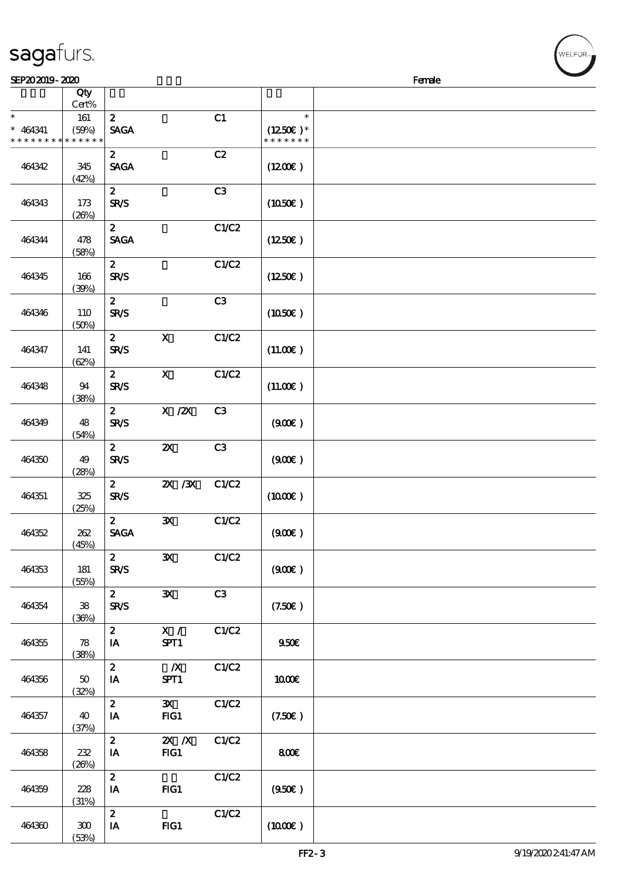|                               | Qty<br>Cert%         |                                 |                           |       |                             |  |
|-------------------------------|----------------------|---------------------------------|---------------------------|-------|-----------------------------|--|
| $\ast$                        | 161                  | $\boldsymbol{z}$                |                           | C1    | $\ast$                      |  |
| $* 464341$<br>* * * * * * * * | (50%)<br>* * * * * * | <b>SAGA</b>                     |                           |       | $(1250E)*$<br>* * * * * * * |  |
| 464342                        | 345<br>(42%)         | $\boldsymbol{z}$<br><b>SAGA</b> |                           | C2    | (1200)                      |  |
| 464343                        | 173<br>(20%)         | $\boldsymbol{z}$<br><b>SR/S</b> |                           | C3    | (1050)                      |  |
| 464344                        | 478<br>(58%)         | $\boldsymbol{z}$<br><b>SAGA</b> |                           | C1/C2 | (1250E)                     |  |
| 464345                        | 166<br>(30%)         | $\boldsymbol{z}$<br><b>SR/S</b> |                           | C1/C2 | (1250E)                     |  |
| 464346                        | 110<br>(50%)         | $\mathbf{z}$<br><b>SR/S</b>     |                           | C3    | (1050)                      |  |
| 464347                        | 141<br>(62%)         | $\boldsymbol{z}$<br><b>SR/S</b> | $\mathbf x$               | C1/C2 | (11.00)                     |  |
| 464348                        | 94<br>(38%)          | $\boldsymbol{z}$<br><b>SR/S</b> | $\mathbf{X}$              | C1/C2 | (11.00)                     |  |
| 464349                        | 48<br>(54%)          | $\boldsymbol{z}$<br><b>SR/S</b> | X / ZX                    | C3    | (900)                       |  |
| 464350                        | 49<br>(28%)          | $\boldsymbol{z}$<br><b>SR/S</b> | $\boldsymbol{\mathsf{z}}$ | C3    | (900)                       |  |
| 464351                        | 325<br>(25%)         | $\mathbf{z}$<br><b>SR/S</b>     | $X \, X$                  | C1/C2 | $(1000\varepsilon)$         |  |
| 464352                        | 262<br>(45%)         | $\mathbf{2}$<br><b>SAGA</b>     | $\mathbf{x}$              | C1/C2 | (900)                       |  |
| 464353                        | 181<br>(55%)         | $\mathbf{z}$<br><b>SR/S</b>     | $\mathbf{x}$              | C1/C2 | (900)                       |  |
| 464354                        | 38<br>(36%)          | $\mathbf{2}$<br><b>SR/S</b>     | $\mathbf{x}$              | C3    | (7.50)                      |  |
| 464355                        | 78<br>(38%)          | $\boldsymbol{z}$<br>IA          | $\mathbf{X}$ /<br>SPT1    | C1/C2 | 950E                        |  |
| 464356                        | 50<br>(32%)          | $\boldsymbol{z}$<br>IA          | $\boldsymbol{X}$<br>SPT1  | C1/C2 | 1000E                       |  |
| 464357                        | 40<br>(37%)          | $\mathbf{z}$<br>$I$ A           | $\mathbf{x}$<br>FG1       | C1/C2 | (7.50)                      |  |
| 464358                        | $232\,$<br>(20%)     | $\mathbf{z}$<br>IA              | $X$ $X$<br>FG1            | C1/C2 | 800€                        |  |
| 464359                        | 228<br>(31%)         | $\mathbf{z}$<br>IA              | $HG1$                     | C1/C2 | (950)                       |  |
| 464360                        | $300\,$              | $\mathbf{z}$<br>IA              | FG1                       | C1/C2 | (1000)                      |  |

 $SEP202019 - 2020$ 

## sagafurs.

(53%)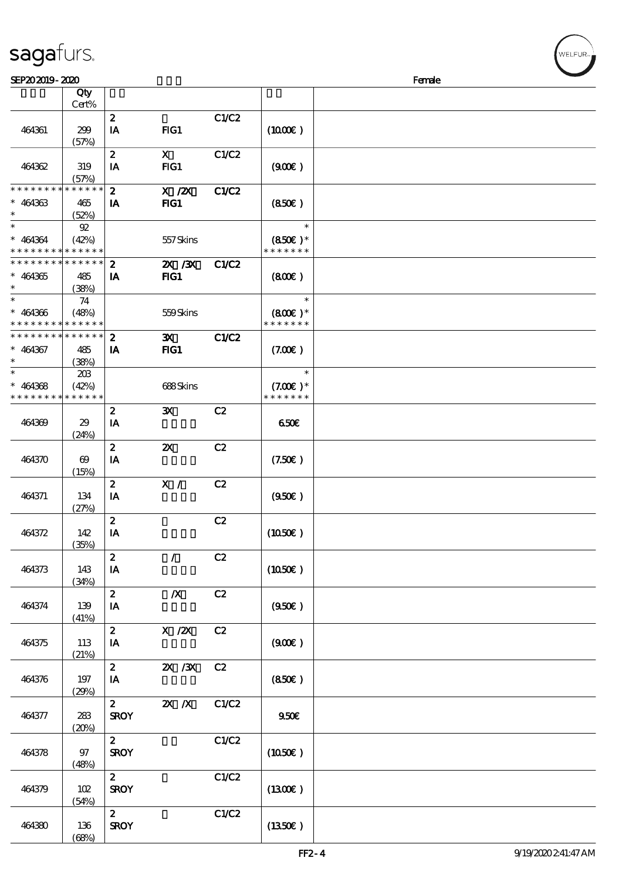| SEP202019-2020                           |                       |                  |                           |              |                     | Female |  |
|------------------------------------------|-----------------------|------------------|---------------------------|--------------|---------------------|--------|--|
|                                          | Qty                   |                  |                           |              |                     |        |  |
|                                          | Cert%                 |                  |                           |              |                     |        |  |
|                                          |                       | $\boldsymbol{z}$ |                           | C1/C2        |                     |        |  |
| 464361                                   | 299                   | IA               | FG1                       |              | (1000)              |        |  |
|                                          | (57%)                 |                  |                           |              |                     |        |  |
|                                          |                       |                  |                           |              |                     |        |  |
|                                          |                       | $\boldsymbol{z}$ | $\mathbf{X}$              | C1/C2        |                     |        |  |
| 464362                                   | 319                   | IA               | $HG1$                     |              | (900)               |        |  |
|                                          | (57%)                 |                  |                           |              |                     |        |  |
| * * * * * * * * * * * * * *              |                       | $\boldsymbol{z}$ | $X$ / $ZX$                | C1/C2        |                     |        |  |
| $* 464363$                               | 465                   | IA               | FIG1                      |              | (850)               |        |  |
| $\ast$                                   | (52%)                 |                  |                           |              |                     |        |  |
| $\ast$                                   | $92\,$                |                  |                           |              | $\ast$              |        |  |
| $* 464364$                               | (42%)                 |                  | 557Skins                  |              | $(850)$ *           |        |  |
| * * * * * * * * <mark>* * * * * *</mark> |                       |                  |                           |              | * * * * * * *       |        |  |
| * * * * * * * * * * * * * *              |                       | $\boldsymbol{z}$ | ZX / XX                   | <b>C1/C2</b> |                     |        |  |
|                                          |                       |                  |                           |              |                     |        |  |
| $* 464365$                               | 485                   | IA               | FIG1                      |              | (800)               |        |  |
| $\ast$                                   | (38%)                 |                  |                           |              |                     |        |  |
|                                          | 74                    |                  |                           |              | $\ast$              |        |  |
| $* 464366$                               | (48%)                 |                  | 559Skins                  |              | $(800\varepsilon)*$ |        |  |
| * * * * * * * * * * * * * *              |                       |                  |                           |              | * * * * * * *       |        |  |
| * * * * * * * * * * * * * *              |                       | $\boldsymbol{2}$ | $\mathbf{x}$              | C1/C2        |                     |        |  |
| $* 464367$                               | 485                   | IA               | $HG1$                     |              | (7.00)              |        |  |
| $\ast$                                   | (38%)                 |                  |                           |              |                     |        |  |
| $\ast$                                   | 203                   |                  |                           |              | $\ast$              |        |  |
| $* 464368$                               | (42%)                 |                  | 688Skins                  |              | $(7.00)$ *          |        |  |
| * * * * * * * * * * * * * *              |                       |                  |                           |              | * * * * * * *       |        |  |
|                                          |                       |                  |                           |              |                     |        |  |
|                                          |                       | $\boldsymbol{z}$ | $\mathbf{x}$              | C2           |                     |        |  |
| 464369                                   | 29                    | IA               |                           |              | 650                 |        |  |
|                                          | (24%)                 |                  |                           |              |                     |        |  |
|                                          |                       | $\boldsymbol{z}$ | $\boldsymbol{\mathsf{Z}}$ | C2           |                     |        |  |
| 464370                                   | $\boldsymbol{\omega}$ | IA               |                           |              | (7.50)              |        |  |
|                                          | (15%)                 |                  |                           |              |                     |        |  |
|                                          |                       | $\boldsymbol{z}$ | X /                       | C2           |                     |        |  |
| 464371                                   | 134                   | IA               |                           |              | (950)               |        |  |
|                                          | (27%)                 |                  |                           |              |                     |        |  |
|                                          |                       | $\boldsymbol{z}$ |                           | C2           |                     |        |  |
| 464372                                   |                       | IA               |                           |              | (1050)              |        |  |
|                                          | 142                   |                  |                           |              |                     |        |  |
|                                          | (35%)                 |                  |                           |              |                     |        |  |
|                                          |                       | $\boldsymbol{z}$ | $\mathcal{L}$             | C2           |                     |        |  |
| 464373                                   | 143                   | IA               |                           |              | (1050)              |        |  |
|                                          | (34%)                 |                  |                           |              |                     |        |  |
|                                          |                       | $\mathbf{2}$     | $\boldsymbol{X}$          | C2           |                     |        |  |
| 464374                                   | 139                   | IA               |                           |              | (950)               |        |  |
|                                          | (41%)                 |                  |                           |              |                     |        |  |
|                                          |                       | $\mathbf{z}$     | $X$ / $ZX$                | C2           |                     |        |  |
| 464375                                   | 113                   | IA               |                           |              | (900)               |        |  |
|                                          | (21%)                 |                  |                           |              |                     |        |  |
|                                          |                       | $\mathbf{z}$     | $\chi$ / $\chi$           | C2           |                     |        |  |
|                                          | 197                   | IA               |                           |              | (850)               |        |  |
| 464376                                   |                       |                  |                           |              |                     |        |  |
|                                          | (29%)                 |                  |                           |              |                     |        |  |
|                                          |                       | $\mathbf{2}$     | $X$ $N$                   | C1/C2        |                     |        |  |
| 464377                                   | 283                   | <b>SROY</b>      |                           |              | 950E                |        |  |
|                                          | (20%)                 |                  |                           |              |                     |        |  |
|                                          |                       | $2^{\circ}$      |                           | C1/C2        |                     |        |  |
| 464378                                   | 97                    | <b>SROY</b>      |                           |              | (1050)              |        |  |
|                                          | (48%)                 |                  |                           |              |                     |        |  |
|                                          |                       | 2 <sup>7</sup>   |                           | C1/C2        |                     |        |  |
| 464379                                   | 102                   | <b>SROY</b>      |                           |              | (1300)              |        |  |
|                                          | (54%)                 |                  |                           |              |                     |        |  |
|                                          |                       | $\mathbf{2}$     |                           | C1/C2        |                     |        |  |
| 464380                                   | 136                   | <b>SROY</b>      |                           |              | (1350E)             |        |  |
|                                          |                       |                  |                           |              |                     |        |  |
|                                          | (68%)                 |                  |                           |              |                     |        |  |

ELFUR-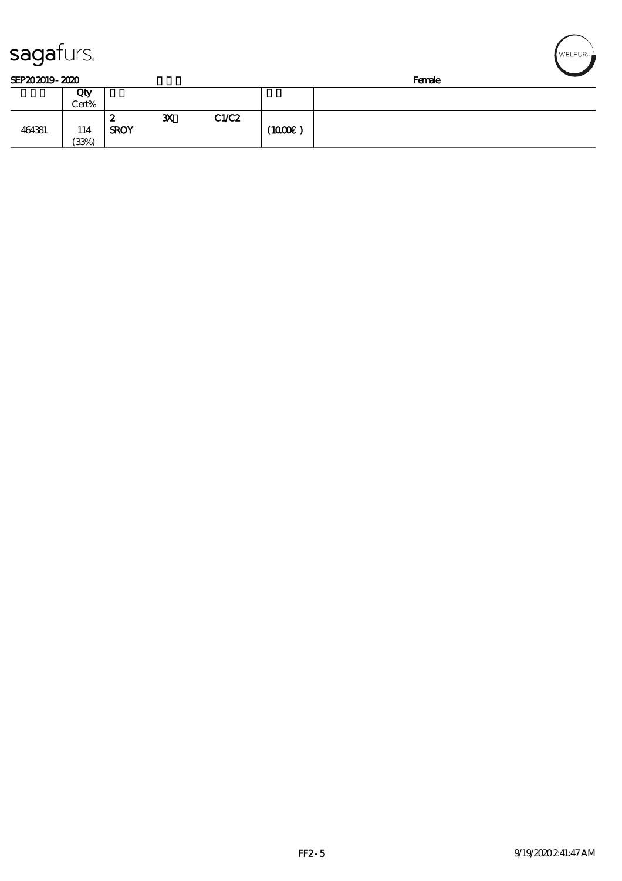| sagaturs.      |              |                  |              |       |        |        | WELFUR <sub>™</sub> |
|----------------|--------------|------------------|--------------|-------|--------|--------|---------------------|
| SEP202019-2020 |              |                  |              |       |        | Female |                     |
|                | Qty<br>Cert% |                  |              |       |        |        |                     |
| 464381         | 114<br>(33%) | 2<br><b>SROY</b> | $\mathbf{x}$ | C1/C2 | (1000) |        |                     |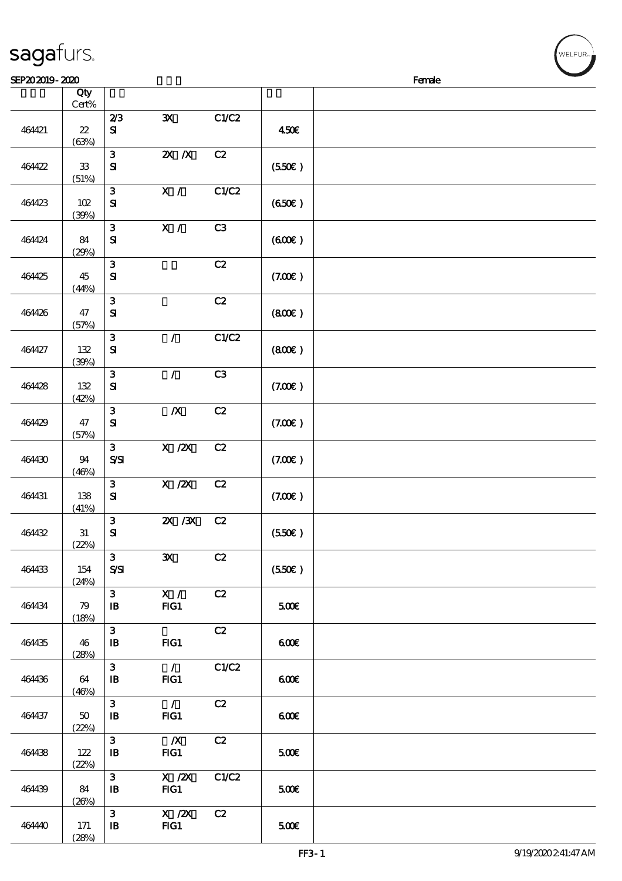| sagafurs. |  |
|-----------|--|
|           |  |

| Jaya⊦∪⊦ ⊃⊱     |        |
|----------------|--------|
| SEP202019-2020 | Female |

|        | Qty<br>$Cert\%$     |                                              |                                                                                |       |        |  |
|--------|---------------------|----------------------------------------------|--------------------------------------------------------------------------------|-------|--------|--|
|        |                     | 2/3                                          | $\mathbf{x}$                                                                   | C1/C2 |        |  |
| 464421 | $2\!2$<br>(63%)     | ${\bf S}$                                    |                                                                                |       | 450€   |  |
| 464422 | ${\bf 33}$<br>(51%) | $\mathbf{3}$<br>${\bf S}$                    | $X$ $X$                                                                        | C2    | (550)  |  |
| 464423 | 102<br>(30%)        | $\mathbf{3}$<br>$\mathbf{S}$                 | X /                                                                            | C1/C2 | (650)  |  |
| 464424 | 84<br>(29%)         | $\mathbf{3}$<br>$\mathbf{S}$                 | X /                                                                            | C3    | (60E)  |  |
| 464425 | 45<br>(44%)         | $\mathbf{3}$<br>$\mathbf{S}$                 |                                                                                | C2    | (7.00) |  |
| 464426 | 47<br>(57%)         | $\mathbf{3}$<br>$\mathbf{S}$                 |                                                                                | C2    | (800)  |  |
| 464427 | 132<br>(30%)        | $\mathbf{3}$<br>$\bf S\!I$                   | $\mathcal{L}$                                                                  | C1/C2 | (800)  |  |
| 464428 | 132<br>(42%)        | $\mathbf{3}$<br>$\mathbf{S}$                 | $\mathcal{L}$                                                                  | C3    | (7.00) |  |
| 464429 | 47<br>(57%)         | $\mathbf{3}$<br>$\mathbf{S}$                 | $\pmb{X}$                                                                      | C2    | (7.00) |  |
| 464430 | 94<br>(46%)         | $\mathbf{3}$<br>$S\!S\!I$                    | $\boldsymbol{\mathrm{X}}$ / $\boldsymbol{\mathrm{Z}}\!\boldsymbol{\mathrm{X}}$ | C2    | (7.00) |  |
| 464431 | 138<br>(41%)        | $\mathbf{3}$<br>${\bf s}$                    | X / ZX                                                                         | C2    | (7.00) |  |
| 464432 | 31<br>(22%)         | $\mathbf{3}$<br>$\mathbf{S}$                 | $X \, X$                                                                       | C2    | (550)  |  |
| 464433 | 154<br>(24%)        | $ 3\rangle$<br>$S\!S\!I$                     | $\mathbf{x}$                                                                   | C2    | (550)  |  |
| 464434 | 79<br>(18%)         | 3 <sup>7</sup><br>$\mathbf{B}$               | X /<br>FG1                                                                     | C2    | 500E   |  |
| 464435 | 46<br>(28%)         | $\mathbf{3}$<br>$\mathbf{B}$                 | FG1                                                                            | C2    | 600    |  |
| 464436 | 64<br>(46%)         | $\mathbf{3}$<br>$\mathbf{B}$                 | $\mathcal{L}$<br>$HG1$                                                         | C1/C2 | 600    |  |
| 464437 | 50<br>(22%)         | $\mathbf{3}$<br>$\mathbf{B}$                 | $\mathcal{L}$<br>FG1                                                           | C2    | 600    |  |
| 464438 | 122<br>(22%)        | 3 <sup>1</sup><br>$\mathbf{B}$               | $\boldsymbol{X}$<br>FG1                                                        | C2    | 500E   |  |
| 464439 | 84<br>(20%)         | 3 <sup>1</sup><br>$\mathbf{B}$               | X / ZX<br>FG1                                                                  | C1/C2 | 500    |  |
| 464440 | 171<br>(28%)        | 3 <sup>1</sup><br>$\, {\bf I} \! {\bf B} \,$ | $X \, /ZX$<br>FG1                                                              | C2    | 500E   |  |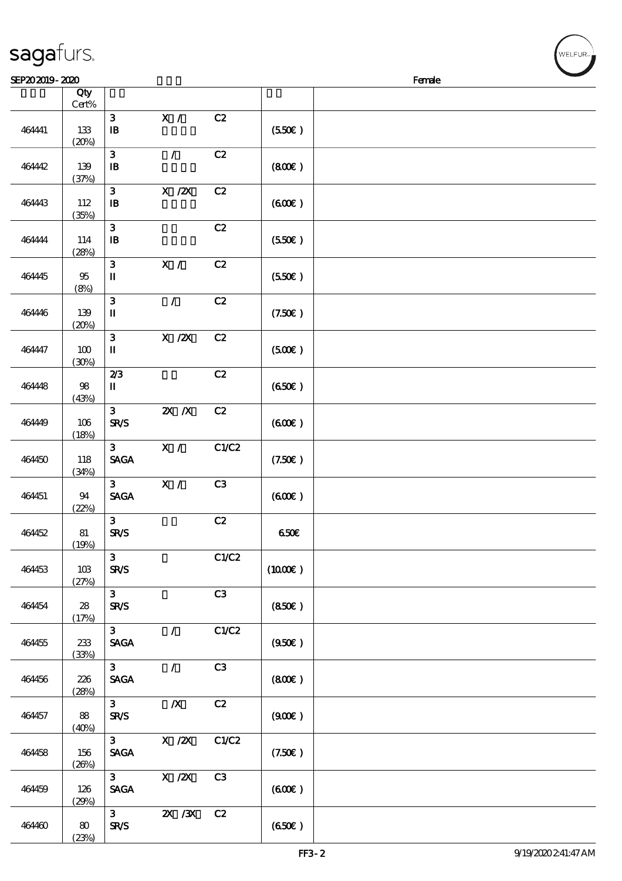| sagafurs. |
|-----------|
|           |

| sagarurs.      |       |   |              |        |        |
|----------------|-------|---|--------------|--------|--------|
| SEP202019-2020 |       |   |              |        | Female |
|                | Qty   |   |              |        |        |
|                | Cert% |   |              |        |        |
|                |       | c | $\mathbf{v}$ | $\sim$ |        |

|        | Cert%        |                                                  |                  |               |                     |  |
|--------|--------------|--------------------------------------------------|------------------|---------------|---------------------|--|
| 464441 | 133<br>(20%) | 3 <sup>1</sup><br>$\, {\bf I} \! {\bf B} \,$     | X /              | C2            | (550)               |  |
| 464442 | 139<br>(37%) | $\mathbf{3}$<br>$\, {\bf I} \! {\bf B} \,$       | $\mathcal{F}$    | C2            | (800)               |  |
| 464443 | 112<br>(35%) | $\mathbf{3}$<br>$\mathbf B$                      | $X$ / $ZX$       | C2            | (600)               |  |
| 464444 | 114<br>(28%) | $\mathbf{3}$<br>$\, {\bf I} \! {\bf B} \,$       |                  | $\mathbf{C2}$ | (550)               |  |
| 464445 | 95<br>(8%)   | $\mathbf{3}$<br>$\rm I\hspace{-.1em}I$           | X /              | C2            | (550)               |  |
| 464446 | 139<br>(20%) | 3<br>$\mathbf I$                                 | $\mathcal{L}$    | C2            | (7.50)              |  |
| 464447 | 100<br>(30%) | $\mathbf{3}$<br>П                                | $X$ / $ZX$       | C2            | (500)               |  |
| 464448 | 98<br>(43%)  | 2/3<br>$\mathbf{I}$                              |                  | C2            | (650)               |  |
| 464449 | 106<br>(18%) | 3 <sup>1</sup><br><b>SR/S</b>                    | $X$ $N$          | C2            | (60E)               |  |
| 464450 | 118<br>(34%) | 3 <sup>1</sup><br><b>SAGA</b>                    | X /              | C1/C2         | (7.50)              |  |
| 464451 | 94<br>(22%)  | 3 <sup>1</sup><br>$\operatorname{\mathsf{SAGA}}$ | X /              | C3            | (60E)               |  |
| 464452 | 81<br>(19%)  | 3 <sup>1</sup><br><b>SR/S</b>                    |                  | C2            | 650E                |  |
| 464453 | 10B<br>(27%) | 3 <sup>1</sup><br><b>SR/S</b>                    |                  | C1/C2         | $(1000\varepsilon)$ |  |
| 464454 | 28<br>(17%)  | 3 <sup>7</sup><br><b>SR/S</b>                    |                  | C3            | (850)               |  |
| 464455 | 233<br>(33%) | 3 <sup>1</sup><br><b>SAGA</b>                    | $\mathcal{L}$    | C1/C2         | (950)               |  |
| 464456 | 226<br>(28%) | 3 <sup>1</sup><br>$\ensuremath{\mathsf{SAGA}}$   | $\mathcal{L}$    | C3            | (800)               |  |
| 464457 | 88<br>(40%)  | 3 <sup>1</sup><br><b>SR/S</b>                    | $\boldsymbol{X}$ | C2            | (900)               |  |
| 464458 | 156<br>(20%) | 3 <sup>7</sup><br><b>SAGA</b>                    | $X$ / $ZX$       | C1/C2         | (7.50)              |  |
| 464459 | 126<br>(29%) | 3 <sup>7</sup><br><b>SAGA</b>                    | X / ZX           | C3            | (60E)               |  |
| 464460 | 80<br>(23%)  | 3 <sub>1</sub><br><b>SR/S</b>                    | $X \, X$         | C2            | (650)               |  |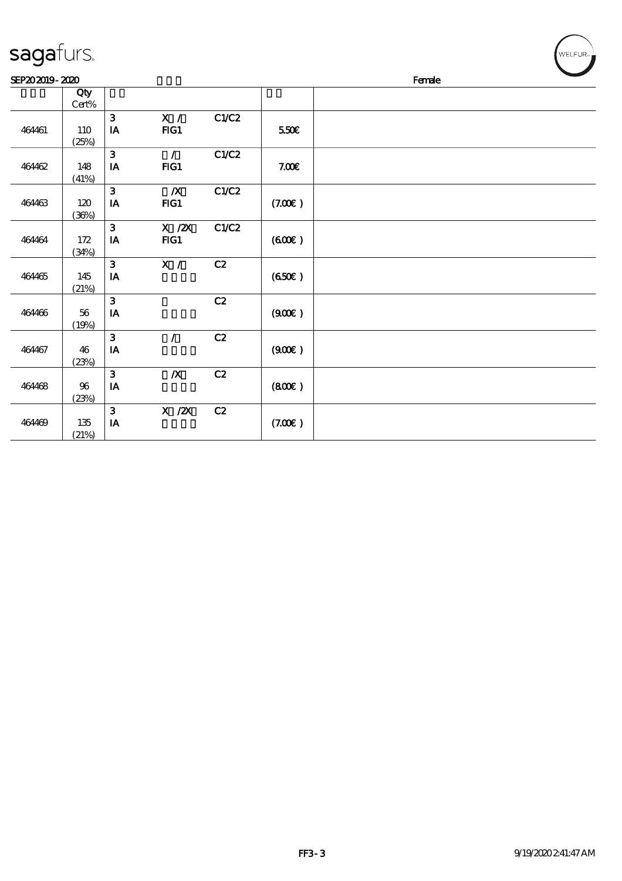| sagaturs.                |       |  |  |  |  |
|--------------------------|-------|--|--|--|--|
| SEP202019-2020<br>Female |       |  |  |  |  |
|                          | Qty   |  |  |  |  |
|                          | Cert% |  |  |  |  |
|                          |       |  |  |  |  |

|        | Qty      |                |                  |       |        |  |
|--------|----------|----------------|------------------|-------|--------|--|
|        | $Cert\%$ |                |                  |       |        |  |
|        |          | $\mathbf{3}$   | X /              | C1/C2 |        |  |
| 464461 | 110      | IA             | FG1              |       | 550€   |  |
|        | (25%)    |                |                  |       |        |  |
|        |          | $\overline{3}$ | $\mathcal{L}$    | C1/C2 |        |  |
| 464462 | 148      | IA             | $HG1$            |       | 7.00E  |  |
|        | (41%)    |                |                  |       |        |  |
|        |          | 3              | $\boldsymbol{X}$ | C1/C2 |        |  |
| 464463 | 120      | $I$ A          | FG1              |       | (7.00) |  |
|        | (36%)    |                |                  |       |        |  |
|        |          | $\mathbf{3}$   | $X$ / $ZX$       | C1/C2 |        |  |
| 464464 | 172      | IA             | FG1              |       | (600)  |  |
|        | (34%)    |                |                  |       |        |  |
|        |          | 3              | $\mathbf{X}$ /   | C2    |        |  |
| 464465 | 145      | IA             |                  |       | (650)  |  |
|        | (21%)    |                |                  |       |        |  |
|        |          | $\mathbf{3}$   |                  | C2    |        |  |
| 464466 | 56       | $\mathbf{IA}$  |                  |       | (900)  |  |
|        | (19%)    |                |                  |       |        |  |
|        |          | $\mathbf{3}$   | $\mathcal{L}$    | C2    |        |  |
| 464467 | 46       | IA             |                  |       | (900)  |  |
|        | (23%)    |                |                  |       |        |  |
|        |          | 3              | $\boldsymbol{X}$ | C2    |        |  |
| 464468 | 96       | IA             |                  |       | (800)  |  |
|        | (23%)    |                |                  |       |        |  |
|        |          | $\mathbf{3}$   | $X$ / $ZX$       | C2    |        |  |
| 464469 | $135\,$  | $\mathbf{IA}$  |                  |       | (7.00) |  |
|        | (21%)    |                |                  |       |        |  |
|        |          |                |                  |       |        |  |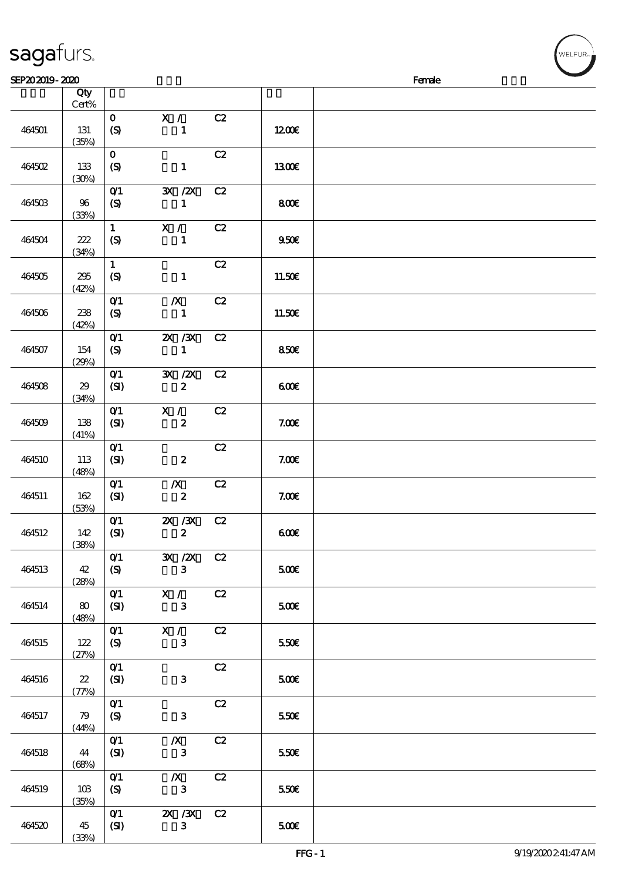(33%)

| SEP202019-2020 |                    |                                             |                                             |    |        | Female |
|----------------|--------------------|---------------------------------------------|---------------------------------------------|----|--------|--------|
|                | Qty                |                                             |                                             |    |        |        |
|                | Cert%              |                                             |                                             |    |        |        |
| 464501         | 131<br>(35%)       | $\mathbf{O}$<br>(S)                         | X /<br>$\mathbf{1}$                         | C2 | 1200   |        |
| 464502         | 133<br>(30%)       | $\mathbf{O}$<br>(S)                         | $\mathbf{1}$                                | C2 | 1300E  |        |
| 464503         | 96<br>(33%)        | $O$ $1$<br>$\boldsymbol{S}$                 | $\mathbf{X}$ / $\mathbf{X}$<br>$\mathbf{1}$ | C2 | 800E   |        |
| 464504         | 222<br>(34%)       | $\mathbf{1}$<br>$\boldsymbol{S}$            | X /<br>$\mathbf{1}$                         | C2 | 950E   |        |
| 464505         | 295<br>(42%)       | $\mathbf{1}$<br>$\boldsymbol{\mathrm{(S)}}$ | $\mathbf{1}$                                | C2 | 11.50€ |        |
| 464506         | 238<br>(42%)       | $O$ $1$<br>$\boldsymbol{\mathrm{(S)}}$      | $\boldsymbol{X}$<br>$\mathbf{1}$            | C2 | 11.50E |        |
| 464507         | 154<br>(29%)       | $O$ $1$<br>$\boldsymbol{\mathrm{(S)}}$      | $X \, X$<br>$\mathbf{1}$                    | C2 | 850E   |        |
| 464508         | 29<br>(34%)        | $O$ $1$<br>(SI)                             | 3X /2X<br>$\boldsymbol{z}$                  | C2 | 600    |        |
| 464509         | 138<br>(41%)       | $O$ $1$<br>(SI)                             | X /<br>$\boldsymbol{z}$                     | C2 | 7.00E  |        |
| 464510         | 113<br>(48%)       | O(1)<br>(SI)                                | $\boldsymbol{z}$                            | C2 | 7.00E  |        |
| 464511         | 162<br>(53%)       | $O$ <sup><math>1</math></sup><br>(SI)       | $\boldsymbol{X}$<br>$\boldsymbol{z}$        | C2 | 7.00E  |        |
| 464512         | 142<br>(38%)       | O(1)<br>(SI)                                | $X \, X$<br>$\boldsymbol{z}$                | C2 | 60E    |        |
| 464513         | 42<br>(28%)        | O(1)<br>(S)                                 | 3X /2X C2<br>3 <sup>1</sup>                 |    | 500    |        |
| 464514         | $\bf{80}$<br>(48%) | O(1)<br>(SI)                                | X / C2<br>$\mathbf{3}$                      |    | 500    |        |
| 464515         | 122<br>(27%)       | O(1)<br>(S)                                 | X / C2<br>$\mathbf{3}$                      |    | 550€   |        |
| 464516         | 22<br>(77%)        | O(1)<br>(SI)                                | $\mathbf{3}$                                | C2 | 500    |        |
| 464517         | 79<br>(44%)        | O(1)<br>$\boldsymbol{S}$                    | $\mathbf{3}$                                | C2 | 550€   |        |
| 464518         | 44<br>(68%)        | O(1)<br>(SI)                                | $\boldsymbol{X}$<br>$\mathbf{3}$            | C2 | 550€   |        |
| 464519         | 10B<br>(35%)       | O(1)<br>(S)                                 | $\boldsymbol{X}$<br>$\mathbf{3}$            | C2 | 550€   |        |
| 464520         | 45                 | O(1)<br>(SI)                                | 2X / 3X<br>$\mathbf{3}$                     | C2 | 500E   |        |

VELFUR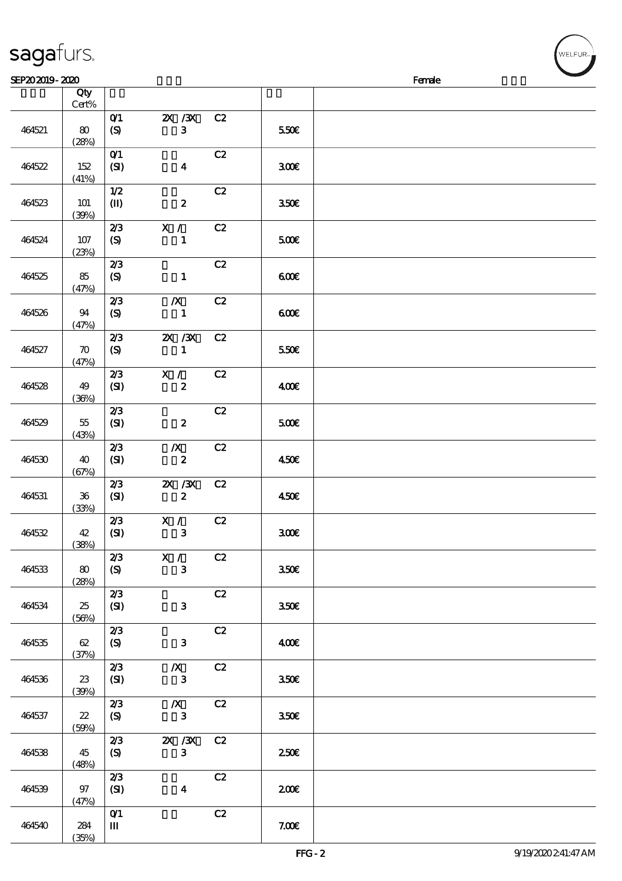| SEP202019-2020 |                             |                  |                              |    |                  | Female |
|----------------|-----------------------------|------------------|------------------------------|----|------------------|--------|
|                | Qty                         |                  |                              |    |                  |        |
|                | Cert%                       | O(1)             | $\chi$ / $\chi$              | C2 |                  |        |
| 464521         | 80<br>(28%)                 | (S)              | 3                            |    | 550€             |        |
|                |                             | O(1)             |                              | C2 |                  |        |
| 464522         | 152<br>(41%)                | (SI)             | $\boldsymbol{4}$             |    | 300€             |        |
|                |                             | 1/2              |                              | C2 |                  |        |
| 464523         | 101<br>(39%)                | $\mathbf{I}$     | $\boldsymbol{z}$             |    | 350 <sup>2</sup> |        |
|                |                             | 2/3              | X /                          | C2 |                  |        |
| 464524         | 107<br>(23%)                | $\boldsymbol{S}$ | $\mathbf{1}$                 |    | 500€             |        |
|                |                             | 2/3              |                              | C2 |                  |        |
| 464525         | 85<br>(47%)                 | $\boldsymbol{S}$ | $\mathbf{1}$                 |    | 600              |        |
|                |                             | 2/3              | $\boldsymbol{X}$             | C2 |                  |        |
| 464526         | 94<br>(47%)                 | (S)              | $\mathbf{1}$                 |    | 600              |        |
|                |                             | 2/3              | $ZX$ / $ZX$                  | C2 |                  |        |
| 464527         | $\boldsymbol{\pi}$<br>(47%) | (S)              | $\mathbf{1}$                 |    | 550E             |        |
|                |                             | 2/3              | X /                          | C2 |                  |        |
| 464528         | 49<br>(36%)                 | (SI)             | $\boldsymbol{z}$             |    | 400              |        |
|                |                             | 2/3              |                              | C2 |                  |        |
| 464529         | 55<br>(43%)                 | (SI)             | $\boldsymbol{z}$             |    | 500              |        |
|                |                             | 2/3              | $\boldsymbol{X}$             | C2 |                  |        |
| 464530         | 40<br>(67%)                 | (SI)             | $\boldsymbol{z}$             |    | 450€             |        |
|                |                             | 2/3              | $X \, X$<br>$\boldsymbol{2}$ | C2 |                  |        |
| 464531         | ${\bf 36}$<br>(33%)         | (SI)             |                              |    | 450€             |        |
|                |                             | 2/3              | X /                          | C2 |                  |        |

464539 97

464540 284

 $(47%)$ 

 $(35%)$ 

 $\begin{array}{c|cc}\n 2/3 & C2 \\
 \hline\n \text{(S)} & 4\n \end{array}$ 

 $\overline{01}$   $\overline{C2}$ 

 $\overline{\mathbf{u}}$  7.00€

| 464522 | 152<br>(41%)                | O(1)<br>(SI)            | $\boldsymbol{4}$                     | C2            | 300E             |  |
|--------|-----------------------------|-------------------------|--------------------------------------|---------------|------------------|--|
| 464523 | <b>101</b><br>(30%)         | 1/2<br>$\mathbf{I}$     | $\boldsymbol{z}$                     | C2            | 350 <sup>2</sup> |  |
| 464524 | 107<br>(23%)                | 2/3<br>(S)              | X /<br>$\mathbf{1}$                  | C2            | 500E             |  |
| 464525 | 85<br>(47%)                 | 2/3<br>(S)              | $\mathbf{1}$                         | C2            | 600              |  |
| 464526 | 94<br>(47%)                 | 2/3<br>$\boldsymbol{S}$ | $\boldsymbol{X}$<br>$\mathbf{1}$     | C2            | 600              |  |
| 464527 | $\boldsymbol{\pi}$<br>(47%) | 2/3<br>(S)              | $ZX$ $ZX$<br>$\mathbf{1}$            | C2            | 550€             |  |
| 464528 | 49<br>(36%)                 | 2/3<br>(SI)             | X /<br>$\boldsymbol{z}$              | C2            | 400€             |  |
| 464529 | 55<br>(43%)                 | 2/3<br>(SI)             | $\boldsymbol{z}$                     | C2            | 500              |  |
| 464530 | 40<br>(67%)                 | 2/3<br>(SI)             | $\boldsymbol{X}$<br>$\boldsymbol{z}$ | C2            | 450€             |  |
| 464531 | $36\,$<br>(33%)             | 2/3<br>(SI)             | $X \, X$<br>$\boldsymbol{z}$         | C2            | 450E             |  |
| 464532 | 42<br>(38%)                 | 2/3<br>(SI)             | X /<br>$\mathbf{3}$                  | C2            | 300E             |  |
| 464533 | 80<br>(28%)                 | 2/3<br>(S)              | X /<br>$\mathbf{3}$                  | C2            | 350€             |  |
| 464534 | 25<br>(56%)                 | 2/3<br>(SI)             | $\mathbf{3}$                         | C2            | 350 <sub>E</sub> |  |
| 464535 | 62<br>(37%)                 | 2/3<br>(S)              | 3                                    | C2            | 400€             |  |
| 464536 | $2\!3$<br>(30%)             | 2/3<br>(SI)             | $\boldsymbol{X}$<br>$\mathbf{3}$     | C2            | 350€             |  |
| 464537 | $2\!2$<br>(50%)             | 2/3<br>(S)              | $\boldsymbol{X}$<br>${\bf 3}$        | C2            | 350 <sup>2</sup> |  |
| 464538 | 45<br>(48%)                 | 2/3<br>(S)              | $ZX$ / $ZX$<br>$\mathbf{3}$          | $\mathbf{C2}$ | 250E             |  |

 $200E$ 

.<br>WELFUR<sub>™</sub>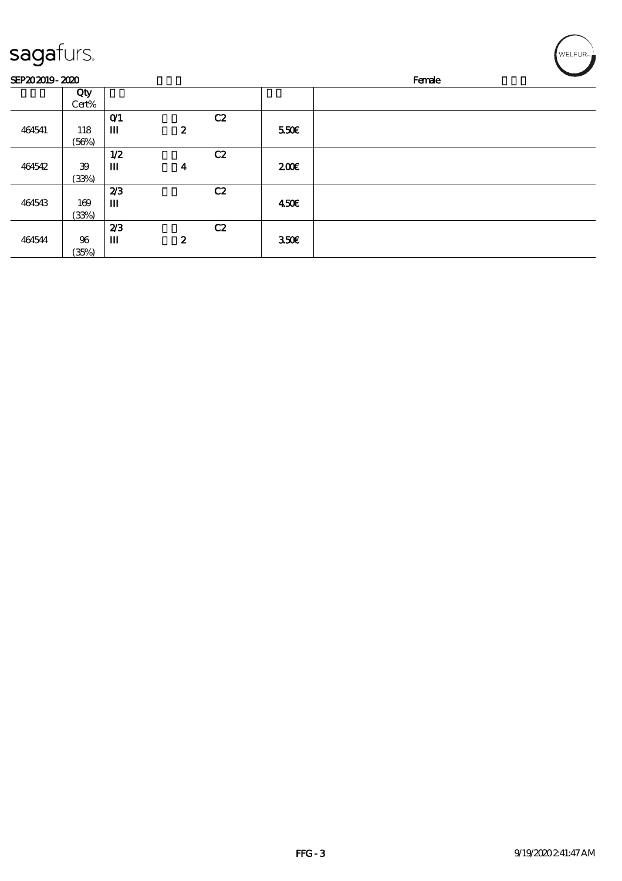| SEP202019-2020 |        |      |                  |    |                  | Female |  |  |
|----------------|--------|------|------------------|----|------------------|--------|--|--|
|                | Qty    |      |                  |    |                  |        |  |  |
|                | Cert%  |      |                  |    |                  |        |  |  |
|                |        | O(1) |                  | C2 |                  |        |  |  |
| 464541         | 118    | Ш    | $\boldsymbol{z}$ |    | 550€             |        |  |  |
|                | (56%)  |      |                  |    |                  |        |  |  |
|                |        | 1/2  |                  | C2 |                  |        |  |  |
| 464542         | $39\,$ | Ш    | 4                |    | 200              |        |  |  |
|                | (33%)  |      |                  |    |                  |        |  |  |
|                |        | 2/3  |                  | C2 |                  |        |  |  |
| 464543         | 169    | Ш    |                  |    | 450€             |        |  |  |
|                | (33%)  |      |                  |    |                  |        |  |  |
|                |        | 2/3  |                  | C2 |                  |        |  |  |
| 464544         | $96\,$ | Ш    | $\boldsymbol{z}$ |    | 350 <sup>2</sup> |        |  |  |
|                | (35%)  |      |                  |    |                  |        |  |  |